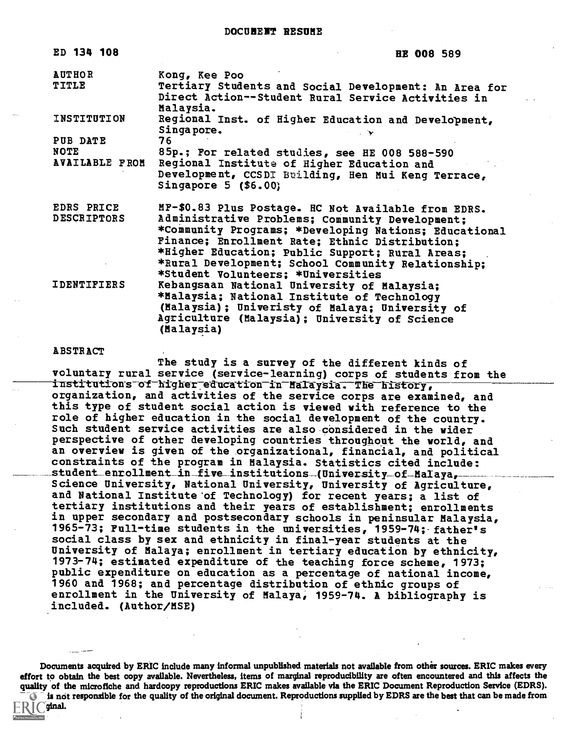| ED 134 108                    | <b>HE 008 589</b>                                                                                                                         |
|-------------------------------|-------------------------------------------------------------------------------------------------------------------------------------------|
| <b>AUTHOR</b><br><b>TITLE</b> | Kong, Kee Poo<br>Tertiary Students and Social Development: An Area for<br>Direct Action--Student Rural Service Activities in<br>Malaysia. |
| INSTITUTION                   | Regional Inst. of Higher Education and Development,<br>Singapore.                                                                         |
| PUB DATE                      | 76                                                                                                                                        |
| NOTE                          | 85p.; For related studies, see HE 008 588-590                                                                                             |
| <b>AVAILABLE FROM</b>         | Regional Institute of Higher Education and                                                                                                |
|                               | Development, CCSDI Building, Hen Mui Keng Terrace,<br>Singapore $5$ (\$6.00)                                                              |
| EDRS PRICE                    | MF-\$0.83 Plus Postage. HC Not Available from EDRS.                                                                                       |
| <b>DESCRIPTORS</b>            | Administrative Problems; Community Development;                                                                                           |
|                               | *Community Programs; *Developing Nations; Educational                                                                                     |
|                               | Finance; Enrollment Rate; Ethnic Distribution;                                                                                            |
|                               | *Higher Education; Public Support; Rural Areas;                                                                                           |
|                               | *Rural Development; School Community Relationship;<br>*Student Volunteers; *Universities                                                  |
| <b>IDENTIFIERS</b>            | Kebangsaan National University of Malaysia;                                                                                               |
|                               | *Malaysia; National Institute of Technology                                                                                               |
|                               | (Malaysia); Univeristy of Malaya; University of                                                                                           |
|                               | Agriculture (Malaysia); University of Science                                                                                             |
|                               | (Malaysia)                                                                                                                                |

#### ABSTRACT

 $R$   $\Gamma$  original.

The study is a survey of the different kinds of voluntary rural service (service-learning) corps of students from the institutions of higher-education in-Malaysia. The history, organization, and activities of the service corps are examined, and this type of student social action is viewed with reference to the role of higher education in the social development of the country. Such student service activities are also considered in the wider perspective of other developing countries throughout the world, and an overview is given of the organizational, financial, and political constraints of the program in Malaysia. Statistics cited include: student\_enrollment\_in\_five\_institutions\_(University\_of-MaIaya, Science University, National University, University of Agriculture, and National Institute 'of Technology) for recent years; a list of tertiary institutions and their years of establishment; enrollments in upper secondary and postsecondary schools in peninsular Malaysia, 1965-73; Full-time students in the universities, 1959-74; father's social class by sex and ethnicity in final-year students at the University of Malaya; enrollment in tertiary education by ethnicity, 1973-74; estimated expenditure of the teaching force scheme, 1973; public expenditure on education as a percentage of national income, 1960 and 1968; and percentage distribution of ethnic groups of enrollment in the University of Malaya, 1959-74. A bibliography is included. (Author/MSE)

Documents acquired by ERIC include many informal unpublished materials not available from other sources. ERIC makes every effort to obtain the best copy available. Nevertheless, items of marginal reproducibility are often encountered and this affects the quality of the microfiche and hardcopy reproductions ERIC makes available via the ERIC Document Reproduction Service (EDRS).  $\overline{\bullet}$  is not responsible for the quality of the original document. Reproductions supplied by EDRS are the best that can be made from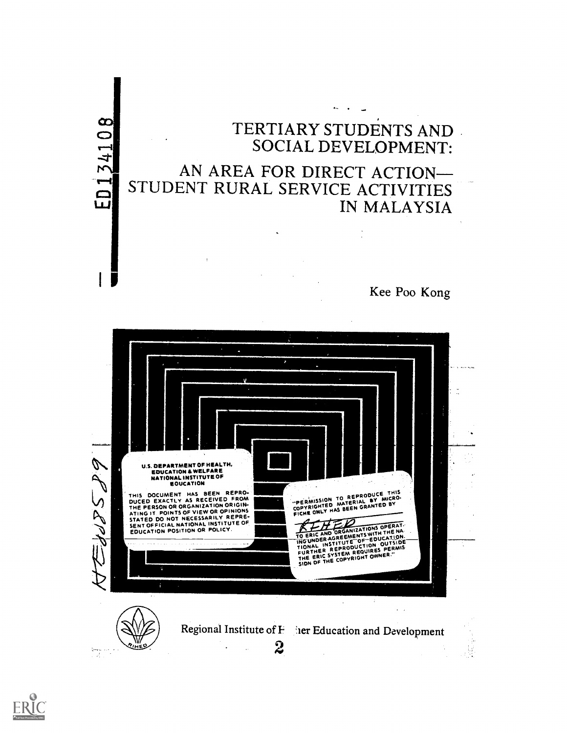



 $\frac{1}{2} \frac{1}{\log \frac{1}{2}}$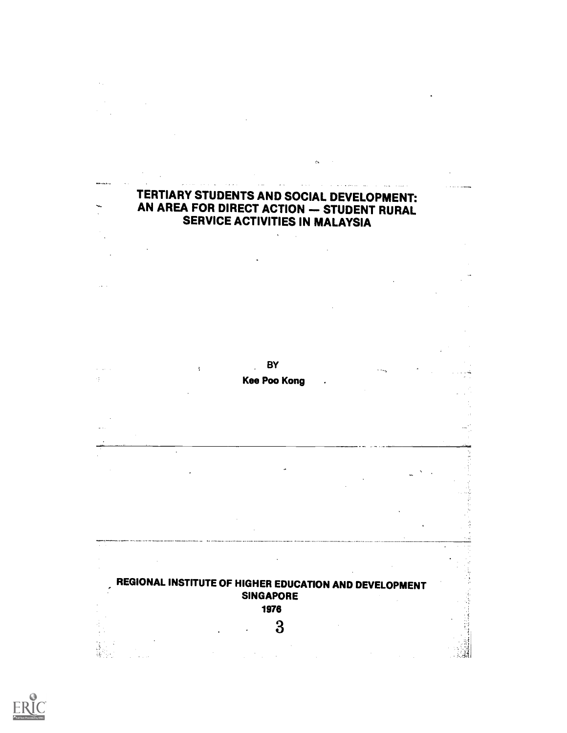## TERTIARY STUDENTS AND SOCIAL DEVELOPMENT: AN AREA FOR DIRECT ACTION - STUDENT RURAL SERVICE ACTIVITIES IN MALAYSIA

 $\tilde{\mathbf{g}}_{\mathbf{A}}$ 





 $\mathbf{r}$ 

۰.  $\mathbb{Z}^2$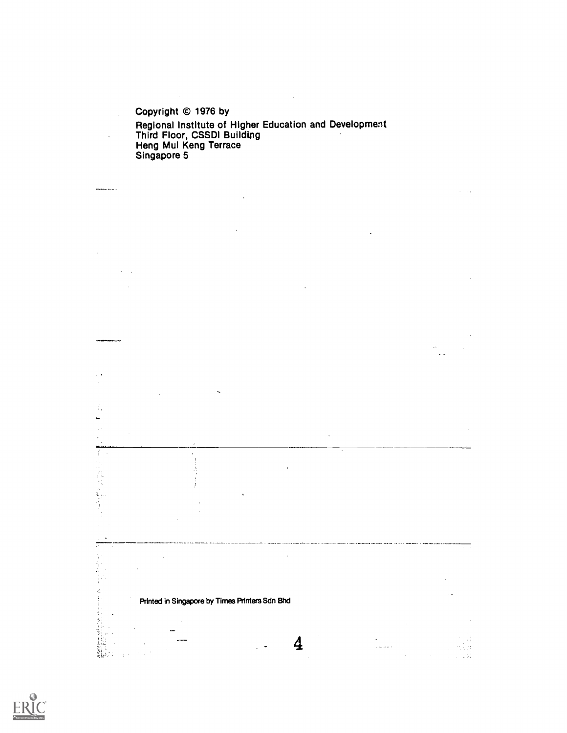Copyright © 1976 by Regional Institute of Higher Education and Development Third Floor, CSSDI Building Heng Mul Keng Terrace Singapore 5

 $\sim$ 

 $\ddot{\phantom{1}}$ 

 $\bar{z}$ 

........

÷,  $\bar{z}$  .

fi<br>Ti i<br>Ro Ş

 $\mathcal{I}_1$ 

 $\frac{1}{\epsilon}$  . 

 $\ddot{\phantom{a}}$ 

 $\mathcal{L}_{\text{max}}$  .

a).

Printed in Singapore by Times Printers Sdn Bhd

 $\boldsymbol{4}$ 

.<br>Galeria  $\alpha$ 

 $\sim 1.3$ 

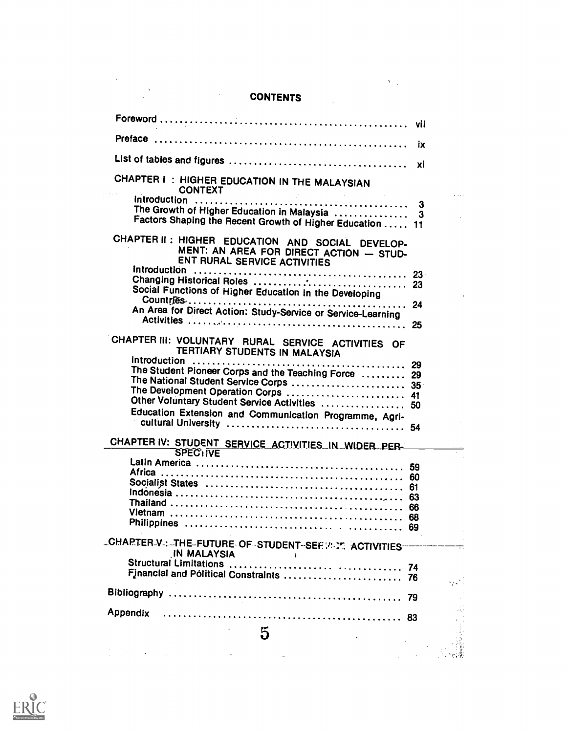#### CONTENTS

 $\label{eq:2} \mathbf{Y}_{\text{max}} = \mathbf{Y}_{\text{max}}$ 

|                                                                                                                                    | vii    |  |
|------------------------------------------------------------------------------------------------------------------------------------|--------|--|
|                                                                                                                                    | iх     |  |
|                                                                                                                                    | xi     |  |
| CHAPTER I: HIGHER EDUCATION IN THE MALAYSIAN<br><b>CONTEXT</b>                                                                     |        |  |
| The Growth of Higher Education in Malaysia<br>Factors Shaping the Recent Growth of Higher Education  11                            | 3<br>3 |  |
| CHAPTER II: HIGHER EDUCATION AND SOCIAL DEVELOP-<br>MENT: AN AREA FOR DIRECT ACTION - STUD-<br><b>ENT RURAL SERVICE ACTIVITIES</b> |        |  |
| Social Functions of Higher Education in the Developing                                                                             |        |  |
| An Area for Direct Action: Study-Service or Service-Learning                                                                       |        |  |
| CHAPTER III: VOLUNTARY RURAL SERVICE ACTIVITIES OF<br>TERTIARY STUDENTS IN MALAYSIA                                                | 25     |  |
| The Student Pioneer Corps and the Teaching Force  29                                                                               | 29     |  |
| The National Student Service Corps  35<br>The Development Operation Corps  41                                                      |        |  |
| Other Voluntary Student Service Activities  50                                                                                     |        |  |
| Education Extension and Communication Programme, Agri-                                                                             |        |  |
| CHAPTER IV: STUDENT SERVICE ACTIVITIES IN WIDER PER-<br><b>SPEC<sub>1</sub>IVE</b>                                                 |        |  |
|                                                                                                                                    |        |  |
|                                                                                                                                    |        |  |
|                                                                                                                                    | 61     |  |
|                                                                                                                                    |        |  |
|                                                                                                                                    |        |  |
|                                                                                                                                    | 69     |  |
| LCHAPTER V.: THE FUTURE OF STUDENT SEF WILE ACTIVITIES<br><b>IN MALAYSIA</b><br>ì                                                  |        |  |
|                                                                                                                                    |        |  |
|                                                                                                                                    |        |  |
| Appendix                                                                                                                           |        |  |
| 5                                                                                                                                  |        |  |
|                                                                                                                                    |        |  |
|                                                                                                                                    |        |  |

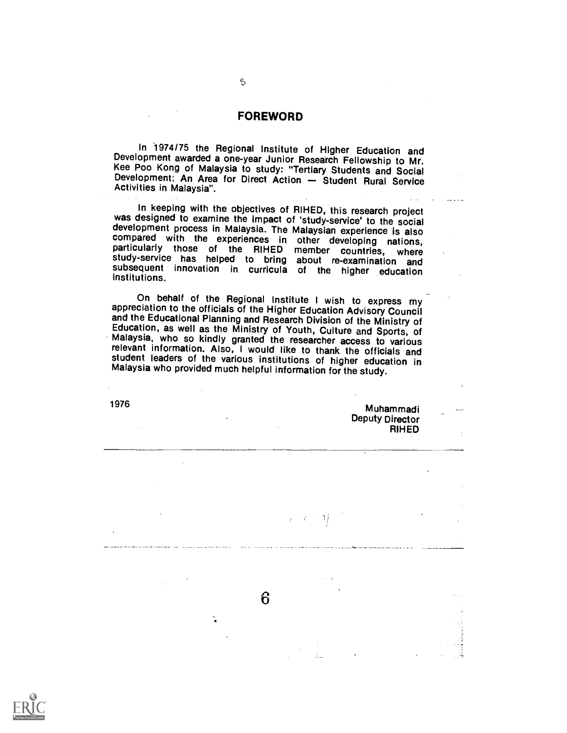#### FOREWORD

H

In 1974/75 the Regional Institute of Higher Education and<br>Development awarded a one-year Junior Research Fellowship to Mr.<br>Kee Poo Kong of Malaysia to study: "Tertiary Students and Social<br>Development: An Area for Direct Ac

In keeping with the objectives of RIHED, this research project was designed to examine the impact of 'study-service' to the social development process in Malaysia. The Malaysian experience is also compared with the experiences in other developing nations,<br>particularly those of the RIHED member countries, where<br>study-service has helped to bring about re-examination and<br>subsequent innovation in curricula of the higher

On behalf of the Regional Institute I wish to express my appreciation to the officials of the Higher Education Advisory Council and the Educational Planning and Research Division of the Ministry of<br>Education, as well as the Ministry of Youth, Culture and Sports, of<br>Malaysia, who so kindly granted the researcher access to various<br>relevant informatio student leaders of the various institutions of higher education in Malaysia who provided much helpful information for the study.

1976 **Muhammad i** Deputy Director RIHED

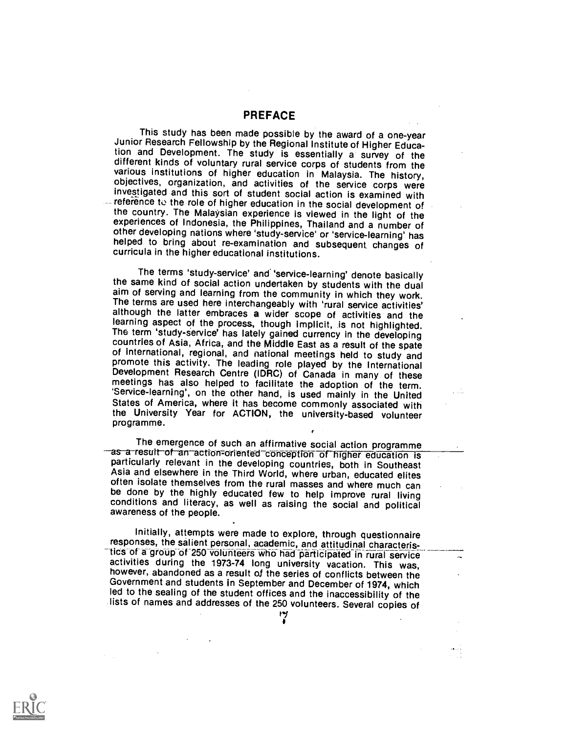PREFACE

This study has been made possible by the award of a one-year<br>Junior Research Fellowship by the Regional Institute of Higher Educa-<br>tion and Development. The study is essentially a survey of the<br>different kinds of voluntary investigated and this sort of student social action is examined with the country. The Malaysian experience is viewed in the light of the experiences of Indonesia, the Philippines, Thailand and a number of other developing nations where 'study-service' or 'service-learning' has helped to bring about re-examination and subsequent changes of curricula in the higher educational institutions.

The terms 'study-service' and 'service-learning' denote basically<br>the same kind of social action undertaken by students with the dual<br>aim of serving and learning from the community in which they work.<br>The terms are used he of international, regional, and national meetings held to study and<br>promote this activity. The leading role played by the International<br>Development Research Centre (IDRC) of Canada in many of these meetings has also helped to facilitate the adoption of the term. 'Service-learning', on the other hand, is used mainly in the United States of America, where it has become commonly associated with the University Year for ACTION, the university-based volunteer programme.

The emergence of such an affirmative social action programme<br>as-a-result-of-an-action-oriented conception of higher education is<br>particularly relevant in the developing countries, both in Southeast<br>Asia and elsewhere in th often isolate themselves from the rural masses and where much can<br>be done by the highly educated few to help improve rural living<br>conditions and literacy, as well as raising the social and political<br>awareness of the people

Initially, attempts were made to explore, through questionnaire responses, the salient personal, academic, and attitudinal characteristics of a group of 250 volunteers who had participated in rural service<br>activities during the 1973-74 long university vacation. This was,<br>however, abandoned as a result of the series of conflicts between the Government and students in September and December of 1974, which led to the sealing of the student offices and the inaccessibility of the lists of names and addresses of the 250 volunteers. Several copies of



٣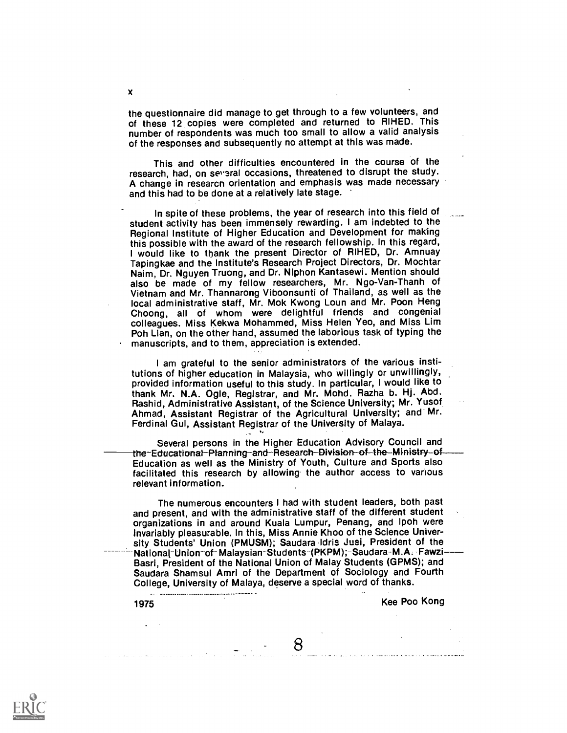the questionnaire did manage to get through to a few volunteers, and<br>of these 12 copies were completed and returned to RIHED. This number of respondents was much too small to allow a valid analysis of the responses and subsequently no attempt at this was made.

This and other difficulties encountered in the course of the research, had, on several occasions, threatened to disrupt the study. A change in researcn orientation and emphasis was made necessary and this had to be done at a relatively late stage.

In spite of these problems, the year of research into this field of student activity has been immensely rewarding. I am indebted to the Regional Institute of Higher Education and Development for making this possible with the award of the research fellowship. In this regard, I would like to thank the present Director of RIHED, Dr. Amnuay Tapingkae and the Institute's Research Project Directors, Dr. Mochtar Naim, Dr. Nguyen Truong, and Dr. Niphon Kantasewi. Mention should also be made of my fellow researchers, Mr. Ngo-Van-Thanh of Vietnam and Mr. Thannarong Viboonsunti of Thailand, as well as the local administrative staff, Mr. Mok Kwong Loun and Mr. Poon Heng Choong, all of whom were delightful friends and congenial colleagues. Miss Kekwa Mohammed, Miss Helen Yeo, and Miss Lim Poh Lian, on the other hand, assumed the laborious task of typing the manuscripts, and to them, appreciation is extended.

I am grateful to the senior administrators of the various institutions of higher education in Malaysia, who willingly or unwillingly, provided information useful to this study. In particular, I would like to thank Mr. N.A. Ogle, Registrar, and Mr. Mohd. Razha b. Hj. Abd. Rashid, Administrative Assistant, of the Science University; Mr. Yusof Ahmad, Assistant Registrar of the Agricultural University; and Mr. Ferdinal Gul, Assistant Registrar of the University of Malaya.

Several persons in the Higher Education Advisory Council and<br>the-Educational-Planning-and-Research-Division-of-the-Ministry-of-Education as well as the Ministry of Youth, Culture and Sports also facilitated this research by allowing the author access to various relevant information.

The numerous encounters I had with student leaders, both past and present, and with the administrative staff of the different student organizations in and around Kuala Lumpur, Penang, and lpoh were invariably pleasurable. In this, Miss Annie Khoo of the Science University Students' Union (PMUSM); Saudara Idris Jusi, President of the National Union of Malaysian-Students-(PKPM); Saudara-M.A. Fawzi-Basri, President of the National Union of Malay Students (GPMS); and Saudara Shamsul Amri of the Department of Sociology and Fourth College, University of Malaya, deserve a special word of thanks.

8

استان والأنباء والتركيب والمتحدث والمنافس والمنافي والمستكفر

1975 Kee Poo Kong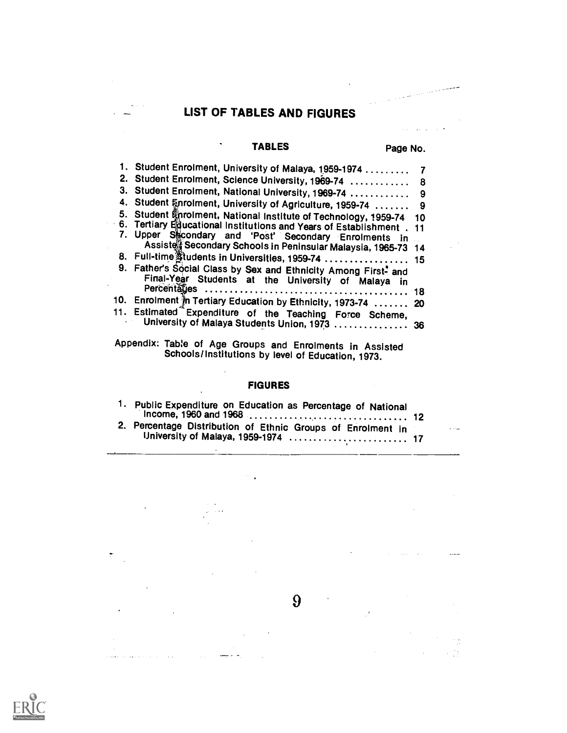# LIST OF TABLES AND FIGURES

 $\sim$ 

 $\ddot{\cdot}$ 

 $\ddot{\phantom{a}}$ 

المتواصل والمتواصل والمتفاء بسما

## TABLES Page No.

 $\bullet$ 

**Sales State** 

 $\mathcal{E}$ 

 $\bar{z}$ 

 $\sim$ 

 $\alpha = 0.5$ 

 $\sim 75$ 

 $\ddot{\phantom{a}}$ 

| 1. Student Enrolment, University of Malaya, 1959-1974                |     |
|----------------------------------------------------------------------|-----|
| 2. Student Enrolment, Science University, 1969-74  8                 |     |
| 3. Student Enrolment, National University, 1969-74                   | 9   |
| 4. Student Enrolment, University of Agriculture, 1959-74             | 9   |
| 5. Student Knrolment, National Institute of Technology, 1959-74      | -10 |
| 6. Tertiary Educational Institutions and Years of Establishment . 11 |     |
| 7. Upper Secondary and 'Post' Secondary Enrolments in                |     |
| Assiste Secondary Schools in Peninsular Malaysia, 1965-73 14         |     |
| 8. Full-time students in Universities, 1959-74  15                   |     |
| 9. Father's Social Class by Sex and Ethnicity Among First- and       |     |
| Final-Year Students at the University of Malaya in                   |     |
|                                                                      |     |
| 10. Enrolment in Tertiary Education by Ethnicity, 1973-74  20        |     |
| 11. Estimated Expenditure of the Teaching Force Scheme,              |     |
| University of Malaya Students Union, 1973  36                        |     |
|                                                                      |     |

Appendix: Table of Age Groups and Enrolments in Assisted Schools/Institutions by level of Education, 1973.

 $\mathcal{C}^{\mathcal{C}}$  .

### FIGURES

| 1. Public Expenditure on Education as Percentage of National                                       |                                           |
|----------------------------------------------------------------------------------------------------|-------------------------------------------|
| 2. Percentage Distribution of Ethnic Groups of Enrolment in<br>University of Malaya, 1959-1974  17 | $\alpha$ - $\alpha$ - $\alpha$ - $\alpha$ |

 $9<sup>°</sup>$ 

 $\ddot{\phantom{a}}$ 

 $\mathbb{R}^2$ 

 $\mathbb{Z}$ 

where  $\sigma_{\rm c}$ 

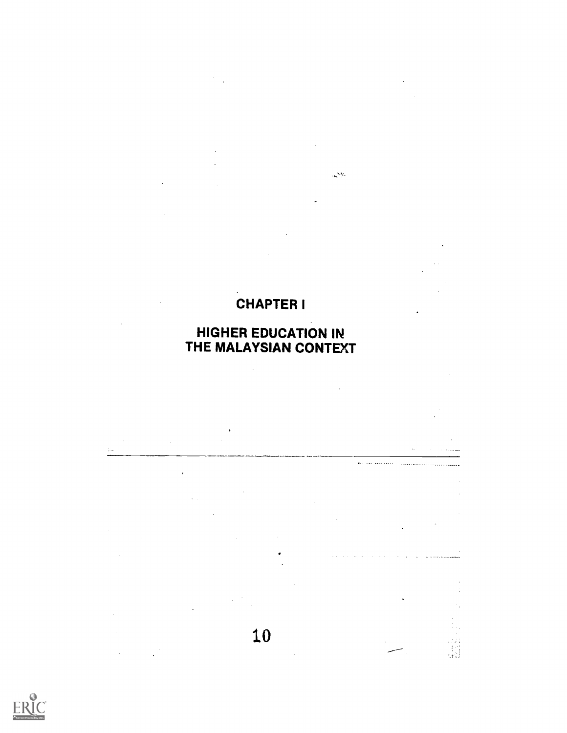# CHAPTER I

 $\sim$ 

 $\langle \Delta \phi \rangle$ 

للمتحدد والمناسب

# HIGHER EDUCATION IN THE MALAYSIAN CONTEXT

10

 $\bar{z}$ 

 $\mathbb{R}^2$ 

 $\bar{z}$ 



 $\hat{\mathcal{A}}$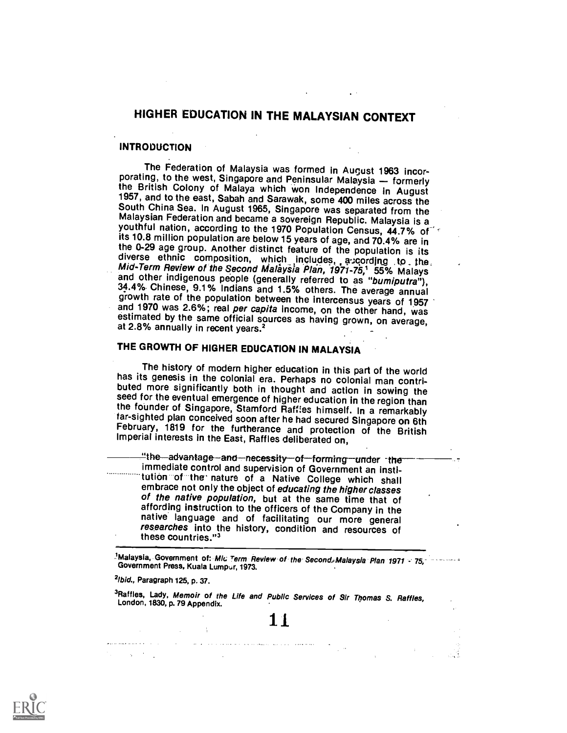## HIGHER EDUCATION IN THE MALAYSIAN CONTEXT

#### INTRODUCTION

The Federation of Malaysia was formed in August 1963 incor-<br>porating, to the west, Singapore and Peninsular Malaysia — formerly<br>the British Colony of Malaya which won Independence in August<br>1957, and to the east, Sabah and its 10.8 million population are below 15 years of age, and 70.4% are in<br>the 0-29 age group. Another distinct feature of the population is its<br>diverse ethnic composition, which includes, a:cording to the<br>*Mid-Term Review o* 

## THE GROWTH OF HIGHER EDUCATION IN MALAYSIA

The history of modern higher education in this part of the world<br>has its genesis in the colonial era. Perhaps no colonial man contri-<br>buted more significantly both in thought and action in sowing the<br>seed for the eventual February, 1819 for the furtherance and protection of the British Imperial interests in the East, Raffles deliberated on.

"the—advantage—and—necessity—of—forming—under -the<br>immediate control and supervision of Government an instiitution of the nature of a Native College which shall embrace not only the object of educating the higher classes of the native population, but at the same time that of affording instruction to the officers of the Company in the native language and of facilitating our more general researches into the history, condition and resources of these countries."3

IMalaysia, Government of: *Mic Term Review of the Second, Malaysia Plan 1971 - 75,- Government Press, Kuala Lumpur, 1973.* 

 $2$ lbid., Paragraph 125, p. 37.

 $\label{eq:2} \mathcal{E}_{\mathbf{z}}(t) = \mathcal{E}_{\mathbf{z}}(t) + \mathcal{E}_{\mathbf{z}}(t) + \mathcal{E}_{\mathbf{z}}(t)$ 

<sup>3</sup>Raffles, Lady, Memoir of the Life and Public Services of Sir Thomas S. Raffles,<br>London, 1830, p. 79 Appendix.

الوادات المتعاقد وتواريق المستبد والمحادث والمتحدث والمراكب والمنادي المنادي المنادير والمنادير والمتحدث والمتحدث

11.

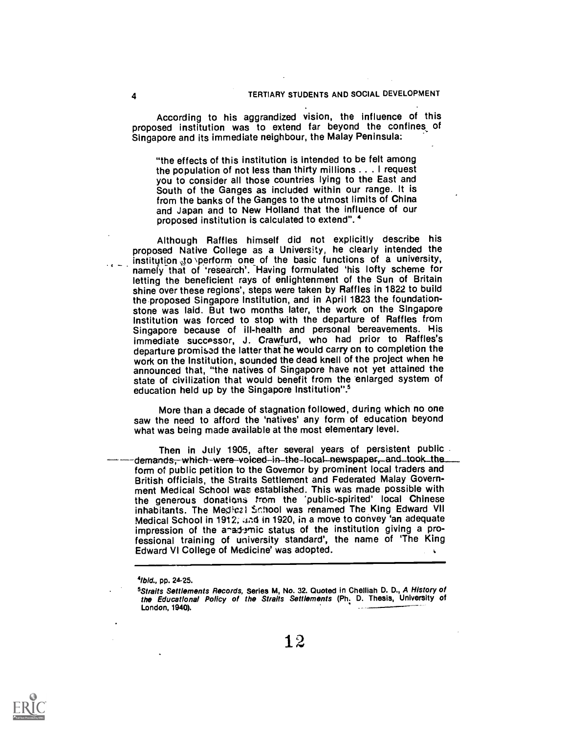According to his aggrandized vision, the influence of this proposed institution was to extend far beyond the confines of Singapore and its immediate neighbour, the Malay Peninsula:

"the effects of this institution is intended to be felt among the population of not less than thirty millions .. . I request you to consider all those countries lying to the East and South of the Ganges as included within our range. It is and Japan and to New Holland that the influence of our proposed institution is calculated to extend".

Although Raffles himself did not explicitly describe his proposed Native College as a University, he clearly intended the institution sto perform one of the basic functions of a university, namely that of 'research'. Having formulated 'his lofty scheme for letting the beneficient rays of enlightenment of the Sun of Britain shine over these regions', steps were taken by Raffles in 1822 to build the proposed Singapore Institution, and in April 1823 the foundationstone was laid. But two months later, the work on the Singapore Institution was forced to stop with the departure of Raffles from Singapore because of ill-health and personal bereavements. His immediate successor, J. Crawfurd, who had prior to Raffles's departure promised the latter that he would carry on to completion the work on the Institution, sounded the dead knell of the project when he announced that, "the natives of Singapore have not yet attained the state of civilization that would benefit from the enlarged system of education held up by the Singapore Institution".5

More than a decade of stagnation followed, during which no one saw the need to afford the 'natives' any form of education beyond what was being made available at the most elementary level.

Then in July 1905, after several years of persistent public demands, which-were-voiced-in-the-local-newspaper, and took the<br>form of public petition to the Governor by prominent local traders and British officials, the Straits Settlement and Federated Malay Government Medical School was established. This was made possible with the generous donations from the 'public-spirited' local Chinese inhabitants. The Medical School was renamed The King Edward VII Medical School in 1912; and in 1920, in a move to convey 'an adequate impression of the anademic status of the institution giving a professional training of university standard', the name of 'The King Edward VI College of Medicine' was adopted.  $\mathbf{v}$ 



<sup>41</sup>bid., pp. 24-25.

<sup>&</sup>lt;sup>5</sup>Straits Settlements Records, Series M, No. 32. Quoted in Chelliah D. D., *A History of*<br>the Educational *Policy of the Straits Settlements* (Ph<u>.</u> D. Thesis, University of London, 1940).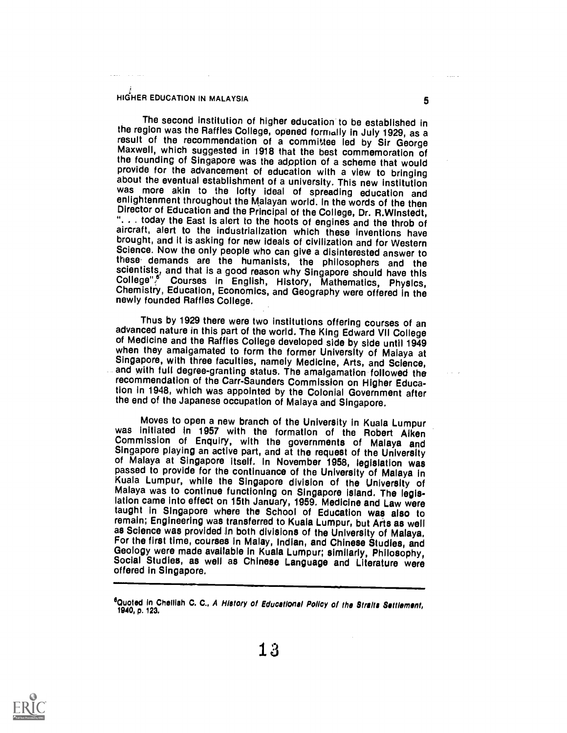## HIGHER EDUCATION IN MALAYSIA **5**

The second institution of higher education to be established in the region was the Raffles College, opened formally in July 1929, as a result of the recommendation of a committee led by Sir George<br>Maxwell, which suggested in 1918 that the best commemoration of<br>the founding of Singapore was the adoption of a scheme that would provide for the advancement of education with a view to bringing<br>about the eventual establishment of a university. This new institution was more akin to the lofty ideal of spreading education and enlightenment throughout the Malayan world. In the words of the then<br>Director of Education and the Principal of the College, Dr. R.Winstedt, "... today the East is alert to the hoots of engines and the throb of aircraft, alert to the industrialization which these inventions have brought, and it is asking for new ideals of civilization and for Western Science. N these demands are the humanists, the philosophers and the scientists, and that is a good reason why Singapore should have this College". Courses in English, History, Mathematics, Physics, Chemistry, Education, Economics, a

Thus by 1929 there were two institutions offering courses of an advanced nature in this part of the world. The King Edward VII College of Medicine and the Raffles College developed side by side until 1949<br>when they amalgamated to form the former University of Malaya at<br>Singapore, with three faculties, namely Medicine, Arts, and Science,<br>and with full degr tion in 1948, which was appointed by the Colonial Government after the end of the Japanese occupation of Malaya and Singapore.

Moves to open a new branch of the University in Kuala Lumpur<br>was initiated in 1957 with the formation of the Robert Alken<br>Commission of Enquiry, with the governments of Malaya and<br>Singapore playing an active part, and at t lation came Into effect on 15th January, 1959. Medicine and Law were taught in Singapore where the School of Education was also to remain; Engineering was transferred to Kuaia Lumpur, but Arts as well as Science was provided in both divisions of the University of Malaya. For the first time, courses in Malay, Indian, and Chinese Studies, and Geology were made available in Kuala Lumpur; similarly, Philosophy, Social Studies, as well as Chinese Language and Literature were offered in Singapor



<sup>&</sup>lt;sup>6</sup>Quoted in Cheliiah C. C., *A History of Educational Policy of the Straits Settlement,*<br>1940, p. 123.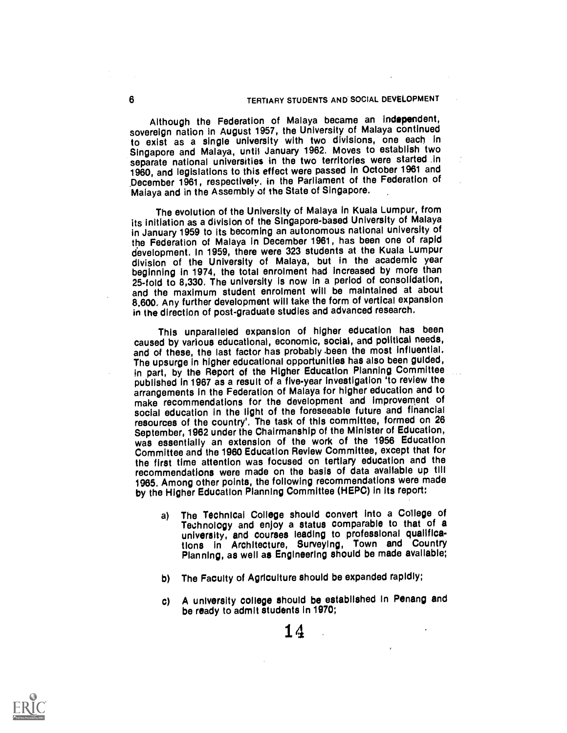Although the Federation of Malaya became an independent, sovereign nation in August 1957, the University of Malaya continued to exist as a single university with two divisions, one each in Singapore and Malaya, until January 1962. Moves to establish two separate national universities in the two territories were started .in 1960, and legislations to this effect were passed in October 1961 and .December 1961, respectively, in the Parliament of the Federation of Malaya and in the Assembly of the State of Singapore.

The evolution of the University of Malaya in Kuala Lumpur, from its initiation as a division of the Singapore-based University of Malaya in January 1959 to its becoming an autonomous national university of the Federation of Malaya in December 1961, has been one of rapid development. In 1959, there were 323 students at the Kuala Lumpur division of the University of Malaya, but in the academic year<br>beginning in 1974, the total enrolment had increased by more than 25-fold to 8,330. The university is now in a period of consolidation, and the maximum student enrolment will be maintained at about 8,600. Any further development will take the form of vertical expansion in the direction of post-graduate studies and advanced research.

This unparalleled expansion of higher education has been caused by various educational, economic, social, and political needs, and of these, the last factor has probably been the most influential. The upsurge in higher educational opportunities has also been guided, in part, by the Report of the Higher Education Planning Committee published in 1967 as a result of a five-year investigation 'to review the arrangements in the Federation of Malaya for higher education and to make recommendations for the development and improvement of social education in the light of the foreseeable future and financial resources of the country'. The task of this committee, formed on 26 September, 1982 under the Chairmanship of the Minister of Education, was essentially an extension of the work of the 1956 Education Committee and the 1960 Education Review Committee, except that for the first time attention was focused on tertiary education and the recommendations were made on the basis of data available up till 1065. Among other points, the following recommendations were made by the Higher Education Planning Committee (HEPC) in Its report:

- a) The Technical College should convert into a College of Technology and enjoy a status comparable to that of a university, and courses leading to professional qualifications In Architecture, Surveying, Town and Country Planning, as well as Engineering should be made available;
- b) The Faculty of Agriculture should be expanded rapidly;
- c) A university college should be established In Penang and be ready to admit students In 1970;



14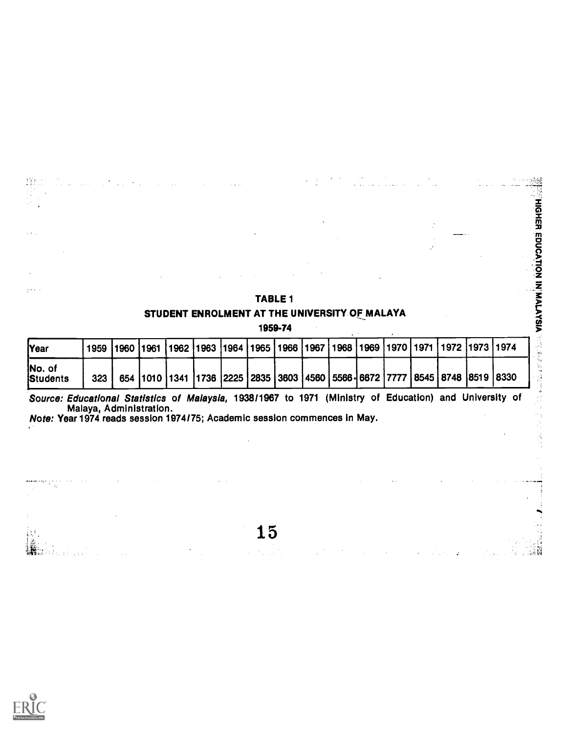|                           |      |             |  |  | STUDENT ENROLMENT AT THE UNIVERSITY OF MALAYA |  |  |                                                                                                       |  |
|---------------------------|------|-------------|--|--|-----------------------------------------------|--|--|-------------------------------------------------------------------------------------------------------|--|
|                           |      |             |  |  | 1959-74                                       |  |  |                                                                                                       |  |
| <b>Year</b>               | 1959 | <b>1960</b> |  |  |                                               |  |  | 1961  1962  1963  1964  1965  1966  1967  1968  1969  1970  1971  1972  1973  1974                    |  |
| No. of<br><b>Students</b> | 323  |             |  |  |                                               |  |  | 654   1010   1341   1736   2225   2835   3603   4560   5566   6672   7777   8545   8748   8519   8330 |  |

TABLE 1

ด<br>จั <u>d</u><br>9

 $\ddot{\phantom{a}}$ ý.

So*urce: Educational Statistics of Malaysia,* 1938/1967 to 1971 (Ministry of Education) and University of the sa Malaya, Administration.

Note: Year 1974 reads session 1974/75; Academic session commences in May.

 $\sim$   $\sim$ 

15

 $\lambda_{\rm 1.14}$  ).



 $\dot{H}$ 

Lista.

扭

 $\sim$  $\alpha$  ,  $\beta$ 

المعج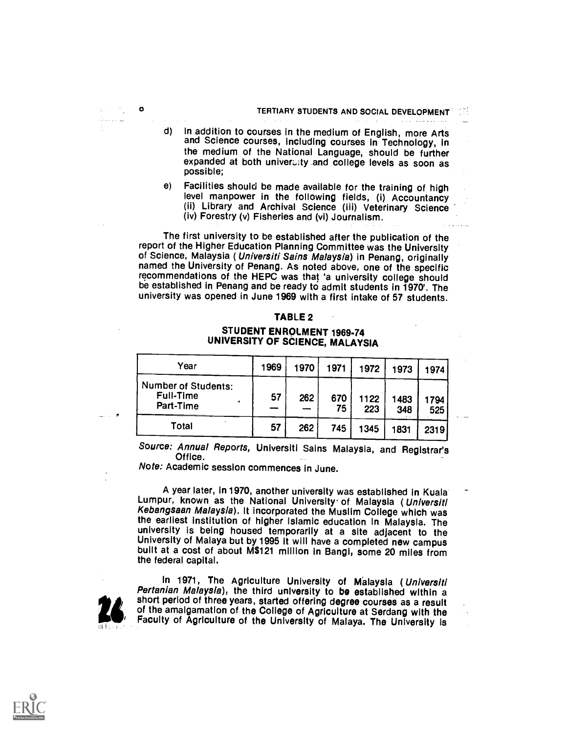متأد وعاقبتها الالا

- d) in addition to courses in the medium of English, more Arts and Science courses, including courses in Technology, In the medium of the National Language, should be further expanded at both univeralty and college levels as soon as possible;
- e) Facilities should be made available for the training of high level manpower in the following fields, (i) Accountancy (11) Library and Archival Science (iii) Veterinary Science (iv) Forestry (v) Fisheries and (vi) Journalism.

The first university to be established after the publication of the report of the Higher Education Planning Committee was the University of Science, Malaysia ( Universiti Sains Malaysia) in Penang, originally named the University of Penang. As noted above, one of the specific recommendations of the HEPC was that 'a university college should be established in Penang and be ready to admit students in 1970'. The university was opened in June 1969 with a first intake of 57 students.

#### TABLE 2

### STUDENT ENROLMENT 1969-74 UNIVERSITY OF SCIENCE, MALAYSIA

| Year                                                 | 1969 | 1970 | 1971      | 1972        | 1973        | 1974       |
|------------------------------------------------------|------|------|-----------|-------------|-------------|------------|
| <b>Number of Students:</b><br>Full-Time<br>Part-Time | 57   | 262  | 670<br>75 | 1122<br>223 | 1483<br>348 | 794<br>525 |
| Total                                                | 57   | 262  | 745       | 1345        | 1831        | 2319       |

Source: Annual Reports, Universiti Sains Malaysia, and Registrar's Office.

Note: Academic session commences in June.

A year later, in 1970, another university was established in Kuala\* Lumpur, known as the National University of Malaysia (Universiti Kebangsaan Malaysia). It incorporated the Muslim College which was<br>the earliest institution of higher Islamic education In Malaysia. The university is being housed temporarily at a site adjacent to the<br>University of Malaya but by 1995 it will have a completed new campus<br>built at a cost of about M\$121 million in Bangi, some 20 miles from the federal capital.

 $\mathcal{O}(\mathcal{O}_\mathcal{O})$  .

Angele a

 $\bullet$ 

In 1971, The Agriculture University of Malaysia (Universiti Pertanian Malaysia), the third university to be established within a short period of three years, started offering degree courses as a result of the amalgamation of the College of Agriculture at Serdang with the Faculty of Agriculture of the University of Malaya. The University is

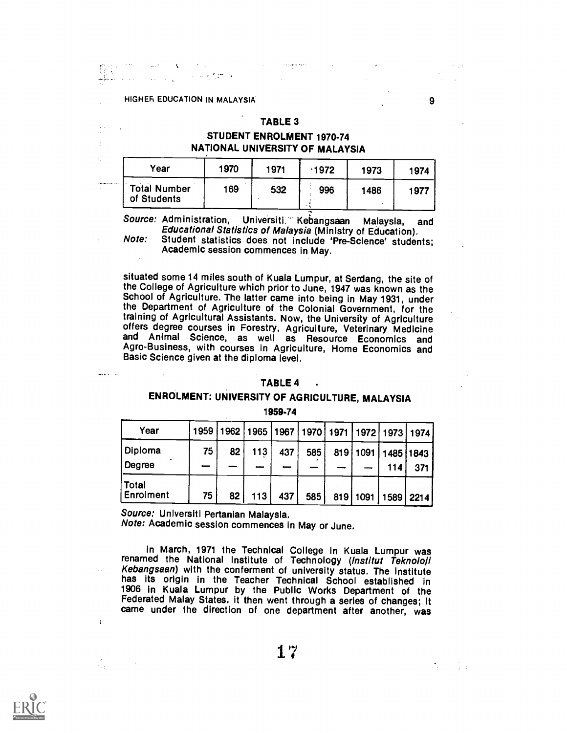## HIGHER EDUCATION IN MALAYSIA

 $\label{eq:2.1} \begin{split} \text{d} \phi^{\text{R}} & = - \mathbf{A} \left( \begin{array}{cc} \mathbf{A} & \mathbf{A} & \mathbf{A} \\ \mathbf{A} & \mathbf{A} & \mathbf{A} \\ \mathbf{A} & \mathbf{A} & \mathbf{A} \end{array} \right) \begin{split} \mathbf{A} & = - \mathbf{A} \left( \begin{array}{cc} \mathbf{A} & \mathbf{A} & \mathbf{A} \\ \mathbf{A} & \mathbf{A} & \mathbf{A} \\ \mathbf{A} & \mathbf{A} & \mathbf{A} \end{array} \right) \end{split$ 

#### TABLE 3

## STUDENT ENROLMENT 1970-74 NATIONAL UNIVERSITY OF MALAYSIA

| Vear                               | 1970 | 1971 | 1972 | 1973 | 1974 |  |
|------------------------------------|------|------|------|------|------|--|
| <b>Total Number</b><br>of Students | 169  | 532  | 996  | 1486 | 1977 |  |

Source: Administration, Universiti Kebangsaan Malaysia, and Educational Statistics of Malaysia (Ministry of Education).

Note: Student statistics does not include 'Pre-Science' students; Academic session commences in May.

situated some 14 miles south of Kuala Lumpur, at Serdang, the site of the College of Agriculture which prior to June, 1947 was known as the School of Agriculture. The latter came into being in May 1931, under the Department of Agriculture of the Colonial Government, for the training of Agricultural Assistants. Now, the University of Agriculture training of Agricultural Assistants. Now, the University of Agriculture<br>offers degree courses in Forestry, Agriculture, Veterinary Medicine and Animal Science, as well as Resource Economics and Agro-Business, with courses in Agricuiture, Home Economics and<br>Basic Science given at the diploma level.

#### TABLE 4 .

## ENROLMENT: UNIVERSITY OF AGRICULTURE, MALAYSIA

1959-74

| Year               |    |    | 1959   1962   1965   1967   1970   1971   1972   1973   1974 |     |     |  |                             |     |
|--------------------|----|----|--------------------------------------------------------------|-----|-----|--|-----------------------------|-----|
| Diploma<br>Degree  | 75 | 82 | 113                                                          | 437 | 585 |  | 819 1091 1485 1843 /<br>114 | 371 |
| Total<br>Enroiment | 75 | 82 | 113 I                                                        | 437 | 585 |  | 819   1091   1589   2214    |     |

Source: Unlversiti Pertanian Malaysia.

Note: Academic session commences in May or June.

in March, 1971 the Technical College in Kuala Lumpur was renamed the National Institute of Technology (Institut Teknoloji Kebangsaan) with the conferment of university status. The institute has its origin in the Teacher Technical School established In 1906 in Kuala Lumpur by the Public Works Department of the Federated Malay States. it then went through a series of changes; it came under the direction of one department after another, was

 $\bar{1}$ 

System

 $\sim$  1  $\pm$ 

9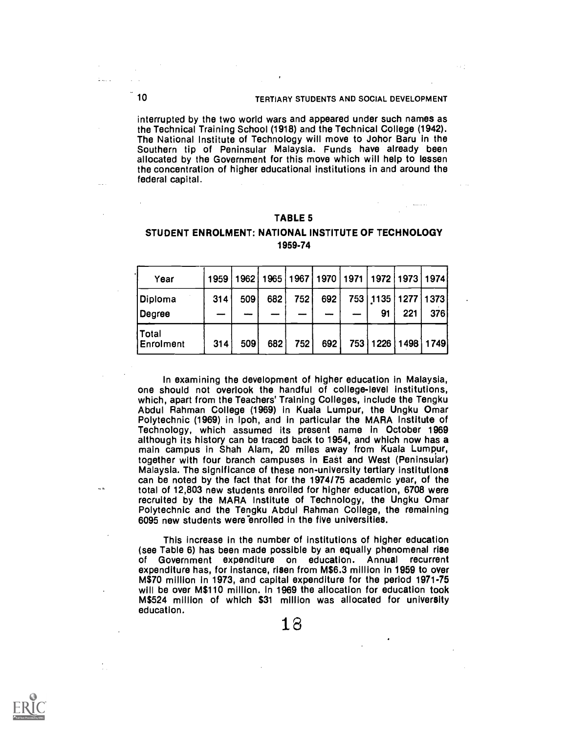## 10 TERTIARY STUDENTS AND SOCIAL DEVELOPMENT

interrupted by the two world wars and appeared under such names as the Technical Training School (1918) and the Technical College (1942). The National Institute of Technology will move to Johor Baru in the Southern tip of Peninsular Malaysia. Funds have already been allocated by the Government for this move which will help to lessen the concentration of higher educational institutions in and around the federal capital.

#### TABLE 5

#### STUDENT ENROLMENT: NATIONAL INSTITUTE OF TECHNOLOGY 1959-74

| Year                      | 1959 |     | 1962   1965 |       | 1967   1970   1971   1972   1973   1974 |                                  |     |     |
|---------------------------|------|-----|-------------|-------|-----------------------------------------|----------------------------------|-----|-----|
| Diploma<br>Degree         | 314  | 509 | 682         | 752   | 692                                     | 753   1135   1277   1373  <br>91 | 221 | 376 |
| Total<br><b>Enrolment</b> | 314  | 509 | 682         | 752 l | 692                                     | 753   1226   1498   1749         |     |     |

In examining the development of higher education in Malaysia, one should not overlook the handful of college-level institutions, which, apart from the Teachers' Training Colleges, include the Tengku Abdul Rahman College (1969) in Kuala Lumpur, the Ungku Omar Polytechnic (1969) in Ipoh, and in particular the MARA Institute of Technology, which assumed its present name in October 1969 although its history can be traced back to 1954, and which now has a main campus in Shah Alam, 20 miles away from Kuala Lumpur, together with four branch campuses in East and West (Peninsular) Malaysia. The significance of these non-university tertiary institutions can be noted by the fact that for the 1974/75 academic year, of the total of 12,803 new students enrolled for higher education, 6708 were recruited by the MARA Institute of Technology, the Ungku Omar Polytechnic and the Tengku Abdul Rahman College, the remaining 6095 new students were enrolled in the five universities.

This increase in the number of institutions of higher education (see Table 6) has been made possible by an equally phenomenal rise of Government expenditure on education. Annual recurrent expenditure has, for instance, risen from M\$6.3 million in 1959 to over M\$70 million in 1973, and capital expenditure for the period 1971-75 will be over M\$110 million. In 1969 the allocation for education took M\$524 million of which \$31 million was allocated for university education.

iller i

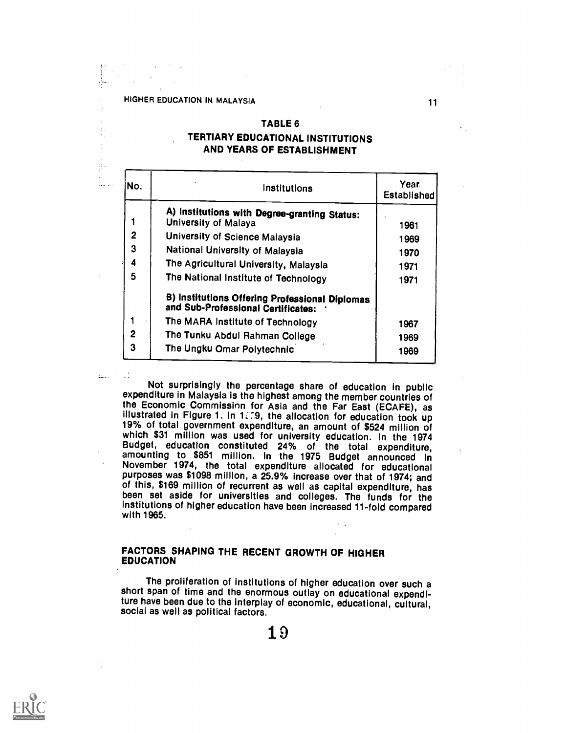÷,

ģ.  $\bar{t}$  $\overline{a}$ 

## TABLE 6

11

## TERTIARY EDUCATIONAL INSTITUTIONS AND YEARS OF ESTABLISHMENT

| No. | Institutions                                                                         | Year<br>Established |
|-----|--------------------------------------------------------------------------------------|---------------------|
|     | A) Institutions with Degree-granting Status:                                         |                     |
|     | University of Malaya                                                                 | 1961                |
| 2   | University of Science Malaysia                                                       | 1969                |
| 3   | National University of Malaysia                                                      | 1970                |
| 4   | The Agricultural University, Malaysia                                                | 1971                |
| 5   | The National Institute of Technology                                                 | 1971                |
|     | B) Institutions Offering Professional Diplomas<br>and Sub-Professional Certificates: |                     |
| 1   | The MARA Institute of Technology                                                     | 1967                |
| 2   | The Tunku Abdul Rahman College                                                       | 1969                |
| 3   | The Ungku Omar Polytechnic                                                           | 1969                |

Not surprisingly the percentage share of education in public expenditure in Malaysia is the highest among the member countries of the Economic Commissinn for Asia and the Far East (ECAFE), as illustrated in Figure 1. In 1, 09, the allocation for education took up 19% of total government expenditure, an amount of \$524 million of<br>which \$31 million was used for university education. In the 1974 Budget, education constituted 24% of the total expenditure,<br>amounting to \$851 million. In the 1975 Budget announced in November 1974, the total expenditure allocated for educational purposes was \$1098 million, a 25.9% increase over that of 1974; and of this, \$169 million of recurrent as well as capital expenditure, has been set aside for universities and colleges. The funds for the institutions of higher education have been increased 11-fold compared with 1965.

#### FACTORS SHAPING THE RECENT GROWTH OF HIGHER EDUCATION

The proliferation of institutions of higher education over such a short span of time and the enormous outlay on educational expenditure have been due to the interplay of economic, educational, cultural, social as well as political factors.

10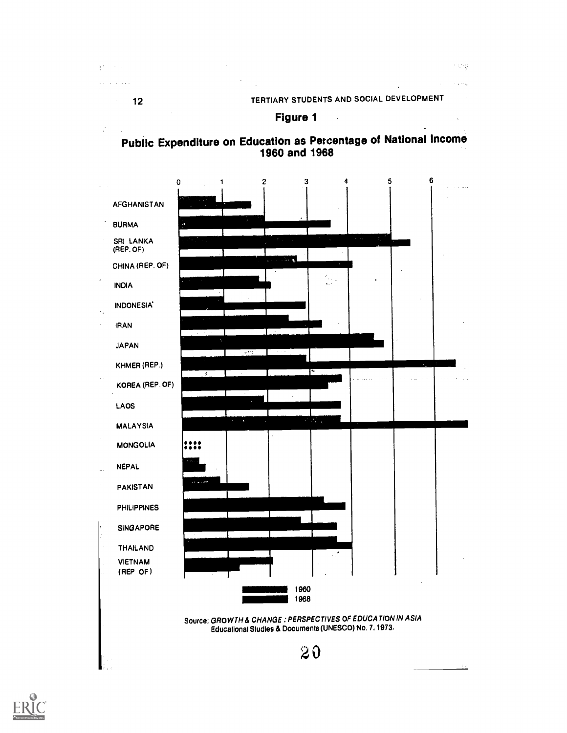in sing

يدب

## Figure 1 and 1







 $\mathbb{R}^{|\mathbf{r}|}$  $\sim$   $\sim$  $\epsilon$  ,  $\epsilon$  ,  $\epsilon$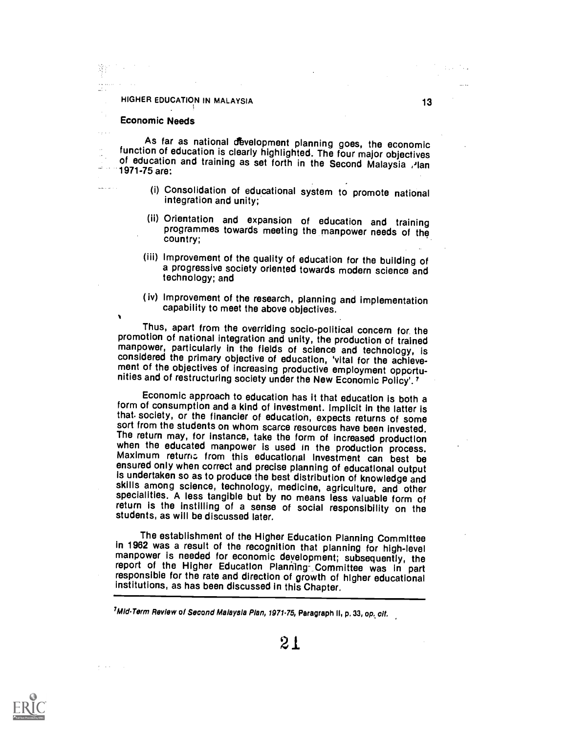#### HIGHER EDUCATION IN MALAYSIA

#### Economic Needs

**Carried** 

 $\sim$   $\epsilon$ ال افتقا

 $\lambda$ 

As far as national development planning goes, the economic function of education is clearly highlighted. The four major objectives of education and training as set forth in the Second Malaysia , $\lambda$ lan 1971-75 are:

- (i) Consolidation of educational system to promote national integration and unity;
- (ii) Orientation and expansion of education and training programmes towards meeting the manpower needs of the country;
- (iii) Improvement of the quality of education for the building of a progressive society oriented towards modern science and technology; and
- ( iv) Improvement of the research, planning and implementation capability to meet the above objectives.

Thus, apart from the overriding socio-political concern for the promotion of national integration and unity, the production of trained manpower, particularly in the fields of science and technology, is<br>considered the primary objective of education, 'vital for the achieve-<br>ment of the objectives of increasing productive employment opportu-<br>nities and of re

Economic approach to education has it that education is both a that society, or the financier of education, expects returns of some sort from the students on whom scarce resources have been invested. The return may, for instance, take the form of increased production<br>when the educated manpower is used in the production process.<br>Maximum returns from this educational investment can best be ensured only when correct and precise planning of educational output is undertaken so as to produce the best distribution of knowledge and skills among science, technology, medicine, agriculture, and other specialities. A less tangible but by no means less valuable form of return is the instilling of a sense of social responsibility on the students, as will be discussed later.

The establishment of the Higher Education Planning Committee<br>in 1962 was a result of the recognition that planning for high-level<br>manpower is needed for economic development; subsequently, the<br>report of the Higher Educatio institutions, as has been discussed in this Chapter.

<sup>7</sup>Mid-Term Review of Second Maiaysia Pian, 1971-75, Paragraph II, p. 33, op. cit.



13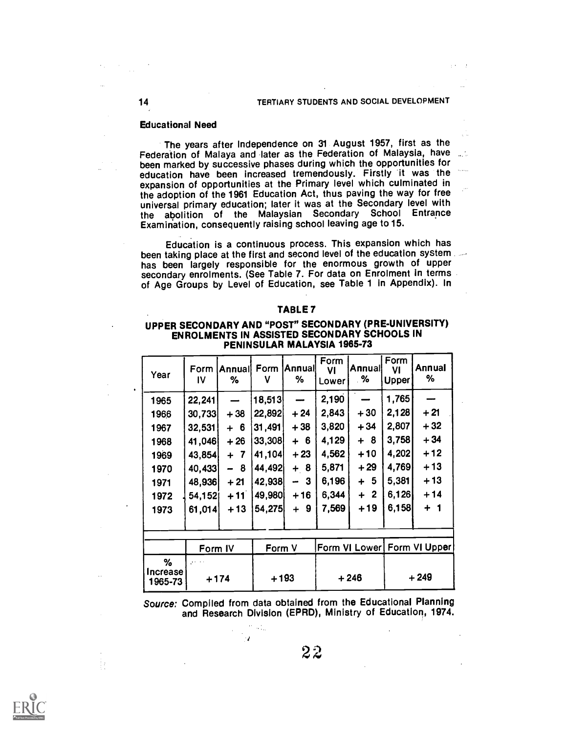#### Educational Need

The years after Independence on 31 August 1957, first as the Federation of Malaya and later as the Federation of Malaysia, have been marked by successive phases during which the opportunities for education have been increased tremendously. Firstly it was the expansion of opportunities at the Primary level which culminated in the adoption of the 1961 Education Act, thus paving the way for free universal primary education; later it was at the Secondary level with the abolition of the Malaysian Secondary School Entrance Examination, consequently raising school leaving age to 15.

Education is a continuous process. This expansion which has been taking place at the first and second level of the education system has been largely responsible for the enormous growth of upper secondary enrolments. (See Table 7. For data on Enrolment in terms of Age Groups by Level of Education, see Table 1 in Appendix). In

#### TABLE 7

#### UPPER SECONDARY AND "POST" SECONDARY (PRE-UNIVERSITY) ENROLMENTS IN ASSISTED SECONDARY SCHOOLS IN PENINSULAR MALAYSIA 1965-73

| Year                | Form<br>IV                                  | Annual Form<br>% | ν      | <b>Annuall</b><br>%                      | Form<br>VI<br>Lower | <b>Annuall</b><br>.% | Form<br>VI<br><b>Upper</b> | Annual<br>%                 |  |
|---------------------|---------------------------------------------|------------------|--------|------------------------------------------|---------------------|----------------------|----------------------------|-----------------------------|--|
| 1965                | 22,241                                      |                  | 18,513 |                                          | 2,190               |                      | 1,765                      |                             |  |
| 1966                | 30,733                                      | $+38$            | 22,892 | $+24$                                    | 2,843               | $+30$                | 2,128                      | $+21$                       |  |
| 1967                | 32,531                                      | $+6$             | 31,491 | $+38$                                    | 3,820               | $+34$                | 2,807                      | $+32$                       |  |
| 1968                | 41,046                                      | $+26$            | 33,308 | $+6$                                     | 4,129               | $+ 8$                | 3,758                      | $+34$                       |  |
| 1969                | 43,854                                      | $+ 7$            | 41,104 | $+23$                                    | 4,562               | $+10$                | 4,202                      | $+12$                       |  |
| 1970                | 40,433                                      | - 8              | 44,492 | $+ 8$                                    | 5,871               | $+29$                | 4,769                      | + 13                        |  |
| 1971                | 48,936                                      | $+21$            | 42,938 | $\mathbf{3}$<br>$\overline{\phantom{a}}$ | 6,196               | $+5$                 | 5,381                      | $+13$                       |  |
| 1972                | 54,152                                      | $+11$            | 49,980 | $+16$                                    | 6,344               | $+2$                 | 6,126                      | $+14$                       |  |
| 1973                | 61,014                                      | $+13$            | 54,275 | $+9$                                     | 7,569               | $+19$                | 6,158                      | $+1$                        |  |
|                     |                                             |                  |        |                                          |                     |                      |                            |                             |  |
|                     | Form IV                                     |                  | Form V |                                          |                     |                      |                            | Form VI Lower Form VI Upper |  |
| %                   | $\mathcal{F}^{(1)}$ and $\mathcal{F}^{(2)}$ |                  |        |                                          |                     |                      |                            |                             |  |
| Increase<br>1965-73 | $+174$                                      |                  |        | $+193$                                   |                     | $+246$               |                            | $+249$                      |  |

Source: Compiled from data obtained from the Educational Planning and Research Division (EPRD), Ministry of Education, 1974.

٠,



 $\frac{1}{2}$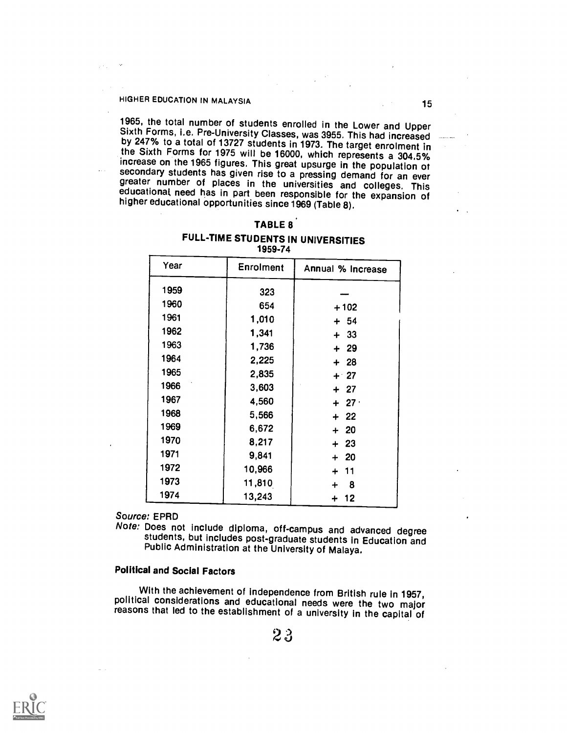## HIGHER EDUCATION IN MALAYSIA 15

 $\pm 1.11 \pm 1.1$ 

1965, the total number of students enrolled in the Lower and Upper<br>Sixth Forms, i.e. Pre-University Classes, was 3955. This had increased<br>by 247% to a total of 13727 students in 1973. The target enrolment in<br>the Sixth For

| FULL-TIME STUDENTS IN UNIVERSITIES |  |
|------------------------------------|--|
| 1959-74                            |  |

| Year | <b>Enrolment</b><br>Annual % Increase |         |  |
|------|---------------------------------------|---------|--|
| 1959 | 323                                   |         |  |
| 1960 | 654                                   | $+102$  |  |
| 1961 | 1,010                                 | $+ 54$  |  |
| 1962 | 1,341                                 | $+33$   |  |
| 1963 | 1,736                                 | $+29$   |  |
| 1964 | 2,225                                 | $+28$   |  |
| 1965 | 2,835                                 | $+27$   |  |
| 1966 | 3,603                                 | $+27$   |  |
| 1967 | 4,560                                 | $+27$   |  |
| 1968 | 5,566                                 | $+ 22$  |  |
| 1969 | 6,672                                 | $+20$   |  |
| 1970 | 8,217                                 | $+23$   |  |
| 1971 | 9,841                                 | $+ 20$  |  |
| 1972 | 10,966                                | + 11    |  |
| 1973 | 11,810                                | 8<br>┿  |  |
| 1974 | 13,243                                | 12<br>┿ |  |

Source: EPRD

Note: Does not include diploma, off-campus and advanced degree students, but includes post-graduate students in Education and Public Administration at the University of Malaya.

## Political and Social Factors

With the achievement of independence from British rule in 1957, political considerations and educational needs were the two major reasons that led to the establishment of a university in the capital of



 $2\sqrt{3}$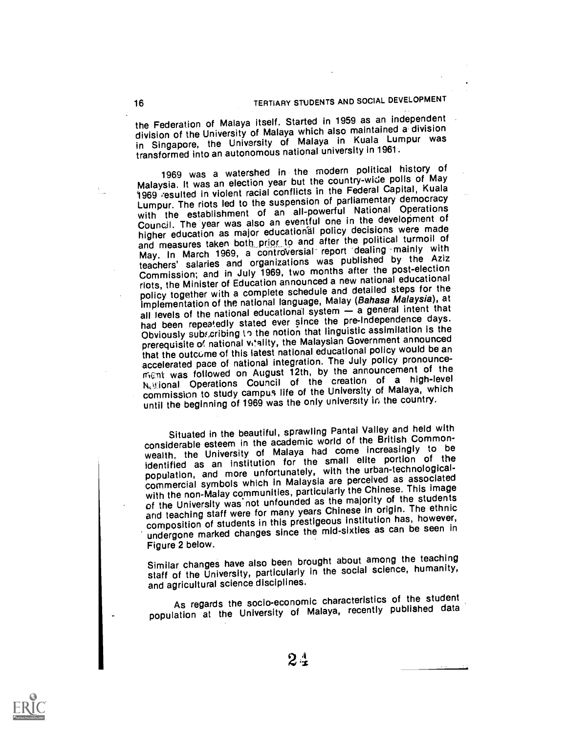the Federation of Malaya itself. Started in 1959 as an independent division of the University of Malaya which also maintained a division in Singapore, the University of Malaya in Kuala Lumpur was transformed into an autonomous national university in 1961.

1969 was a watershed in the modern political history of Malaysia. It was an election year but the country-wide polls of May 1969 .'esulted in violent racial conflicts in the Federal Capital, Kuala Lumpur. The riots led to the suspension of parliamentary democracy with the establishment of an all-powerful National Operations Council. The year was also an eventful one in the development of higher education as major educational policy decisions were made and measures taken both prior to and after the political turmoil of May. In March 1969, a controversial report dealing mainly with teachers' salaries and organizations was published by the Aziz Commission; and in July 1969, two months after the post-election riots, the Minister of Education announced a new national educational policy together with a complete schedule and detailed steps for the implementation of the national language, Malay (Bahasa Malaysia), at all levels of the national educational system - a general intent that had been repeatedly stated ever since the pre-Independence days. Obviously subficribing to the notion that linguistic assimilation is the prerequisite of national vi'ality, the Malaysian Government announced that the outcurne of this latest national educational policy would be an accelerated pace of national integration. The July policy pronouncement was followed on August 12th, by the announcement of the Netional Operations Council of the creation of a high-level commission to study campus life of the University of Malaya, which until the beginning of 1969 was the only university in the country.

Situated in the beautiful, sprawling Pantai Valley and held with considerable esteem in the academic world of the British Commonwealth, the University of Malaya had come increasingly to be identified as an institution for the small elite portion of the population, and more unfortunately, with the urban-technologicalcommercial symbols which in Malaysia are perceived as associated with the non-Malay communities, particularly the Chinese. This image of the University was not unfounded as the majority of the students and teaching staff were for many years Chinese In origin. The ethnic composition of students in this prestigeous institution has, however, undergone marked changes since the mid-sixties as can be seen in Figure 2 below.

Similar changes have also been brought about among the teaching staff of the University, particularly in the social science, humanity, and agricultural science disciplines.

As regards the socio-economic characteristics of the student population at the University of Malaya, recently published data



 $2\,$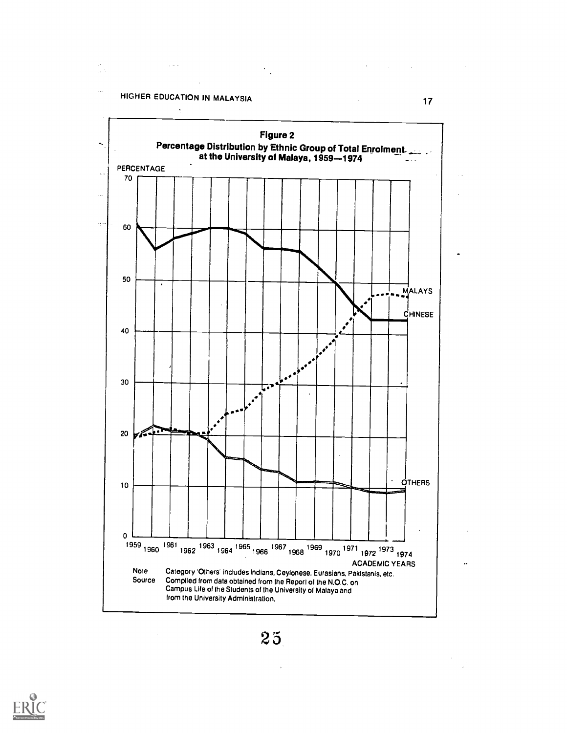HIGHER EDUCATION IN MALAYSIA 17

 $\label{eq:2.1} \frac{1}{\sqrt{2}}\int_{\mathbb{R}^3}\frac{1}{\sqrt{2}}\left(\frac{1}{\sqrt{2}}\right)^2\frac{1}{\sqrt{2}}\left(\frac{1}{\sqrt{2}}\right)^2\frac{1}{\sqrt{2}}\left(\frac{1}{\sqrt{2}}\right)^2\frac{1}{\sqrt{2}}\left(\frac{1}{\sqrt{2}}\right)^2.$ 

 $\sim$   $\sigma$   $\sigma$ 

in.<br>Divi



 $25$ 

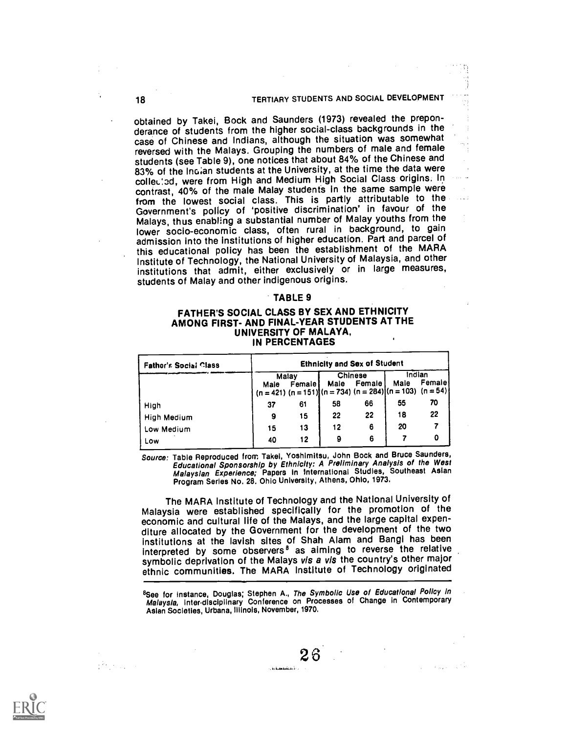#### 18 TERTIARY STUDENTS AND SOCIAL DEVELOPMENT

obtained by Takei, Bock and Saunders (1973) revealed the preponderance of students from the higher social-class backgrounds in the case of Chinese and Indians, although the situation was somewhat reversed with the Malays. Grouping the numbers of male and female students (see Table 9), one notices that about 84% of the Chinese and 83% of the Ingian students at the University, at the time the data were collected, were from High and Medium High Social Class origins. In contrast, 40% of the male Malay students in the same sample were from the lowest social class. This is partly attributable to the Government's policy of 'positive discrimination' in favour of the Malays, thus enabling a substantial number of Malay youths from the lower socio-economic class, often rural in background, to gain admission into the institutions of higher education. Part and parcel of this educational policy has been the establishment of the MARA Institute of Technology, the National University of Malaysia, and other institutions that admit, either exclusively or in large measures, students of Malay and other indigenous origins.

#### TABLE 9

#### FATHER'S SOCIAL CLASS BY SEX AND ETHNICITY AMONG FIRST- AND FINAL-YEAR STUDENTS AT THE UNIVERSITY OF MALAYA, IN PERCENTAGES

| <b>Fathor's Social Class</b> |      | <b>Ethnicity and Sex of Student</b>                                                       |      |                   |                |         |
|------------------------------|------|-------------------------------------------------------------------------------------------|------|-------------------|----------------|---------|
|                              | Male | Malay<br>Female<br>$(n = 421)$ $(n = 151)$ $(n = 734)$ $(n = 284)$ $(n = 103)$ $(n = 54)$ | Male | Chinese<br>Female | Indian<br>Male | Femalel |
| High                         | 37   | 61                                                                                        | 58   | 66                | 55             | 70      |
| <b>High Medium</b>           | 9    | 15                                                                                        | 22   | 22                | 18             | 22      |
| Low Medium                   | 15   | 13                                                                                        | 12   | 6                 | 20             |         |
| Low                          | 40   | 12                                                                                        | 9    | 6                 |                | o       |

Source: Table Reproduced from Takel, Yoshimitsu, John Bock and Bruce Saunders Educational Sponsorship by Ethnicity; A Preliminary Analysis of the Wes Malaysian Experience; Papers in International Studies, Southeast Asian Program Series No. 28. Ohio University, Athens, Ohio, 1973,

The MARA Institute of Technology and the National University of Malaysia were established specifically for the promotion of the economic and cultural life of the Malays, and the large capital expenditure allocated by the Government for the development of the two institutions at the lavish sites of Shah Alam and Bangi has been interpreted by some observers<sup>8</sup> as aiming to reverse the relative symbolic deprivation of the Malays vis a vis the country's other major ethnic communities. The MARA Institute of Technology originated

<sup>8</sup>See for instance, Douglas; Stephen A., *The Symbolic Use of Educational Policy in*<br>Malaysia, inter-disciplinary Conference on Processes of Change in Contemporary Asian Societies, Urbana, Illinois, November, 1970.

فاستقفه فقطاء والمنا

2 6

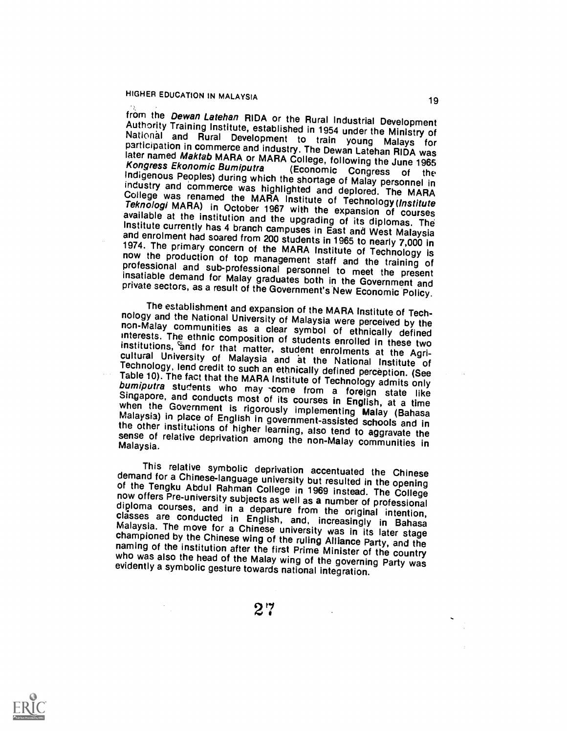from the *Dewan Latehan* RIDA or the Rural Industrial Development<br>Authority Training Institute, established in 1954 under the Ministry of<br>National and Rural Development to train young Malays for<br>participation in commerce a College was renamed the MARA Institute of Technology (Institute Teknologi MARA) in October 1967 with the expansion of courses available at the institution and the upgrading of its diplomas. The<br>Institute currently has 4 branch campuses in East and West Malaysia<br>and enrolment had soared from 200 students in 1965 to nearly 7,000 in<br>1974. The primar

The establishment and expansion of the MARA Institute of Tech-<br>nology and the National University of Malaysia were perceived by the<br>non-Malay communities as a clear symbol of ethnically defined<br>interests. The ethnic compos

This relative symbolic deprivation accentuated the Chinese<br>demand for a Chinese-language university but resulted in the opening<br>of the Tengku Abdul Rahman College in 1969 instead. The College<br>now offers Pre-university subj

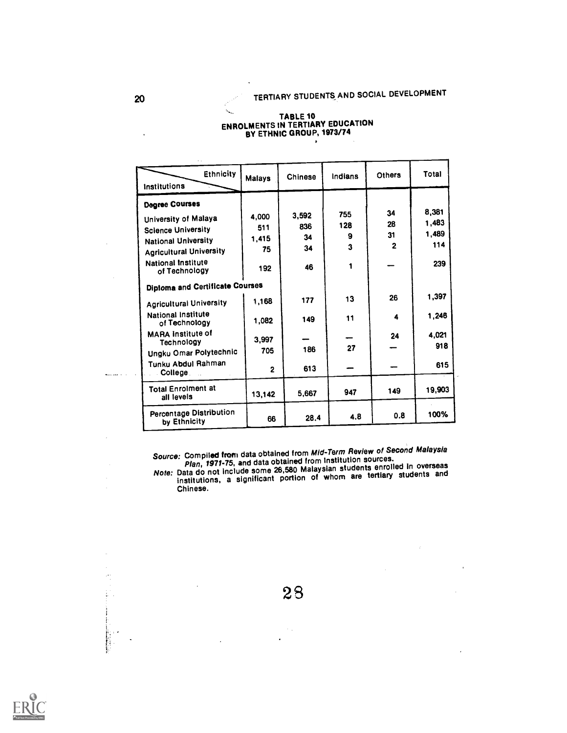#### TABLE 10<sub>00000</sub>. ENROLMENTS IN TERTIARY EDUCATION BY ETHNIC GROUP, 1973/74

K.

| <b>Ethnicity</b><br>Institutions                         | <b>Malays</b>  | Chinese | Indians | Others         | Total  |
|----------------------------------------------------------|----------------|---------|---------|----------------|--------|
| <b>Degree Courses</b>                                    |                |         |         |                |        |
| University of Malaya                                     | 4.000          | 3,592   | 755     | 34             | 8,381  |
| <b>Science University</b>                                | 511            | 836     | 128     | 28             | 1,483  |
| <b>National University</b>                               | 1,415          | 34      | 9       | 31             | 1,489  |
| <b>Agricultural University</b>                           | 75             | 34      | 3       | $\overline{2}$ | 114    |
| National Institute<br>of Technology                      | 192            | 46      | 1       |                | 239    |
| <b>Diploma and Certificate Courses</b>                   |                |         |         |                |        |
| <b>Agricultural University</b>                           | 1,168          | 177     | 13      | 26             | 1,397  |
| National Institute<br>of Technology                      | 1,082          | 149     | 11      | 4              | 1,246  |
| <b>MARA Institute of</b>                                 | 3,997          |         |         | 24             | 4.021  |
| Technology                                               | 705            | 186     | 27      |                | 918    |
| Ungku Omar Polytechnic<br>Tunku Abdul Rahman<br>College. | $\overline{2}$ | 613     |         |                | 615    |
| <b>Total Enrolment at</b><br>all levels                  | 13,142         | 5,667   | 947     | 149            | 19,903 |
| Percentage Distribution<br>by Ethnicity                  | 66             | 28.4    | 4.8     | 0.8            | 100%   |

Source: Compil**ed from** data obtained from Mid-Term Review of Second Malaysia<br>Plan, 1971-75, and data obtained from Institution sources.<br>Note: Data do not include some 26,580 Malaysian students enrolled in overseas<br>institu Chinese.

 $\label{eq:1} \frac{1}{\sqrt{2}}\sum_{i=1}^n\frac{1}{\sqrt{2}}\sum_{i=1}^n\frac{1}{\sqrt{2}}\sum_{i=1}^n\frac{1}{\sqrt{2}}\sum_{i=1}^n\frac{1}{\sqrt{2}}\sum_{i=1}^n\frac{1}{\sqrt{2}}\sum_{i=1}^n\frac{1}{\sqrt{2}}\sum_{i=1}^n\frac{1}{\sqrt{2}}\sum_{i=1}^n\frac{1}{\sqrt{2}}\sum_{i=1}^n\frac{1}{\sqrt{2}}\sum_{i=1}^n\frac{1}{\sqrt{2}}\sum_{i=1}^n\frac{1$ 



28

 $\sim$   $_{\star}$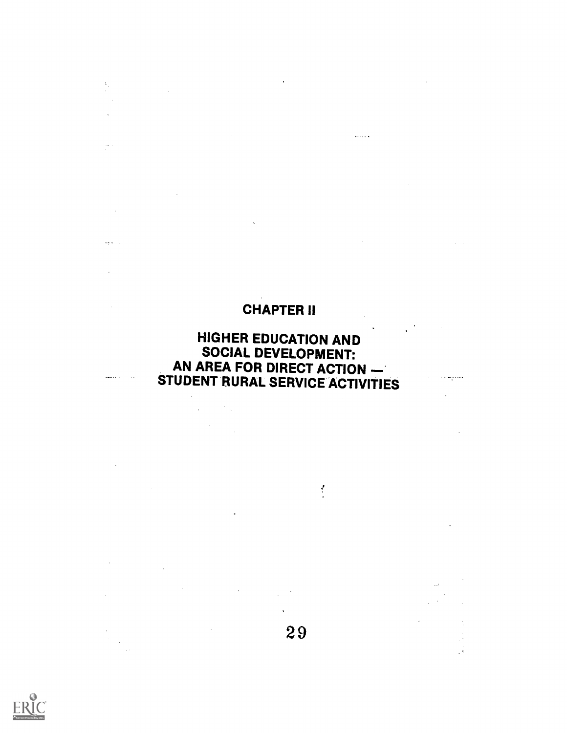# CHAPTER II

 $\sim 10^{11}$  km  $^{-1}$ 

 $\sim$  GeV and  $\zeta$ 

 $\mathcal{L}^{\text{max}}_{\text{max}}$ 

 $\frac{\partial}{\partial t}$ 

 $\mathcal{L}^{\text{max}}_{\text{max}}$  .

 $\mathcal{L}_{\text{max}} = \mathcal{L}_{\text{max}}$  $\label{eq:2.1} \frac{1}{\sqrt{2}}\int_{0}^{\infty}\frac{1}{\sqrt{2\pi}}\left(\frac{1}{\sqrt{2\pi}}\right)^{2}d\mu\,d\mu\,.$ 

 $\mathcal{L}^{\mathcal{L}}(\mathcal{L}^{\mathcal{L}})$  and  $\mathcal{L}^{\mathcal{L}}(\mathcal{L}^{\mathcal{L}})$  and  $\mathcal{L}^{\mathcal{L}}(\mathcal{L}^{\mathcal{L}})$ 

 $\mathcal{L}^{\text{max}}_{\text{max}}$ 

 $\Box$ 

 $\frac{1}{\sqrt{2}}\sum_{i=1}^{n} \frac{1}{\sqrt{2}}\left(\frac{1}{\sqrt{2}}\right)^2\left(\frac{1}{\sqrt{2}}\right)^2.$ 

 $\frac{V_{\rm{B}}}{\sigma_{\rm{B}}}$ 

الداخية

 $\sim$ 

 $\mathcal{L}_{\text{max}}$  and  $\mathcal{L}_{\text{max}}$ 

 $\label{eq:1} \begin{split} \mathcal{A}^{(1)}(x) &= \mathcal{A}^{(1)}(x) \mathcal{A}^{(1)}(x) \mathcal{A}^{(1)}(x) \mathcal{A}^{(1)}(x) \mathcal{A}^{(1)}(x) \mathcal{A}^{(1)}(x) \mathcal{A}^{(1)}(x) \mathcal{A}^{(1)}(x) \mathcal{A}^{(1)}(x) \mathcal{A}^{(1)}(x) \mathcal{A}^{(1)}(x) \mathcal{A}^{(1)}(x) \mathcal{A}^{(1)}(x) \mathcal{A}^{(1)}(x) \mathcal{A}^{(1)}(x$ 

 $\frac{1}{\left\| \mathcal{F} \right\|_{\mathcal{F}}^{2}} \leq \frac{1}{\left\| \mathcal{F} \right\|_{\mathcal{F}}^{2}}$ 

# HIGHER EDUCATION AND SOCIAL DEVELOPMENT: AN AREA FOR DIRECT ACTION STUDENT RURAL SERVICE ACTIVITIES

29

 $\sim 10^{-1}$ 

 $\mathcal{L}$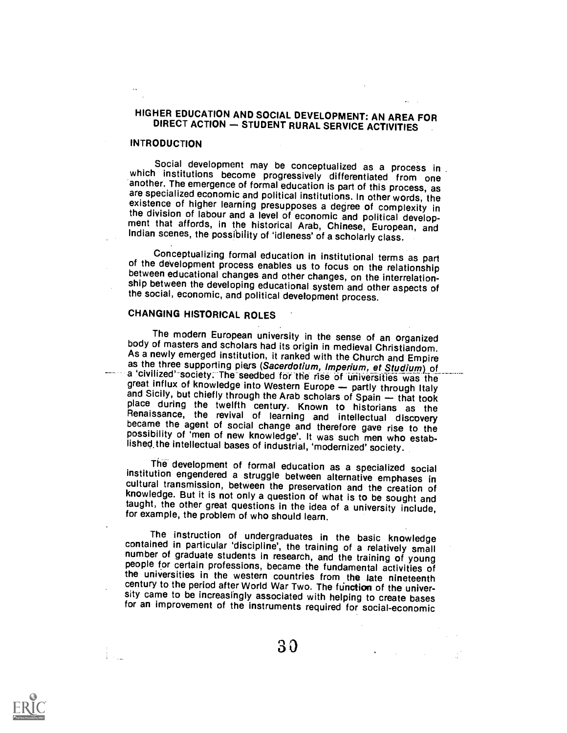# HIGHER EDUCATION AND SOCIAL DEVELOPMENT: AN AREA FOR<br>DIRECT ACTION — STUDENT RURAL SERVICE ACTIVITIES

## **INTRODUCTION**

Social development may be conceptualized as a process in<br>which institutions become progressively differentiated from one<br>another. The emergence of formal education is part of this process, as<br>are specialized economic and p Indian scenes, the possibility of 'idleness' of a scholarly class.

Conceptualizing formal education in institutional terms as part of the development process enables us to focus on the relationship between educational changes and other changes, on the interrelationship between the developing educational system and other aspects of the social, economic, and political development process.

## CHANGING HISTORICAL ROLES

The modern European university in the sense of an organized<br>body of masters and scholars had its origin in medieval Christiandom.<br>As a newly emerged institution, it ranked with the Church and Empire<br>as the three supporting lished the intellectual bases of industrial, 'modernized' society.

The development of formal education as a specialized social<br>institution engendered a struggle between alternative emphases in<br>cultural transmission, between the preservation and the creation of<br>knowledge. But it is not onl taught, the other great questions in the idea of a university include, for example, the problem of who should learn.

The instruction of undergraduates in the basic knowledge<br>contained in particular 'discipline', the training of a relatively small<br>number of graduate students in research, and the training of young<br>people for certain profes sity came to be increasingly associated with helping to create bases for an improvement of the instruments required for social-economic

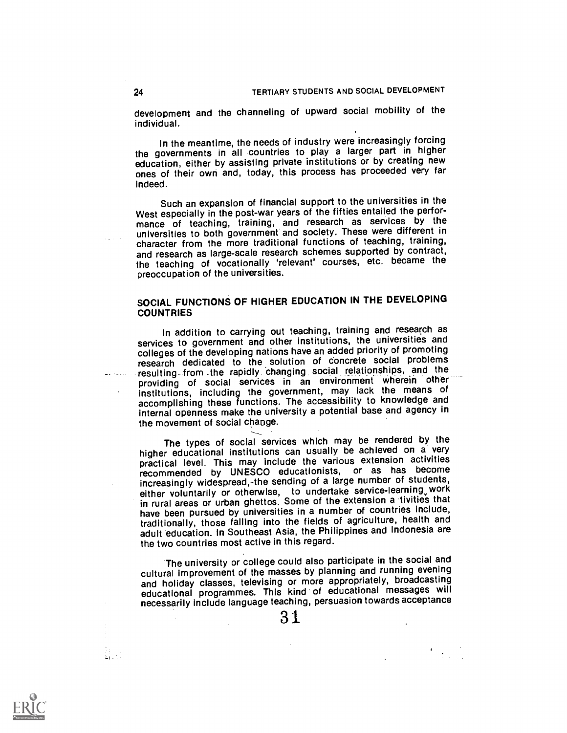development and the channeling of upward social mobility of the individual.

In the meantime, the needs of industry were increasingly forcing the governments in all countries to play a larger part in higher education, either by assisting private institutions or by creating new ones of their own and, today, this process has proceeded very far indeed.

Such an expansion of financial support to the universities in the West especially in the post-war years of the fifties entailed the performance of teaching, training, and research as services by the universities to both government and society. These were different in character from the more traditional functions of teaching, training, and research as large-scale research schemes supported by contract, the teaching of vocationally 'relevant' courses, etc. became the preoccupation of the universities.

## SOCIAL FUNCTIONS OF HIGHER EDUCATION IN THE DEVELOPING **COUNTRIES**

In addition to carrying out teaching, training and research as services to government and other institutions, the universities and colleges of the developing nations have an added priority of promoting research dedicated to the solution of concrete social problems resulting-from the rapidly changing social relationships, and the providing of social services in an environment wherein other institutions, including the government, may lack the means of accomplishing these functions. The accessibility to knowledge and internal openness make the university a potential base and agency in the movement of social change.

The types of social services which may be rendered by the higher educational institutions can usually be achieved on a very practical level. This may include the various extension activities recommended by UNESCO educationists, or as has become increasingly widespread,-the sending of a large number of students, either voluntarily or otherwise, to undertake service-learning work in rural areas or urban ghettos. Some of the extension a tivities that have been pursued by universities in a number of countries include, traditionally, those falling into the fields of agriculture, health and adult education. In Southeast Asia, the Philippines and Indonesia are the two countries most active in this regard.

The university or college could also participate in the social and cultural improvement of the masses by planning and running evening and holiday classes, televising or more appropriately, broadcasting educational programmes. This kind of educational messages will necessarily include language teaching, persuasion towards acceptance

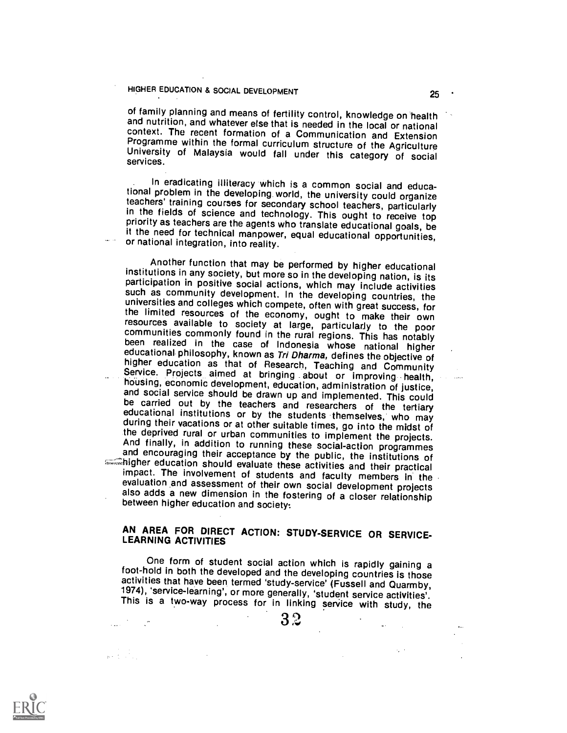of family planning and means of fertility control, knowledge on health<br>and nutrition, and whatever else that is needed in the local or national context. The recent formation of a Communication and Extension<br>Programme within the formal curriculum structure of the Agriculture<br>University of Malaysia would fall under this category of social<br>services.

In eradicating illiteracy which is a common social and educational problem in the developing world, the university could organize teachers' training courses for secondary school teachers, particularly in the fields of science and technology. This ought to receive top priority as teachers are the agents who translate educational goals, be it the need for technical manpower, equal educational opportunities, or national integration, into reality.

Another function that may be performed by higher educational<br>institutions in any society, but more so in the developing nation, is its<br>participation in positive social actions, which may include activities<br>such as communit universities and colleges which compete, often with great success, for<br>the limited resources of the economy, ought to make their own<br>resources available to society at large, particularly to the poor<br>communities commonly fo impact. The involvement of students and faculty members in the evaluation and assessment of their own social development projects also adds a new dimension in the fostering of a closer relationship between higher education and society:

# AN AREA FOR DIRECT ACTION: STUDY-SERVICE OR SERVICE-LEARNING ACTIVITIES

One form of student social action which is rapidly gaining a foot-hold in both the developed and the developing countries is those activities that have been termed 'study-service' (Fussell and Quarmby, 1974), 'service-learning', or more generally, 'student service activities'.<br>This is a two-way process for in linking service with study, the

 $\sim 100$ 

 $\mathcal{L}^{\mathcal{L}}$ 



 $\mathbf{B} \in \mathbb{C}^{n \times n \times n}$  .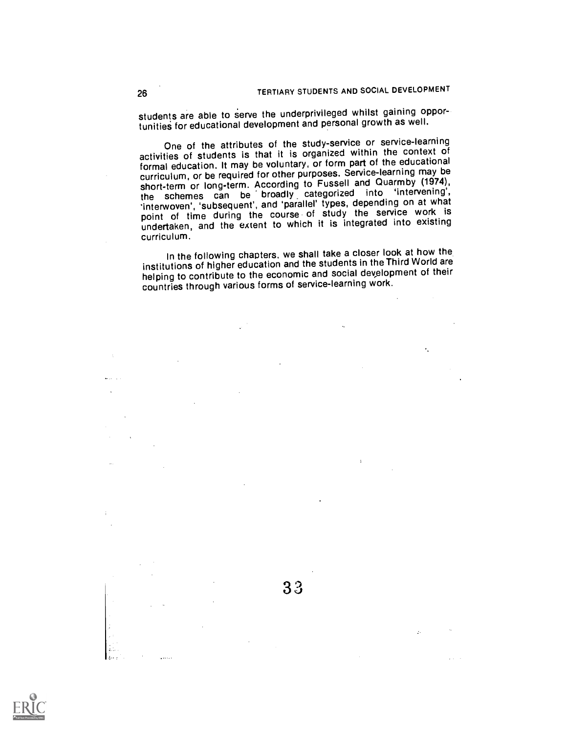students are able to serve the underprivileged whilst gaining opportunities for educational development and personal growth as well.

One of the attributes of the study-service or service-learning activities of students is that it is organized within the context of formal education. It may be voluntary, or form part of the educational curriculum, or be required for other purposes. Service-learning may be short-term or long-term. According to Fussell and Quarmby (1974), the schemes can be broadly, categorized into 'intervening', 'interwoven', 'subsequent', and 'parallel' types, depending on at what point of time during the course of study the service work is undertaken, and the extent to which it is integrated into existing curriculum.

In the following chapters, we shall take a closer look at how the institutions of higher education and the students in the Third World are helping to contribute to the economic and social development of their countries through various forms of service-learning work.

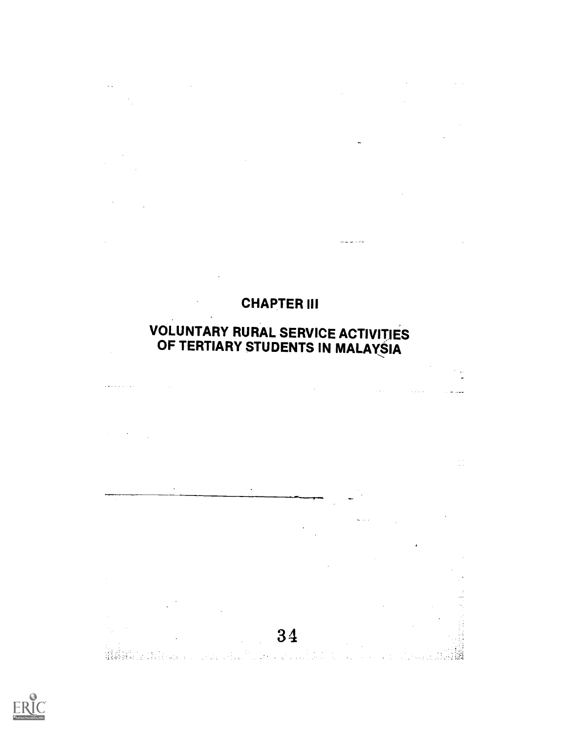# CHAPTER III

 $\sim$   $\sim$ 

 $\label{eq:2.1} \frac{1}{\sqrt{2}}\int_{0}^{\infty}\frac{1}{\sqrt{2\pi}}\left(\frac{1}{\sqrt{2\pi}}\right)^{2\alpha} \frac{1}{\sqrt{2\pi}}\int_{0}^{\infty}\frac{1}{\sqrt{2\pi}}\left(\frac{1}{\sqrt{2\pi}}\right)^{\alpha} \frac{1}{\sqrt{2\pi}}\frac{1}{\sqrt{2\pi}}\int_{0}^{\infty}\frac{1}{\sqrt{2\pi}}\frac{1}{\sqrt{2\pi}}\frac{1}{\sqrt{2\pi}}\frac{1}{\sqrt{2\pi}}\frac{1}{\sqrt{2\pi}}\frac{1}{\sqrt{2\pi}}$ 

 $\ddot{\phantom{a}}$ 

للمساريد المربيد

 $\mathcal{A}^{\mathcal{A}}$ 

 $\label{eq:2.1} \frac{1}{\sqrt{2}}\int_{\mathbb{R}^3}\frac{1}{\sqrt{2}}\left(\frac{1}{\sqrt{2}}\right)^2\left(\frac{1}{\sqrt{2}}\right)^2\left(\frac{1}{\sqrt{2}}\right)^2\left(\frac{1}{\sqrt{2}}\right)^2\left(\frac{1}{\sqrt{2}}\right)^2\left(\frac{1}{\sqrt{2}}\right)^2.$ 

 $\label{eq:2.1} \frac{1}{\sqrt{2\pi}}\sum_{i=1}^{N} \frac{1}{\sqrt{2\pi}}\sum_{i=1}^{N} \frac{1}{\sqrt{2\pi}}\sum_{i=1}^{N} \frac{1}{\sqrt{2\pi}}\sum_{i=1}^{N} \frac{1}{\sqrt{2\pi}}\sum_{i=1}^{N} \frac{1}{\sqrt{2\pi}}\sum_{i=1}^{N} \frac{1}{\sqrt{2\pi}}\sum_{i=1}^{N} \frac{1}{\sqrt{2\pi}}\sum_{i=1}^{N} \frac{1}{\sqrt{2\pi}}\sum_{i=1}^{N} \frac{1}{\sqrt{2\pi}}\$ 

 $\bar{\epsilon}$ 

## VOLUNTARY RURAL SERVICE ACTIVITIES OF TERTIARY STUDENTS IN MALAYSIA



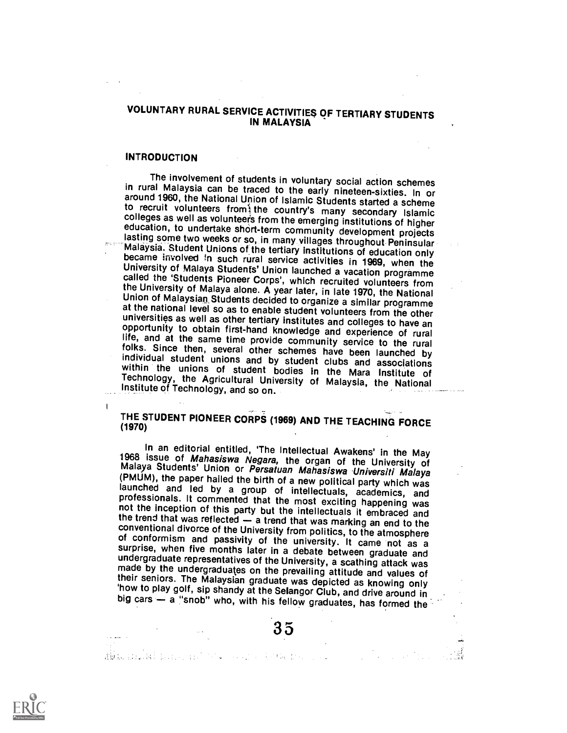## VOLUNTARY RURAL SERVICE ACTIVITIES OF TERTIARY STUDENTS IN MALAYSIA

#### **INTRODUCTION**

 $\mathbf{I}$ 

The involvement of students in voluntary social action schemes<br>in rural Malaysia can be traced to the early interele-sixties. In or<br>around 1960, the National Union of Islamic Students started a scheme<br>to recruit volunteers

# THE STUDENT PIONEER CORPS (1969) AND THE TEACHING FORCE (1970)

In an editorial entitled, 'The Intellectual Awakens' in the May<br>1968 issue of Mahasiswa Negara, the organ of the University of<br>Malaya Students' Union or Persatuan Mahasiswa Universiti Malaya (PMUM), the paper hailed the birth of a new political party which was launched and led by a group of intellectuals, academics, and professionals. It commented that the most exciting happening was not the inception of this

di.<br><mark>Waa bila M</mark>adama wa Marekani ya Katika Marekani ya Marekani ya Marekani ya Marekani ya Marekani ya Marekani ya M

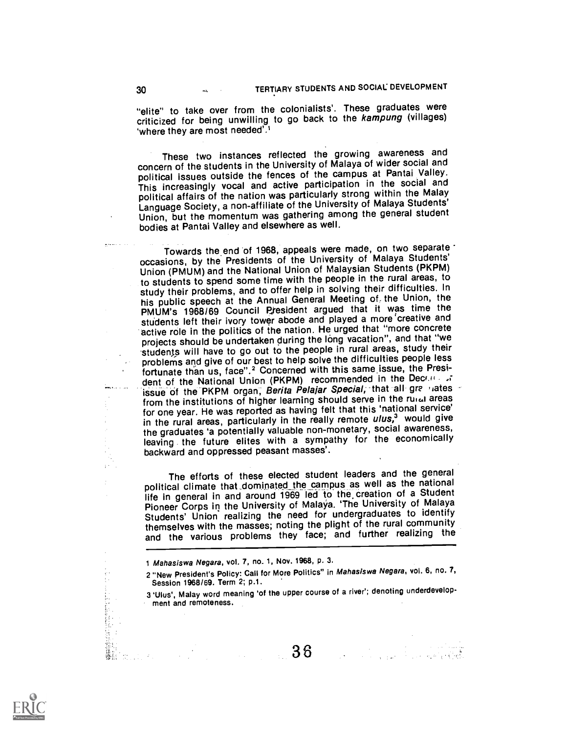l<br><del>An</del>istra (1994)

"elite" to take over from the colonialists'. These graduates were criticized for being unwilling to go back to the kampung (villages) 'where they are most needed'.<sup>1</sup>

These two instances reflected the growing awareness and concern of the students in the University of Malaya of wider social and political issues outside the fences of the campus at Pantai Valley. This increasingly vocal and active participation in the social and political affairs of the nation was particularly strong within the Malay Language Society, a non-affiliate of the University of Malaya Students' Union, but the momentum was gathering among the general student bodies at Pantai Valley and elsewhere as well.

Towards the end of 1968, appeals were made, on two separate occasions, by the Presidents of the University of Malaya Students' Union (PMUM) and the National Union of Malaysian Students (PKPM) to students to spend some time with the people in the rural areas, to study their problems, and to offer help in solving their difficulties. In his public speech at the Annual General Meeting of. the Union, the PMUM's 1968/69 Council Piesident argued that it was time the students left their ivory tower abode and played a more 'creative and active role in the politics of the nation. He urged that "more concrete projects should be undertaken during the lông vacation", and that "we students will have to go out to the people in rural areas, study their problems and give of our best to help solve the difficulties people less fortunate than us, face".<sup>2</sup> Concerned with this same issue, the President of the National Union (PKPM) recommended in the Decrement issue of the PKPM organ, Berita Pelajar Special, that all gree lates from the institutions of higher learning should serve in the ruical areas for one year. He was reported as having felt that this 'national service' in the rural areas, particularly in the really remote ulus,<sup>3</sup> would give the graduates 'a potentially valuable non-monetary, social awareness, leaving the future elites with a sympathy for the economically backward and oppressed peasant masses'.

The efforts of these elected student leaders and the general political climate that dominated the campus as well as the national life in general in and around 1969 led to the, creation of a Student Pioneer Corps in the University of Malaya. 'The University of Malaya Students' Union realizing the need for undergraduates to identify themselves with the masses; noting the plight of the rural community and the various problems they face; and further realizing the



t Mahasiswa Negara, vol. 7, no. 1, Nov. 1968, p. 3.

Session 1968/69. Term 2; p.1.

<sup>2 &</sup>quot;New President's Policy: Call for More Politics" in Mahasiswa Negara, vol. 6, no. 7,<br>
Session 1968/69. Term 2; p.1.<br>
3 'Ulus', Malay word meaning 'of the upper course of a river'; denoting underdevelop-<br>
ment and remote 3 'thus', Malay word meaning 'of the upper course of a river; denoting underdevelopment and remoteness.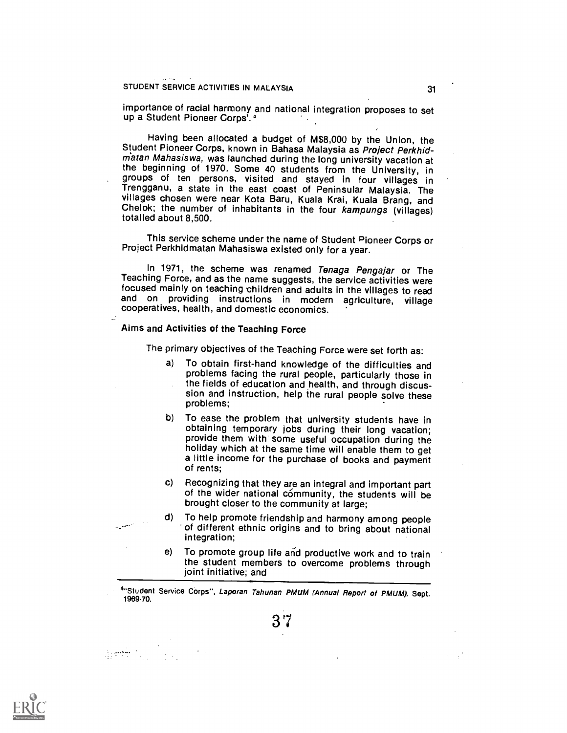importance of racial harmony and national integration proposes to set up a Student Pioneer Corps'.<sup>4</sup>

Having been allocated a budget of M\$8,000 by the Union, the Student Pioneer Corps, known in Bahasa Malaysia as Project Perkhid-<br>matan Mahasiswa, was launched during the long university vacation at the beginning of 1970. Some 40 students from the University, in groups of ten persons, visited and stayed in four villages in Trengganu, a state in the east coast of Peninsular Malaysia. The<br>villages chosen were near Kota Baru, Kuala Krai, Kuala Brang, and Chelok; the number of inhabitants in the four kampungs (villages) totalled about 8,500.

This service scheme under the name of Student Pioneer Corps or Project Perkhidmatan Mahasiswa existed only for a year.

In 1971, the scheme was renamed Tenaga Pengajar or The Teaching Force, and as the name suggests, the service activities were focused mainly on teaching children and adults in the villages to read and on providing instructions in modern agriculture, village cooperatives, health, and domestic economics.

#### Aims and Activities of the Teaching Force

The primary objectives of the Teaching Force were set forth as:

- a) To obtain first-hand knowledge of the difficulties and problems facing the rural people, particularly those in the fields of education and health, and through discussion and instruction, help ihe rural people solve these problems;
- b) To ease the problem that university students have in obtaining temporary jobs during their long vacation; provide them with some useful occupation during the holiday which at the same time will enable them to get a little income for the purchase of books and payment of rents;
- c) Recognizing that they are an integral and important part of the wider national community, the students will be brought closer to the community at large;
- d) To help promote friendship and harmony among people of different ethnic origins and to bring about national integration;
- e) To promote group life and productive work and to train the student members to overcome problems through joint initiative; and

4"Student Service Corps", Laporan Tahunan PMUM (Annual Report of PMUM), Sept.<br>1969-70.

3'7

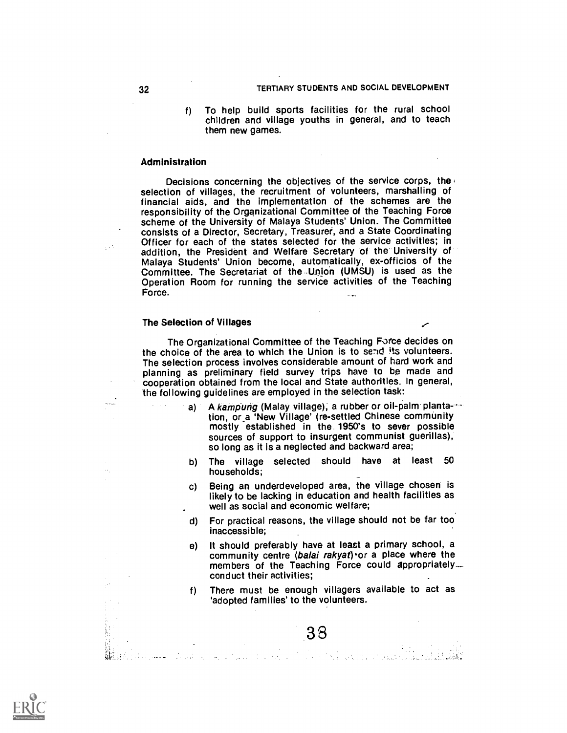f) To help build sports facilities for the rural school children and village youths in general, and to teach them new games.

#### Administration

Decisions concerning the objectives of the service corps, the selection of villages, the recruitment of volunteers, marshalling of financial aids, and the implementation of the schemes are the responsibility of the Organizational Committee of the Teaching Force scheme of the University of Malaya Students' Union. The Committee<br>consists of a Director, Secretary, Treasurer, and a State Coordinating Officer for each of the states selected for the service activities; in addition, the President and Welfare Secretary of the University of Malaya Students' Union become, automatically, ex-officios of the<br>Committee. The Secretariat of the Union (UMSU) is used as the<br>Operation Room for running the service activities of the Teaching Force.

#### The Selection of Villages

The Organizational Committee of the Teaching Farce decides on the choice of the area to which the Union is to send its volunteers.<br>The selection process involves considerable amount of hard work and planning as preliminary field survey trips have to be made and cooperation obtained from the local and State authorities. In general, the following guidelines are employed in the selection task:

- a) A kampung (Malay village), a rubber or oil-palm plantation, or.a 'New Village' (re-settled Chinese community mostly established in the 1950's to sever possible sources of support to insurgent communist guerillas), so long as it is a neglected and backward area;
- b) The village selected should have at least 50 households; -
- c) Being an underdeveloped area, the village chosen is likely to be lacking in education and health facilities as well as social and economic welfare;
- d) For practical reasons, the village should not be far too inaccessible;
- e) It should preferably have at least a primary school, a community centre (balai rakyat) or a place where the members of the Teaching Force could appropriately... conduct their activities;
- f) There must be enough villagers available to act as 'adopted families' to the volunteers.

المحمد المحمد المحمد المحمد المحمد المحمد المحمد المحمد المحمد المحمد المحمد المحمد المحمد المحمد ال<br>المحمد المحمد الأساء الأولى المحمد المحمد المحمد المحمد المحمد المحمد المحمد المحمد المحمد المحمد المحمد المحم



الأنباع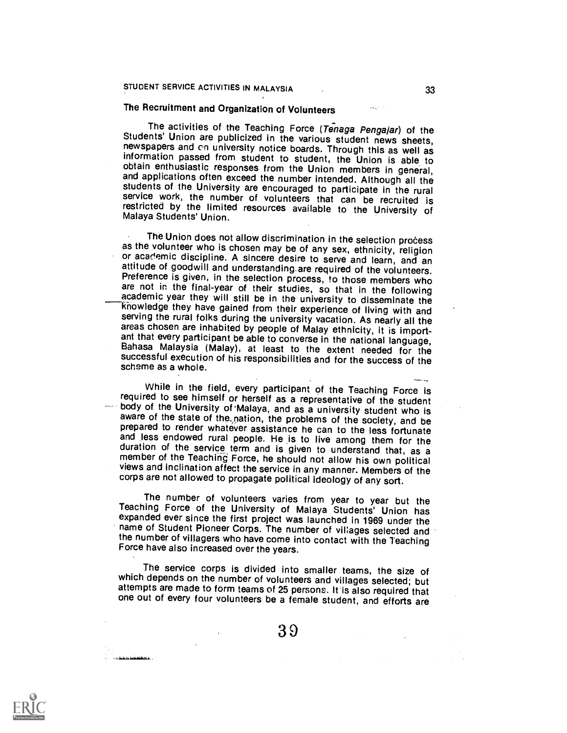# The Recruitment and Organization of Volunteers

The activities of the Teaching Force (Tenaga Pengajar) of the Students' Union are publicized in the various student news sheets, newspapers and on university notice boards. Through this as well as information passed from s and applications often exceed the number intended. Although all the students of the University are encouraged to participate in the rural service work, the number of volunteers that can be recruited is restricted by the li

The Union does not allow discrimination in the selection process as the volunteer who is chosen may be of any sex, ethnicity, religion or academic discipline. A sincere desire to serve and learn, and an attitude of goodwill and understanding are required of the volunteers.<br>Preference is given, in the selection process, to those members who are not in the final-year of their studies, so that in the following academic year knowledge they have gained from their experience of living with and serving the rural folks during the university vacation. As nearly all the areas chosen are inhabited by people of Malay ethnicity, it is important that every participant be able to converse in the national language, Bahasa Malaysia (Malay), at least to the extent needed for the successful execution of his responsibilities and for the success of the scheme as a whole.

While in the field, every participant of the Teaching Force is<br>required to see himself or herself as a representative of the student<br>body of the University of Malaya, and as a university student who is<br>aware of the state o and less endowed rural people. He is to live among them for the duration of the service term and is given to understand that, as a member of the Teaching Force, he should not allow his own political views and inclination affect the service in any manner. Members of the corps are not allowed to propagate political ideology of any sort.

The number of volunteers varies from year to year but the Teaching Force of the University of Malaya Students' Union has expanded ever since the first project was launched in 1969 under the name of Student Pioneer Corps. T the number of villagers who have come into contact with the Teaching<br>Force have also increased over the years.

The service corps is divided into smaller teams, the size of<br>which depends on the number of volunteers and villages selected; but<br>attempts are made to form teams of 25 persons. It is also required that<br>one out of every fou

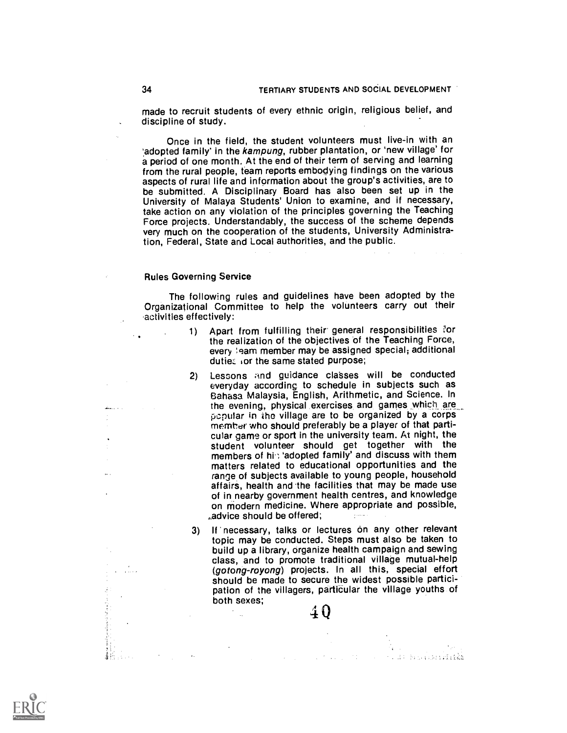made to recruit students of every ethnic origin, religious belief, and discipline of study.

Once in the field, the student volunteers must live-in with an 'adopted family' in the kampung, rubber plantation, or 'new village' for a period of one month. At the end of their term of serving and learning from the rural people, team reports embodying findings on the various aspects of rural life and information about the group's activities, are to be submitted. A Disciplinary Board has also been set up in the University of Malaya Students' Union to examine, and if necessary, take action on any violation of the principles governing the Teaching Force projects. Understandably, the success of the scheme depends very much on the cooperation of the students, University Administration, Federal, State and Local authorities, and the public.

#### Rules Governing Service

The following rules and guidelines have been adopted by the Organizational Committee to help the volunteers carry out their 'activities effectively:

- 1) Apart from fulfilling their general responsibilities for the realization of the objectives of the Teaching Force, every leam member may be assigned special; additional duties: ior the same stated purpose;
- 2) Lessons and guidance classes will be conducted everyday according to schedule in subjects such as Bahasa Malaysia, English, Arithmetic, and Science. In popular in the village are to be organized by a corps member who should preferably be a player of that particular game or sport in the university team. At night, the student volunteer should get together with the members of  $hi$ ; 'adopted family' and discuss with them matters related to educational opportunities and the range of subjects available to young people, household affairs, health and 'the facilities that may be made use of in nearby government health centres, and knowledge on modern medicine. Where appropriate and possible, advice should be offered;

3) If necessary, talks or lectures on any other relevant topic may be conducted. Steps must also be taken to build up a library, organize health campaign and sewing class, and to promote traditional village mutual-help (gotong-royong) projects. In all this, special effort should be made to secure the widest possible participation of the villagers, particular the village youths of both sexes;  $40$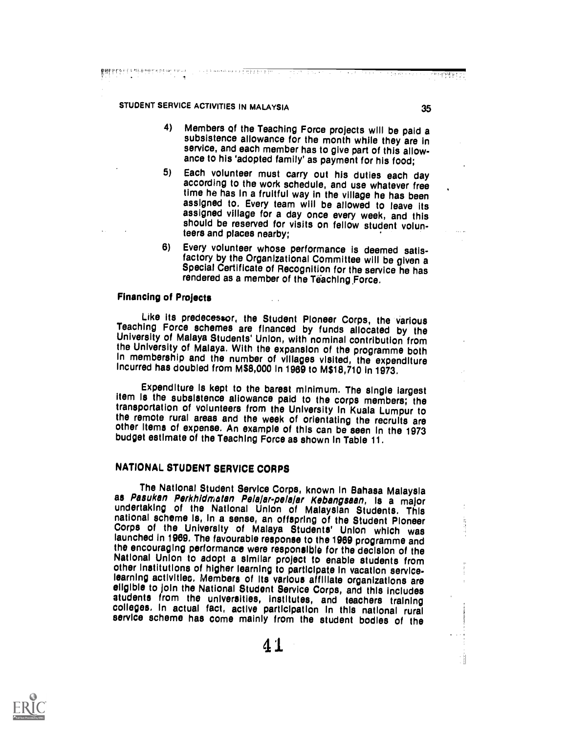**है कि के साथ है कि विकास करने का साथ करने हैं। उनके विकास करने के बाद की साथ करने का साथ करने के साथ करने के स<br>के साथ करने के लिए कि साथ करने के लिए कि साथ करने के लिए कि साथ करने के लिए कि साथ करने के लिए कि साथ करने** 

- 4) Members qf the Teaching Force projects will be paid a subsistence allowance for the month while they are in service, and each member has to give part of this allowance to his 'adopted family' as payment for his food;
- 5) Each volunteer must carry out his duties each day according to the work schedule, and use whatever free time he has in a fruitful way in the village he has been assigned to. Every team will be allowed to leave its assigned village for a day once every week, and this should be reserved for visits on fellow student volunteers and places nearby;
- 6) Every volunteer whose performance is deemed satis-<br>factory by the Organizational Committee will be given a Special Certificate of Recognition for the service he has rendered as a member of the Teaching Force.

#### Financing of Projects

Like its predecessor, the Student Pioneer Corps, the various Teaching Force schemes are financed by funds allocated by the University of Malaya Students' Union, with nominal contribution from the University of Malaya. With the expansion of the programme both In membership and the number of villages visited, the expenditure incurred has doubled from M\$8,000 in 1969 to M\$18,710 in 1973.

Expenditure is kept to the barest minimum. The single largest item is the subsistence allowance paid to the corps members; the transportation of volunteers from the University in Kuala Lumpur to other items of expense. An example of this can be seen in the 1973 budget estimate of the Teaching Force as shown in Table 11.

# NATIONAL STUDENT SERVICE CORPS

The National Student Service Corps, known in Bahasa Malaysia<br>as *Pasukan Perkhidmatan Pelajar-pelajar Kebangsaan*, is a major<br>undertaking of the National Union of Malaysian Students. This<br>national scheme is, in a sense, an launched in 1969. The favourable response to the 1969 programme and the encouraging performance were responsible for the decision of the National Union to adopt a similar project to enable students from other institutions of higher learning to participate in vacation service-learning activities. Members of its various affiliate organizations are eligible to join the National Student Service Corps, and this includes<br>atudents from the universities, institutes, and teachers training<br>colleges. In actual fact, active participation in this national rural service scheme has come mainly from the student bodies of the

41



एकान् <mark>सिंह प्रद</mark>

ाउँ स्थान सम्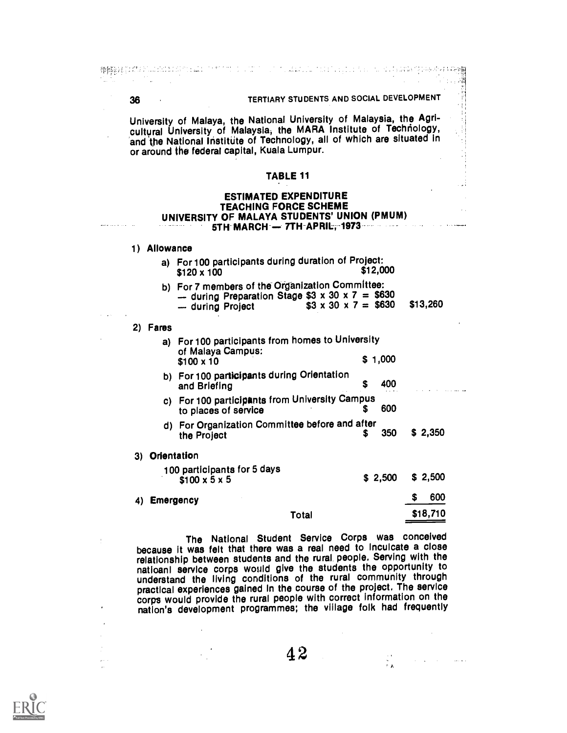藤橋龍経宮はCSA Plus dobid di Scalin To MT (MOS) ( CD (To Collect Live Collect ) por San Collect 4 in Persiment Pegg 36 TERTIARY STUDENTS AND SOCIAL DEVELOPMENT University of Malaya, the National University of Malaysia, the Agricultural University of Malaysia, the MARA Institute of Technology, and the National Institute of Technology, all of which are situated in or around the federal capital, Kuala Lumpur. TABLE 11 ESTIMATED EXPENDITURE TEACHING FORCE SCHEME UNIVERSITY OF MALAYA STUDENTS' UNION (PMUM) 5TH MARCH - 7TH APRIL, 1973 1) Allowance a) For 100 participants during duration of Project:  $$120 \times 100$ b) For 7 members of the Organization Committee: - during Preparation Stage  $$3 \times 30 \times 7 = $630$ <br>- during Project  $$3 \times 30 \times 7 = $630$   $$13,260$  $$3 \times 30 \times 7 = $630$ 2) Fares a) For 100 participants from homes to University of Malaya Campus:  $$100 \times 10$  \$ 1,000 b) For 100 participants during Orientation<br>and Briefing 5 400 and Briefing c) For 100 participants from University Campus to places of service d) For Organization Committee before and after the Project **6. 2,350** \$ 2,350 3) Orientation 100 participants for 5 days \$ 2,500 \$ 2,500  $$100 \times 5 \times 5$ \$ 600 4) Emergency \$18,710 Total

> The National Student Service Corps was conceived because it was felt that there was a real need to Inculcate a close relationship between students and the rural. people. Serving with the natioanl service corps would give the students the opportunity to understand the living conditions of the rural commUnity through practical experiences gained in the course of the project. The service corps would provide the rural people with correct information on the nation's development programmes; the village folk had frequently

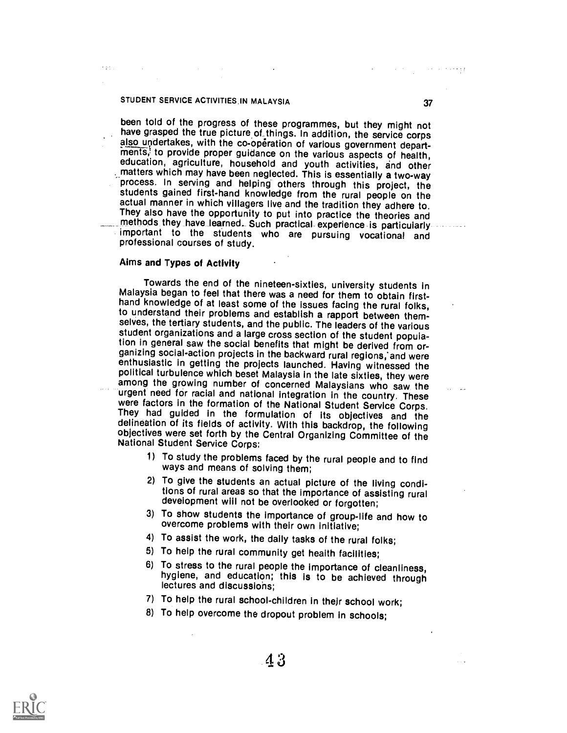and a

been told of the progress of these programmes, but they might not<br>have grasped the true picture of things. In addition, the service corps<br>also undertakes, with the co-operation of various government depart-<br>ments, to provi , \_matters which may have been neglected. This is essentially a two-way process. In serving and helping- others through this project, the students gained first-hand knowledge from the rural people on the actual manner in which villagers live and the tradition they adhere to. They also have the opportunity to put into practice the theories and<br>methods they have learned. Such practical experience is particularly-<br>important to the students who are pursuing vocational and<br>professional courses of s

#### Aims and Types of Activity

Towards the end of the nineteen-sixties, university students in Malaysia began to feel that there was a need for them to obtain firsthand knowledge of at least some of the issues facing the rural folks, to understand their problems and establish a rapport between themselves, the tertiary students, and the public. The leaders of the various student organizations and a large cross section of the student population in general saw the social benefits that might be derived from or-<br>ganizing social-action projects in the backward rural regions, and were enthusiastic in getting the projects launched. Having witnessed the political turbulence which beset Malaysia in the late sixties, they were among the growing number of concerned Malaysians who saw the urgent need for racial and national integration in the country. These were factors in the formation of the National Student Service Corps. They had guided in the objectives were set forth by the Central Organizing Committee of the National Student Service Corps:

- 1) To study the problems faced by the rural people and to find ways and means of solving them;
- 2) To give the students an actual picture of the living conditions of rural areas so that the importance of assisting rural development will not be overlooked or forgotten;
- 3) To show students the importance of group-life and how to overcome problems with their own initiative;
- 4) To assist the work, the daily tasks of the rural folks;
- 
- 5) To help the rural community get health facilities;<br>6) To stress to the rural people the importance of cleanliness, hygiene, and education; this is to be achieved through lectures and discussiohs;
- 7) To help the rural school-children in their school work;
- 8) To help overcome the dropout problem in schools;

 $\sim$  and  $\sim$  and  $\sim$  and  $\sim$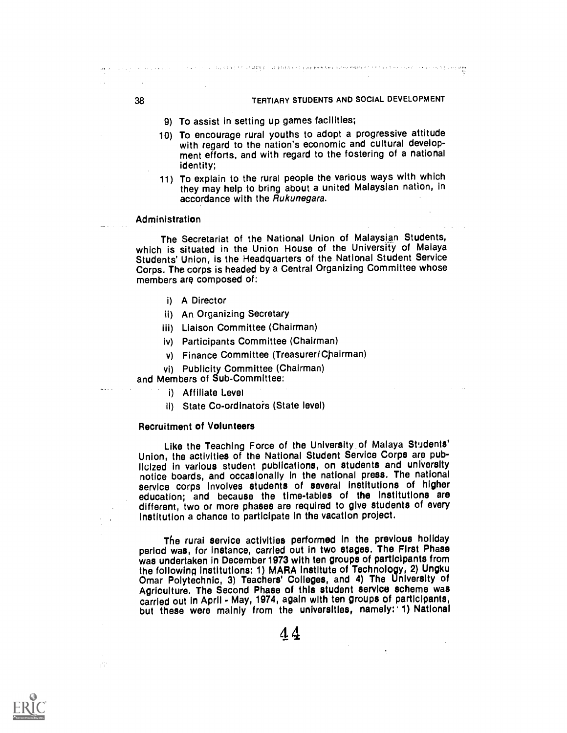- 9) To assist in setting up games facilities;
- 10) To encourage rural youths to adopt a progressive attitude ment efforts, and with regard to the fostering of a national identity;

u i du sistema na una populario de población a población en el todo estable en termente de la comunidad de la

11) To explain to the rural people the various ways with which they may help to bring about a united Malaysian nation, in accordance with the Rukunegara.

#### Administration

The Secretariat of the National Union of Malaysian Students, which is situated in the Union House of the University of Malaya Students' Union, is the Headquarters of the National Student Service Corps. The corps is headed by a Central Organizing Committee whose members are composed of:

- i) A Director
- ii) An Organizing Secretary
- iii) Liaison Committee (Chairman)
- iv) Participants Committee (Chairman)
- v) Finance Committee (Treasurer/Cpairman)
- vi) Publicity Committee (Chairman)

#### and Members of Sub-Committee:

- i) Affiliate Level
- ii) State Co-ordinators (State level)

#### Recruitment of Volunteers

n C

Like the Teaching Force of the University of Malaya Students' Union, the activities of the National Student Service Corps are pub-<br>licized in various student publications, on students and university notice boards, and occasionally in the national press. The national service corps involves students of several institutions of higher education; and because the time-tables of the Institutions are different, two or more phases are required to give students of every institution a chance to participate In the vacation project.

The rural service activities performed in the previous holiday period was, for instance, carried out in two stages. The First Phase was undertaken in December 1973 with ten groups of participants from the following institutions: 1) MARA Institute of Technology, 2) Ungku Omar Polytechnic, 3) Teachers' Colleges, and 4) The University of Agriculture. The Second Phase of this student service scheme was carried out in April - May, 1974, again with ten groups of participants, but these were mainly from the universities, namely: 1) National

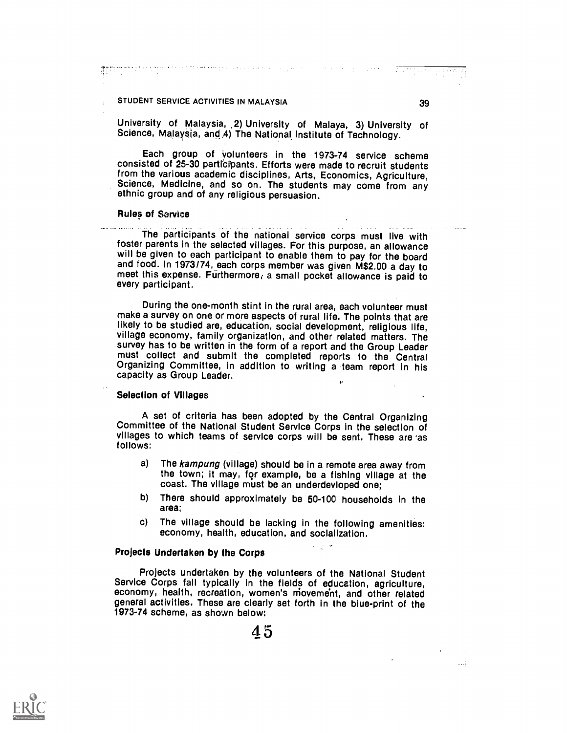تسب

### STUDENT SERVICE ACTIVITIES IN MALAYSIA 39

University of Malaysia, 2) University of Malaya, 3) University of Science, Malaysia, and A) The National Institute of Technology.

Each group of volunteers in the 1973-74 service scheme consisted of 25-30 participants. Efforts were made to recruit students from the various academic disciplines, Arts, Economics, Agriculture, Science, Medicine, and so on. The students may come from any ethnic group and of any religious persuasion.

#### Rules of Service

The participants of the national service corps must live with foster parents in the selected villages. For this purpose, an allowance will be given to each participant to enable them to pay for the board and food. In 1973/74, each corps member was given M\$2.00 a day to meet this expense. Furthermore, a small pocket allowance is paid to every participant.

During the one-month stint in the rural area, each volunteer must make a survey on one or more aspects of rural life. The points that are likely to be studied are, education, social development, religious life, village economy, family organization, and other related matters. The survey has to be written in the form of a report and the Group Leader must collect and submit the completed reports to the Central Organizing Committee, in addition to writing a team report in his capacity as Group Leader.

#### Selection of Villages

A set of criteria has been adopted by the Central Organizing Committee of the National Student Service Corps in the selection of villages to which teams of service corps will be sent. These are 'as follows:

a) The kampung (village) should be in a remote area away from the town; it may, for example, be a fishing village at the coast. The village must be an underdevloped one;

4\*

- b) There should approximately be 50-100 households in the area;
- c) The village should be lacking in the following amenities: economy, health, education, and socialization.

### Projects Undertaken by the Corps

Projects undertaken by the volunteers of the National Student Service Corps fall typically in the fields of education, agriculture, economy, health, recreation, women's movement, and other related general activities. These are clearly set forth in the blue-print of the 1973-74 scheme, as shown below:

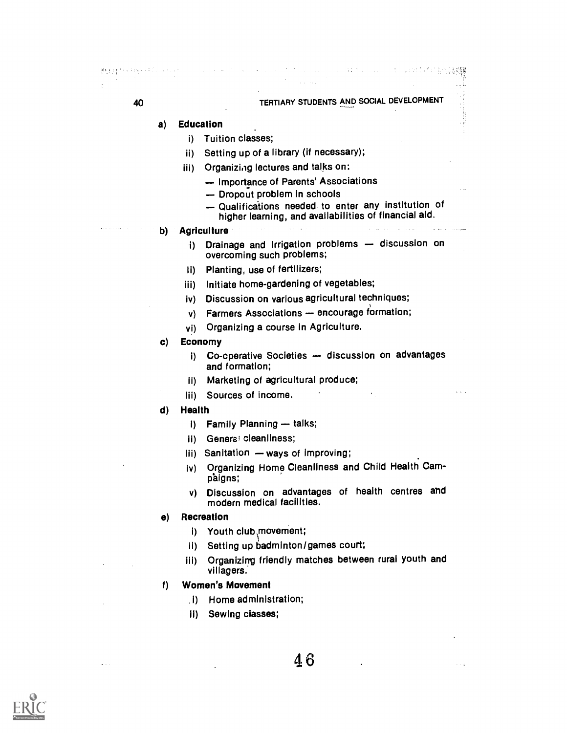# 40 TERTIARY STUDENTS AND SOCIAL DEVELOPMENT

and the country

オーバン かけく にんかいかい (法定形象

### a) Education

- i) Tuition classes;
- ii) Setting up of a library (if necessary);
- iii) Organizing lectures and talks on:
	- Importance of Parents' Associations
	- Dropout problem in schools
	- Qualifications needed to enter any institution of higher learning, and availabilities of financial aid.

#### b) Agriculture

- i) Drainage and irrigation problems discussion on overcoming such problems;
- li) Planting, use of fertilizers;
- iii) Initiate home-gardening of vegetables;
- iv) Discussion on various agricultural techniques;
- v) Farmers Associations encourage formation;
- vi) Organizing a course in Agriculture.

### c) Economy

- i) Co-operative Societies discussion on advantages and formation;
- 11) Marketing of agricultural produce;
- iii) Sources of income.
- d) Health
	- $i)$  Family Planning  $-$  talks;
	- ii) General cleanliness;
	- iii) Sanitation ways of improving;
	- iv) Organizing Home Cleanliness and Child Health Camp'aigns;
	- v) Discussion on advantages of health centres and modern medical facilities.

### e) Recreation

- 1) Youth club movement;
- ii) Setting up badminton/games court;
- 111) Organizing friendly matches between rural youth and villagers.

### f) Women's Movement

- .1) Home administration;
- II) Sewing classes;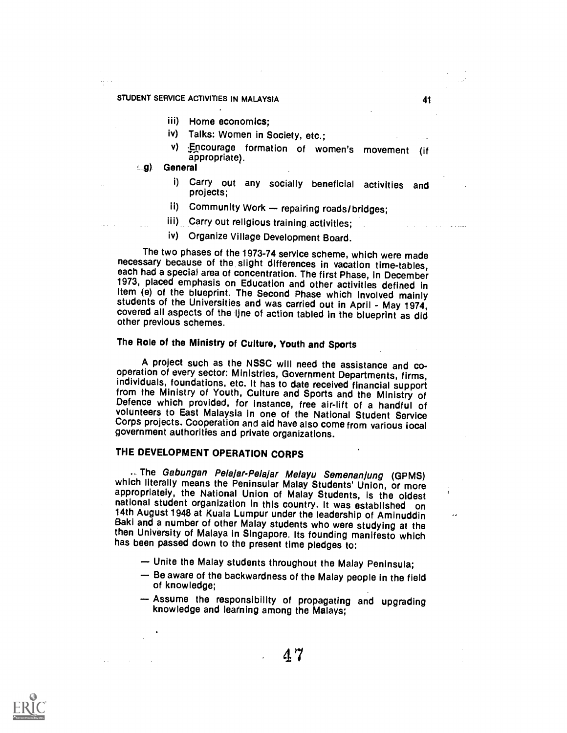- iii) Home economics;
- iv) Talks: Women in Society, etc.;
- v) Encourage formation of women's movement (if appropriate).
- g) General
	- i) Carry out any socially beneficial activities and projects;
	- ii) Community Work repairing roads/bridges;
	- iii) Carry out religious training activities;
	- iv) Organize Village Development Board.

The two phases of the 1973-74 service scheme, which were made<br>necessary because of the slight differences in vacation time-tables,<br>each had a special area of concentration. The first Phase, in December<br>1973, placed emphasi

# The Role of the Ministry of Culture, Youth and Sports

A project such as the NSSC will need the assistance and co- operation of every sector: Ministries, Government Departments, firms, from the Ministry of Youth, Culture and Sports and the Ministry of<br>Defence which provided, for instance, free air-lift of a handful of<br>volunteers to East Malaysia in one of the National Student Service Corps projects. Cooperation and aid have also come from various local government authorities and private organizations.

# THE DEVELOPMENT OPERATION CORPS

.. The Gabungan Pelajar-Pelajar Melayu Semenanjung (GPMS) which literally means the Peninsular Malay Students' Union, or more appropriately, the National Union of Malay Students, is the oldest<br>national student organization in this country. It was established on 14th August 1948 at Kuala Lumpur under the leadership of Aminuddin<br>Baki and a number of other Malay students who were studying at the then University of Malaya in Singapore. Its founding manifesto which has been passed down to the present time pledges to:

- Unite the Malay students throughout the Malay Peninsula;
- Be aware of the backwardness of the Malay people in the field of knowledge;
- Assume the responsibility of propagating and upgrading knowledge and learning among the Malays;

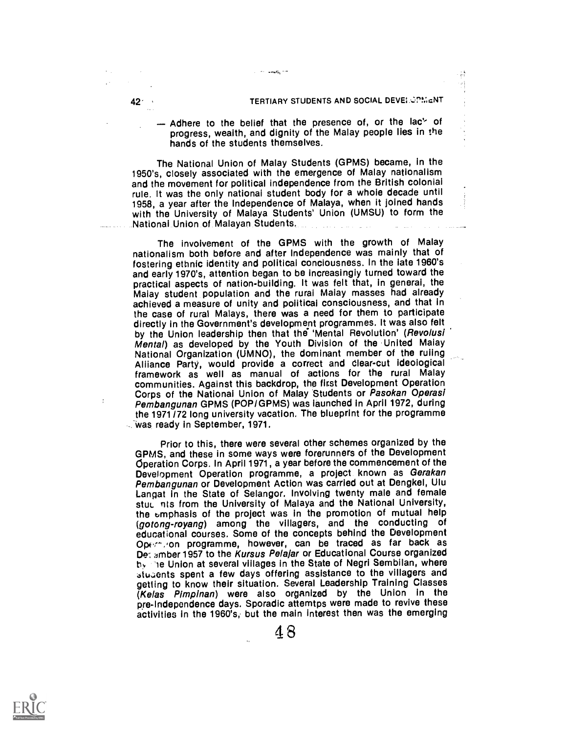#### 421 , TERTIARY STUDENTS AND SOCIAL DEVEI OPMENT

죠  $\begin{smallmatrix} 1&1\\1&1\end{smallmatrix}$ 

 $-$  Adhere to the belief that the presence of, or the lac's of progress, wealth, and dignity of the Malay people Iles in the hands of the students themselves.

The National Union of Malay Students (GPMS) became, in the 1950's, closely associated with the emergence of Malay nationalism and the movement for political independence from the British colonial rule. It was the only national student body for a whole decade until<br>1958, a year after the Independence of Malaya, when it joined hands with the University of Malaya Students' Union (UMSU) to form the National Union of Malayan Students.

n anti n

The involvement of the GPMS with the growth of Malay nationalism both before and after Independence was mainly that of fostering ethnic identity and political conciousness. In the late 1960's and early 1970's, attention began to be increasingly turned toward the practical aspects of nation-building. It was felt that, in general, the Malay student population and the rural Malay masses had already achieved a measure of unity and political consciousness, and that in the case of rural Malays, there was a need for them to participate directly in the Government's development programmes. It was also felt<br>by the Union leadership then that the 'Mental Revolution' (Revolusi Mental) as developed by the Youth Division of the United Maiay<br>National Organization (UMNO), the dominant member of the ruling<br>Alliance Party, would provide a correct and clear-cut ideological framework as well as manual of actions for the rural Malay communities. Against this backdrop, the first Development Operation Corps of the National Union of Malay Students or Pasokan Operasi Pembangunan GPMS (POP/GPMS) was launched in April 1972, during the 1971/72 long university vacation. The blueprint for the programme 'was ready in September, 1971.

Prior to this, there were several other schemes organized by the GPMS, and these in some ways were forerunners of the Development Operation Corps. In April 1971, a year before the commencement of the Development Operation programme, a project known as Gerakan Pembangunan or Development Action was carried out at Dengkel, Ulu Langat in the State of Selangor. Involving twenty male and female<br>stuc his from the University of Malaya and the National University, the emphasis of the project was in the promotion of mutual help (gotong-royang) among the villagers, and the conducting of<br>educational-courses. Some-of-the-concepts-behind-the-Development Operminon programme, however, can be traced as far back as Der amber 1957 to the Kursus Pelajar or Educational Course organized by lifte Union at several villages in the State of Negri Sembilan, where students spent a few days offering assistance to the villagers and getting to know their situation. Several Leadership Training Classes (Kelas Plrnpinan) were also organized by the Union in the pre-Independence days. Sporadic attemtps were made to revive these activities in the 1960's, but the main Interest then was the emerging

222 233 334 335

÷

4 8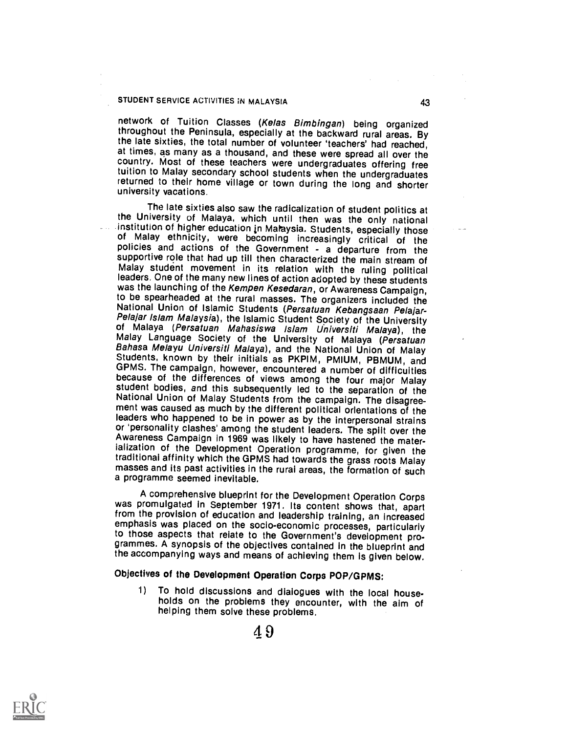network of Tuition Classes (Kelas Bimbingan) being organized<br>throughout the Peninsula, especially at the backward rural areas. By the late sixties, the total number of volunteer 'teachers' had reached, at times, as many as a thousand, and these were spread all over the country. Most of these teachers were undergraduates offering free tuition to Malay secondary school students when the undergraduates returned to their home village or town during the long and shorter university vacations.

The late sixties also saw the radicalization of student politics at the University of Malaya, which until then was the only national institution of higher education in Malaysia. Students, especially those of Malay ethnicity, were becoming increasingly critical of the policies and actions of the Government - a departure from the supportive role that had up till then characterized the main stream of Malay student movement in its relation with the ruling political leaders. One of the many new lines of action adopted by these students was the launching of the Kempen Kesedaran, or Awareness Campaign, to be spearheaded at the rural masses. The organizers included the National Union of Islamic Students (Persatuan Kebangsaan Pelajar-<br>Pelajar Islam Malaysia), the Islamic Student Society of the University<br>of Malaya (Persatuan Mahasiswa Islam Universiti Malaya), the<br>Malay Language Society o student bodies, and this subsequently led to the separation of the National Union of Malay Students from the campaign. The disagreement was caused as much by the different political orientations of the leaders who happened or 'personality clashes' among the student leaders. The spilt over the Awareness Campaign in 1969 was likely to have hastened the materialization of the Development Operation programme, for given the traditional affinity w masses and its past activities in the rural areas, the formation of such a programme seemed inevitable.

A comprehensive blueprint for the Development Operation Corps was promulgated in September 1971. Its content shows that, apart from the provision of education and leadership training, an increased to those aspects that relate to the Government's development programmes. A synopsis of the objectives contained in the blueprint and the accompanying ways and means of achieving them is given below.

# Objectives of the Development Operation Corps POP/GPMS:

1) To hold discussions and diaiogues with the local households on the problems they encounter, with the aim of helping them solve these problems.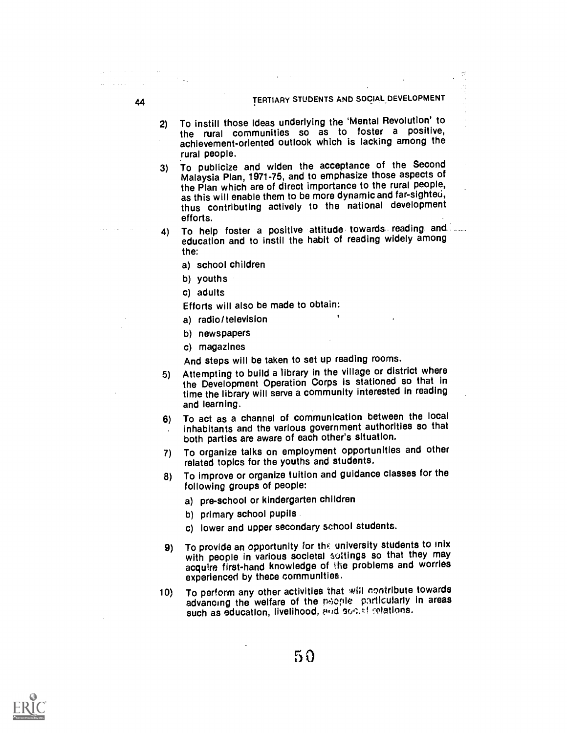# 44 TERTIARY STUDENTS AND SOCIAL DEVELOPMENT

2) To instill those ideas underlying the 'Mental Revolution' to the rural communities so as to foster <sup>a</sup> positive, achievement-oriented outlook which is lacking among the rural people.

3) To publicize and widen the acceptance of the Second Malaysia Plan, 1971-75, and to emphasize those aspects of the Plan which are of direct importance to the rural people, as this will enable them to be more dynamic and far-sighted, thus contributing actively to the national development efforts.

- 4) To help foster a positive attitude towards reading and education and to instil the habit of reading widely among the:
	- a) school children
	- b) youths
	- c) adults
	- Efforts will also be made to obtain:
	- a) radio/television
	- b) newspapers
	- c) magazines

And steps will be taken to set up reading rooms.

- 5) Attempting to build a library in the village or district where the Development Operation Corps is stationed so that in time the library will serve a community interested in reading and learning.
- 6) To act as a channel of communication between the local inhabitants and the various government authorities so that both parties are aware of each other's situation.
- 7) To organize talks on employment opportunities and other related topics for the youths and students.
- 8) To improve or organize tuition and guidance classes for the following groups of people:
	- a) pre-school or kindergarten children
	- b) primary school pupils
	- c) lower and upper secondary school students.
- 9) To provide an opportunity for the university students to inix with people in various societal soltings so that they may acquire first-hand knowledge of the problems and worries experienced by these communities,
- 10) To perform any other activities that will contribute towards advancing the welfare of the people particularly in areas such as education, livelihood, and social relations.
	- 50

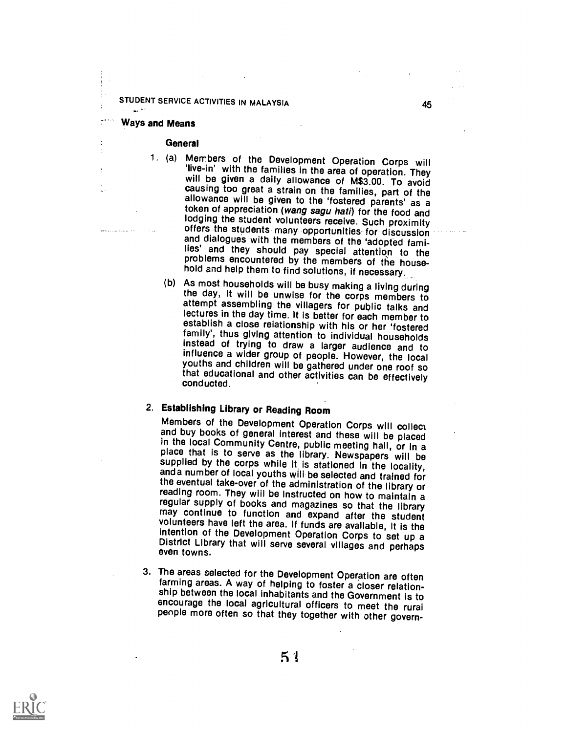#### Ways and Means

Ą.

#### **General**

- 1. (a) Members of the Development Operation Corps will live-in' with the families in the area of operation. They will be given a daily allowance of M\$3.00. To avoid causing too great a strain on the families, part of the allowance will be given to the 'fostered parents' as a token of appreciation (wang sagu hati) for the food and<br>lodging the student volunteers receive. Such proximity offers the students many opportunities for discussion and dialogues with the members of the 'adopted families' and they should pay special attention to the problems encountered by the members of the house
	- hold and help them to find solutions, if necessary.<br>(b) As most households will be busy making a living during the day, it will be unwise for the corps members to<br>attempt assembling the villagers for public talks and<br>lectures in the day time. It is better for each member to<br>establish a close relationship with his or her 'fostered<br>f instead of trying to draw a larger audience and to influence a wider group of people. However, the local youths and children will be gathered under one roof so that educational and other activities can be effectively conducted.

2. Establishing Library or Reading Room and buy books of general interest and these will be placed<br>in the local Community Centre, public meeting hall, or in a<br>place that is to serve as the library. Newspapers will be<br>supplied by the corps while it is stationed i and a number of local youths will be selected and trained for the eventual take-over of the administration of the library or reading room. They will be Instructed on how to maintain a regular supply of books and magazines so that the library may continue to function and expand after the student<br>volunteers have left the area. If funds are available, it is the<br>intention of the Development Operation Corps to set up a<br>District Library that will serve several villa

3. The areas selected for the Development Operation are often farming areas. A way of helping to foster a closer relationencourage the local agricultural officers to meet the rural people more often so that they together with other govern-

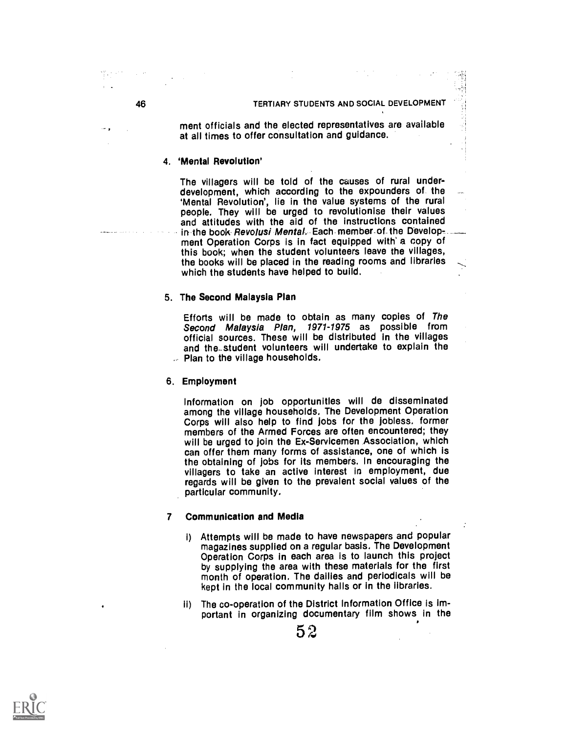#### 46 TERTIARY STUDENTS AND SOCIAL DEVELOPMENT

ment officials and the elected representatives are available at all times to offer consultation and guidance.

#### 4. 'Mental Revolution'

The villagers will be told of the causes of rural under-<br>development, which according to the expounders of the<br>'Mental Revolution', lie in the value systems of the rural people. They will be urged to revolutionise their values<br>and attitudes with the aid of the instructions contained<br>in the book *Revolusi Mental*. Each member of the Develop-.... ment Operation Corps is in fact equipped with a copy of this book; when the student volunteers leave the villages, the books will be placed in the reading rooms and libraries which the students have helped to build.

#### 5. The Second Malaysia Plan

Efforts will be made to obtain as many copies of The Second Malaysia Plan, 1971-1975 as possible from official sources. These will be distributed in the villages and the\_student volunteers will undertake to explain the Plan to the village households.

#### 6. Employment

Information on job opportunities will de disseminated Corps will also help to find jobs for the jobless, former members of the Armed Forces are often encountered; they will be urged to join the Ex-Servicemen Association, which can offer them many forms of assistance, one of which is the obtaining of jobs for its members. In encouraging the villagers to take an active interest In employment, due regards will be given to the prevalent social values of the particular community.

#### 7 Communication and Media

- i) Attempts will be made to have newspapers and popular magazines supplied on a regular basis. The Development Operation Corps in each area is to launch this project by supplying the area with these materials for the first month of operation. The dailies and periodicals will be kept in the local community halls or in the libraries.
- ii) The co-operation of the District Information Office is important in organizing documentary film shows In the

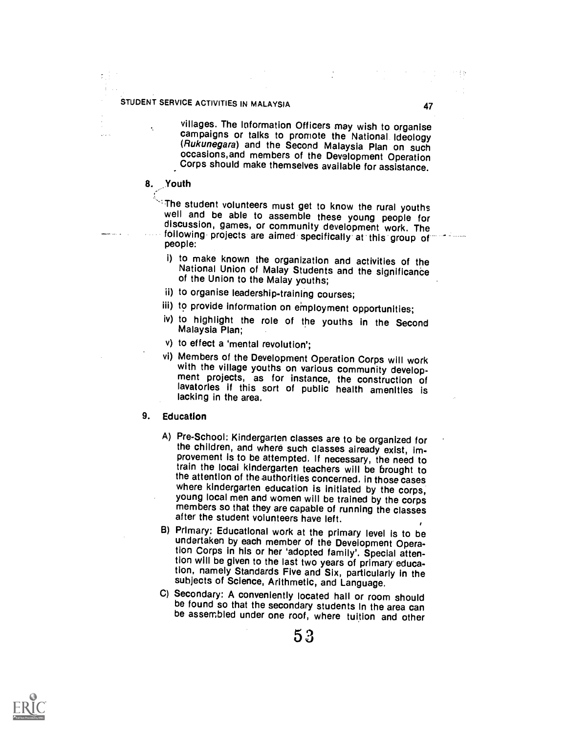villages. The Information Officers may wish to organise campaigns or talks to promote the National Ideology (Rukunegara) and the Second Malaysia Plan on such<br>occasions, and members of the Development Operation Corps should make themselves available for assistance.

# 8. Youth

The student volunteers must get to know the rural youths<br>well and be able to assemble these young people for<br>discussion, games, or community development work. The<br>following projects are aimed specifically at this group of<br>

- i) to make known the organization and activities of the National Union of Malay Students and the significance of the Union to the Malay youths;
- ii) to organise leadership-training courses;
- iii) to provide information on employment opportunities;
- iv) to highlight the role of the youths in the Second Malaysia Plan;
- v) to effect a 'mental revolution';
- vi) Members of the Development Operation Corps will work with the village youths on various community develop- ment projects, as for instance, the construction of lavatories if this sort of public health amenities is lacking in the area.

#### 9. Education

- A) Pre-School: Kindergarten classes are to be organized for provement is to be attempted. If necessary, the need to train the local kindergarten teachers will be brought to the attention of the authorities concerned. in those cases<br>where kindergarten education is initiated by the corps, young local men and women will be trained by the corps members so that they are capable of running the classes after the student volunteers have left.
- B) Primary: Educational work at the primary level is to be tion Corps in his or her 'adopted family'. Special attention will be given to the last two years of primary education, namely Standards Five and Six, particularly in the subjects of Science, Arithmetic, and Language.
- C) Secondary: A conveniently located hall or room should be found so that the secondary students in the area can be assembled under one roof, where tuition and other

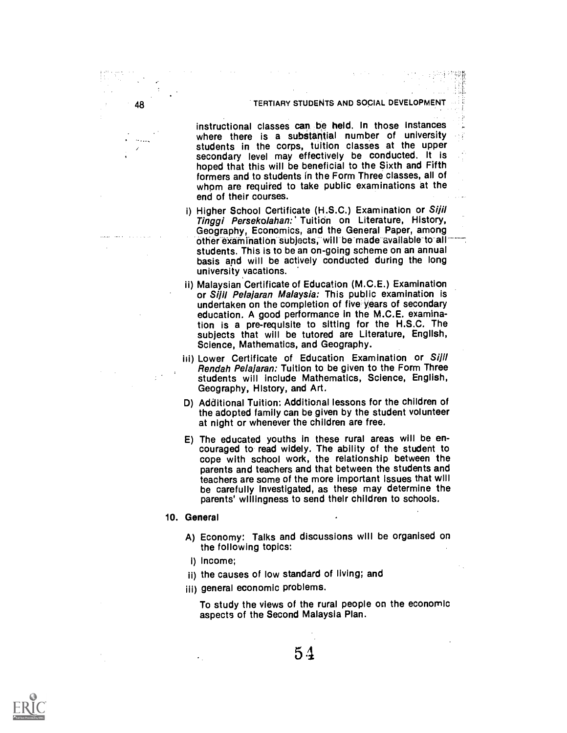#### TERTIARY STUDENTS AND SOCIAL DEVELOPMENT

instructional classes can be held. In those instances where there is a substantial number of university students in the corps, tuition classes at the upper secondary level may effectively be conducted. It is hoped that this will be beneficial to the Sixth and Fifth formers and to students in the Form Three classes, all of whom are required to take public examinations at the end of their courses.

- i) Higher School Certificate (H.S.C.) Examination or Sijil Tinggi Persekolahan: Tuition on Literature, History, Geography, Economics, and the General Paper, among other examination subjects, will be made available to all<br>students. This is to be an on-going scheme on an annual basis and will be actively conducted during the long university yacations.
- ii) Malaysian Certificate of Education (M.C.E.) Examination or Sijil Pelajaran Malaysia: This public examination is undertaken on the completion of five years of secondary education. A good performance in the M.C.E. examination is a pre-requisite to sitting for the H.S.C. The subjects that will be tutored are Literature, English, Science, Mathematics, and Geography.
- iii) Lower Certificate of Education Examination or Sijil<br>Rendah Pelajaran: Tuition to be given to the Form Three students will include Mathematics, Science, English, Geography, History, and Art.
- D) Additional Tuition: Additional lessons for the children of the adopted family can be given by the student volunteer at night or whenever the children are free.
- E) The educated youths in these rural areas will be en- couraged to read widely. The ability of the student to cope with school work, the relationship between the parents and teachers and that between the students and teachers are some of the more important issues that will be carefully Investigated, as these may determine the parents' willingness to send their children to schools.
- 10. General

48

- A) Economy: Talks and discussions will be organised on the following topics:
- i) Income;
- ii) the causes of low standard of living; and
- iii) general economic problems.

To study the views of the rural people on the economic aspects of the Second Malaysia Plan.

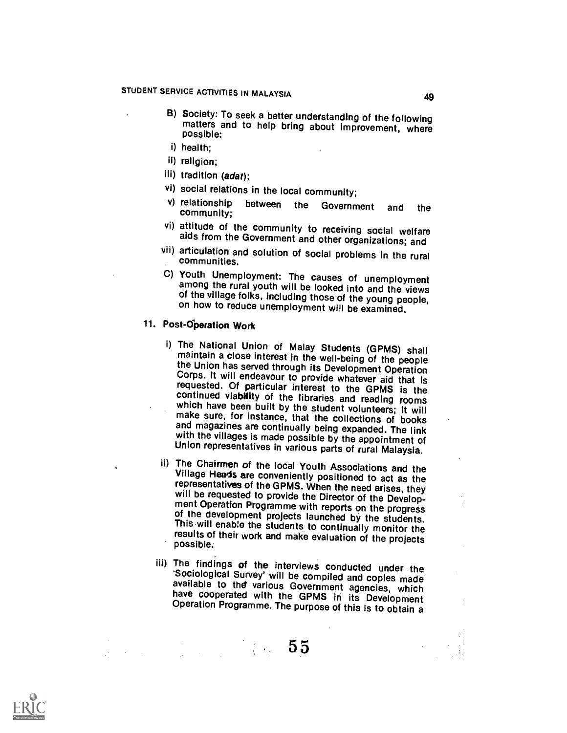- B) Society: To seek a better understanding of the following matters and to help bring about improvement, where possible:
- i) health;
- ii) religion;
- iii) tradition (adat);
- vi) social relations in the local community;<br>v) relationship between the Governo
- relationship between the Government and the<br>community;
- vi) attitude of the community to receiving social welfare aids from the Government and other organizations; and
- vii) articulation and solution of social problems in the rural communities.
- among the rural youth will be looked into and the views of the village folks, including those of the young people, on how to reduce unemployment will be examined.

# 11. Post-dperation Work

- i) The National Union of Malay Students (GPMS) shall<br>maintain a close interest in the well-being of the people<br>the Union has served through its Development Operation<br>Corps. It will endeavour to provide whatever aid that is
- ii) The Chairmen of the local Youth Associations and the Village Heads are conveniently positioned to act as the representatives of the GPMS. When the need arises, they will be requested to provide the Director of the Development Operation Programme with reports on the progress of the development projects launched by the students. This will enable the students to continually monitor the r
- iii) The findings of the interviews conducted under the 'Sociological Survey' will be compiled and copies made available to the various Government agencies, which have cooperated with the GPMS in its Development Operation



00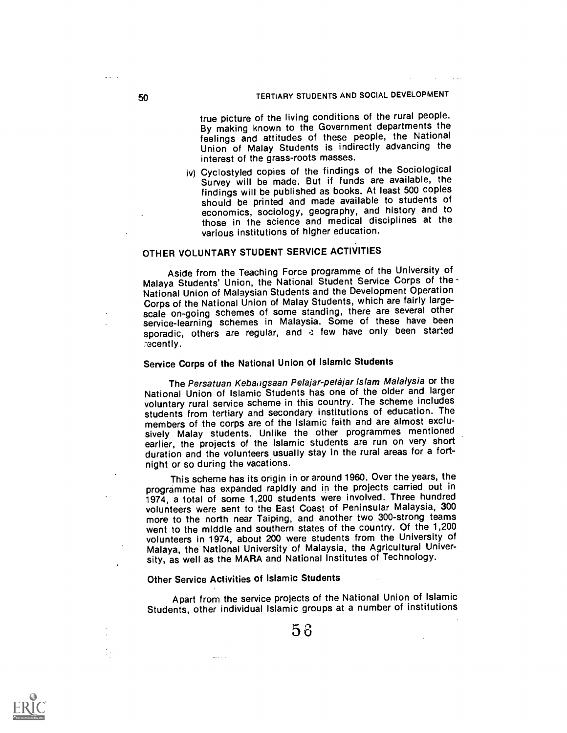true picture of the living conditions of the rural people. By making known to the Government departments the feelings and attitudes of these people, the National Union of Malay Students is indirectly advancing the interest of the grass-roots masses.

iv) Cyclostyled copies of the findings of the Sociological Survey will be made. But if funds are available, the findings will be published as books. At least 500 copies should be printed and made available to students of economics, sociology, geography, and history and to those in the science and medical disciplines at the various institutions of higher education.

## OTHER VOLUNTARY STUDENT SERVICE ACTIVITIES

Aside from the Teaching Force programme of the University of Malaya Students' Union, the National Student Service Corps of the National Union of Malaysian Students and the Development Operation Corps of the National Union of Malay Students, which are fairly largescale on-going schemes of some standing, there are several other service-learning schemes in Malaysia. Some of these have been sporadic, others are regular, and a few have only been started recently.

# Service Corps of the National Union of Islamic Students

The Persatuan Kebangsaan Pelajar-pelajar Islam Malalysia or the National Union of Islamic Students has one of the older and larger voluntary rural service scheme in this country. The scheme includes students from tertiary and secondary institutions of education. The members of the corps are of the Islamic faith and are almost exclusively Malay students. Unlike the other programmes mentioned earlier, the projects of the Islamic students are run on very short duration and the volunteers usually stay in the rural areas for a fortnight or so during the vacations.

This scheme has its origin in or around 1960. Over the years, the programme has expanded rapidly and in the projects carried out in 1974, a total of some 1,200 students were involved. Three hundred volunteers were sent to the East Coast of Peninsular Malaysia, 300 more to the north near Taiping, and another two 300-strong teams went to the middle and southern states of the country. Of the 1,200 volunteers in 1974, about 200 were students from the University of Malaya, the National University of Malaysia, the Agricultural University, as well as the MARA and National Institutes of Technology.

# Other Service Activities of Islamic Students

دارا وليبو

Apart from the service projects of the National Union of Islamic Students, other individual Islamic groups at a number of institutions

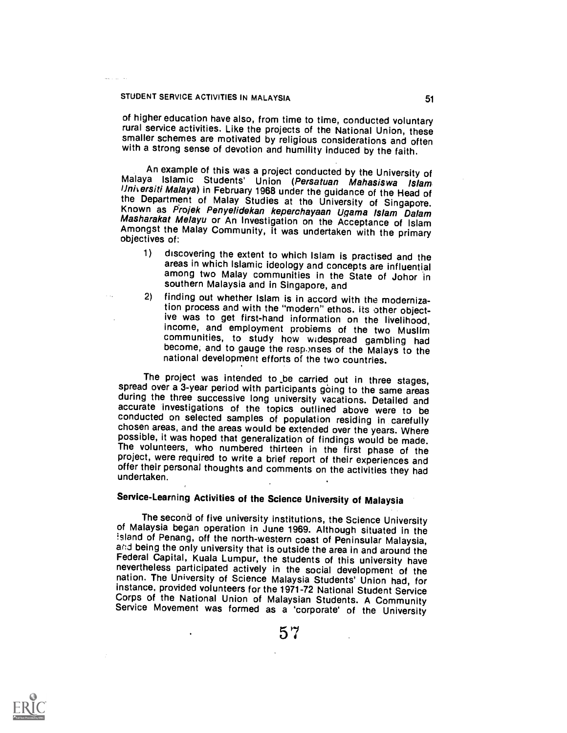of higher education have also, from time to time, conducted voluntary rural service activities. Like the projects of the National Union, these smaller schemes are motivated by religious considerations and often with a strong sense of devotion and humility induced by the faith.

An example of this was a project conducted by the University of<br>Malaya Islamic Students' Union (Persatuan Mahasiswa Islam<br>Universiti Malaya) in February 1968 under the guidance of the Head of<br>the Department of Malay Studie

- 1) discovering the extent to which Islam is practised and the areas in which Islamic ideology and concepts are influential among two Malay communities in the State of Johor in southern Malaysia and in Singapore, and
- 2) finding out whether Islam is in accord with the modernization process and with the "modern" ethos. Its other objective was to get first-hand information on the livelihood, income, and employment problems of the two Muslim communities, to study how widespread gambling had become, and to gauge the responses of the Malays to the national development efforts of the two countries.

The project was intended to be carried out in three stages,<br>spread over a 3-year period with participants going to the same areas<br>during the three successive long university vacations. Detailed and<br>accurate investigations possible, it was hoped that generalization of findings would be made.<br>The volunteers, who numbered thirteen in the first phase of the project, were required to write a brief report of their experiences and offer their personal thoughts and comments on the activities they had undertaken.

# Service-Learning Activities of the Science University of Malaysia

The second of five university institutions, the Science University<br>of Malaysia began operation in June 1969. Although situated in the<br>island of Penang, off the north-western coast of Peninsular Malaysia,<br>and being the only nevertheless participated actively in the social development of the nation. The University of Science Malaysia Students' Union had, for instance, provided volunteers for the 1971-72 National Student Service Corps of the National Union of Malaysian Students. A Community Service Movement was formed as a 'corporate' of the University



57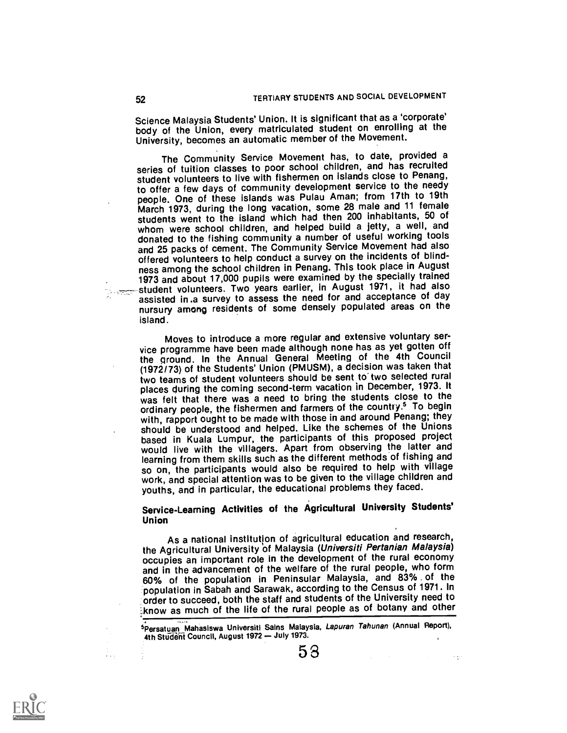Science Malaysia Students' Union. It is significant that as a 'corporate' body of the Union, every matriculated student on enrolling at the University, becomes an automatic member of the Movement.

The Community Service Movement has, to date, provided a series of tuition classes to poor school children, and has recruited student volunteers to live with fishermen on islands close to Penang, to offer a few days of community development service to the needy people. One of these islands was Pulau Aman; from 17th to 19th March 1973, during the long vacation, some 28 male and 11 female students went to the island which had then 200 inhabitants, 50 of whom were school children, and helped build a jetty, a well, and donated to the fishing community a number of useful working tools and 25 packs of cement. The Community Service Movement had also offered volunteers to help conduct a survey on the incidents of blindness among the school children in Penang. This took place in August 1973 and about 17,000 pupils were examined by the specially trained **the student volunteers. Two years earlier, in August 1971, it had also** assisted in .a survey to assess the need for and acceptance of day nursury among residents of some densely populated areas on the island.

Moves to introduce a more regular and extensive voluntary service programme have been made although none has as yet gotten off the ground. In the Annual General Meeting of the 4th Council (1972/73) of the Students' Union (PMUSM), a decision was taken that two teams of student volunteers should be sent to two selected rural places during the coming second-term vacation in December, 1973. It was felt that there was a need to bring the students close to the ordinary people, the fishermen and farmers of the country.5 To begin with, rapport ought to be made with those in and around Penang; they should be understood and helped. Like the schemes of the Unions based in Kuala Lumpur, the participants of this proposed project would live with the villagers. Apart from observing the latter and learning from them skills such as the different methods of fishing and so on, the participants would also be required to help with village work, and special attention was to be given to the village children and youths, and in particular, the educational problems they faced.

Service-Learning Activities of the Agricultural University Students' Union

As a national institution of agricultural education and research, the Agricultural University of Malaysia (Universiti Pertanian Malaysia) occupies an important role in the development of the rural economy and in the advancement of the welfare of the rural people, who form 60% of the population in Peninsular Malaysia, and 83% of the population in Sabah and Sarawak, according to the Census of 1971. In order to succeed, both the staff and students of the University need to :know as much of the life of the rural people as of botany and other

5Persatuan Mahasiswa Universiti Sains Malaysia, Lapuran Tahunan (Annual Report), 4th Student Council, August 1972 - July 1973.

5 3

 $\sim$   $\sim$ 

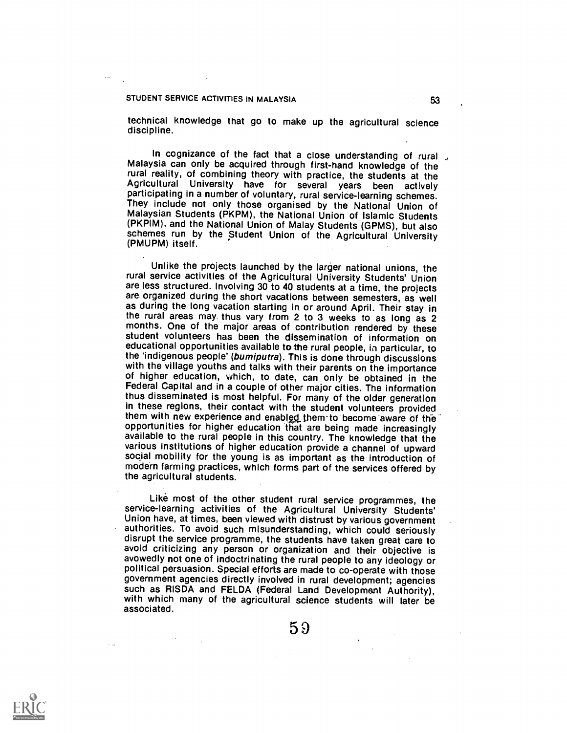technical knowledge that go to make up the agricultural science discipline.

In cognizance of the fact that a close understanding of rural Malaysia can only be acquired through first-hand knowledge of the rural reality, of combining theory with practice, the students at the Agricultural University have for several years been actively<br>participating in a number of voluntary, rural service-learning schemes. They include not only those organised by the National Union of Malaysian Students (PKPM), the National Union of Islamic Students (PKPIM), and the National Union of Malay Students (GPMS), but also schemes run by the Student Union of the Agricultural University (PMUPM) itself.

Unlike the projects launched by the larger national unions, the rural service activities of the Agricultural University Students' Union are less structured. Involving 30 to 40 students at a time, the projects are organized during the short vacations between semesters, as well as during the long vacation starting in or around April. Their stay in the rural areas may thus vary from 2 to 3 weeks to as long as 2 months. One of the major areas of contribution rendered by these student volunteers has been the dissemination of information on educational opportunities available to the rural people, in particular, to the 'indigenous people' (bumiputra). This is done through discussions with the village youths and talks with their parents on the importance of higher education, which, to date, can only be obtained in the Federal Capital and in a couple of other major cities. The information thus disseminated is most helpful. For many of the older generation in these regions, their contact with the student volunteers provided them with new experience and enabled them to become aware of the<br>opportunities for higher education that are being made increasingly available to the rural people in this country. The knowledge that the various institutions of higher education provide a channel of upward soqial mobility for the young is as important as the introduction of modern farming practices, which forms part of the services offered by the agricultural students.

Like most of the other student rural service programmes, the service-learning activities of the Agricultural University Students' Union have, at times, been viewed with distrust by various government authorities. To avoid such misunderstanding, which could seriously disrupt the service programme, the students have taken great care to avoid criticizing any person or organization and their objective is avowedly not one of indoctrinating the rural people to any ideology or political persuasion. Special efforts are made to co-operate with those government agencies directly involved in rural development; agencies such as RISDA and FELDA (Federal Land Development Authority), with which many of the agricultural science students will later be associated.

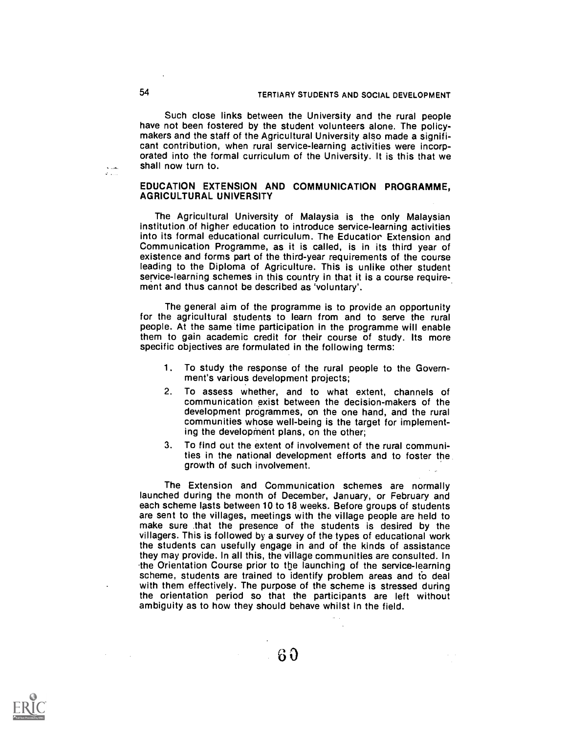Such close links between the University and the rural people have not been fostered by the student volunteers alone. The policymakers and the staff of the Agricultural University also made a significant contribution, when rural service-learning activities were incorporated into the formal curriculum of the University. It is this that we shall now turn to.

### EDUCATION EXTENSION AND COMMUNICATION PROGRAMME, AGRICULTURAL UNIVERSITY

The Agricultural University of Malaysia is the only Malaysian institution of higher education to introduce service-learning activities into its formal educational curriculum. The Educatior Extension and Communication Programme, as it is called, is in its third year of existence and forms part of the third-year requirements of the course leading to the Diploma of Agriculture. This is unlike other student service-learning schemes in this country in that it is a course requirement and thus cannot be described as 'voluntary'.

The general aim of the programme is to provide an opportunity for the agricultural students to learn from and to serve the rural people. At the same time participation in the programme will enable them to gain academic credit for their course of study. Its more specific objectives are formulated in the following terms:

- 1. To study the response of the rural people to the Government's various development projects;
- 2. To assess whether, and to what extent, channels of communication exist between the decision-makers of the development programmes, on the one hand, and the rural communities whose well-being is the target for implementing the development plans, on the other;
- 3. To find out the extent of involvement of the rural communities in the national development efforts and to foster the growth of such involvement.

The Extension and Communication schemes are normally launched during the month of December, January, or February and each scheme lasts between 10 to 18 weeks. Before groups of students are sent to the villages, meetings with the village people are held to make sure that the presence of the students is desired by the villagers. This is followed by a survey of the types of educational work the students can usefully engage in and of the kinds of assistance they may provide. In all this, the village communities are consulted. In .the Orientation Course prior to the launching of the service-learning scheme, students are trained to identify problem areas and fo deal with them effectively. The purpose of the scheme is stressed during the orientation period so that the participants are left without ambiguity as to how they should behave whilst in the field.

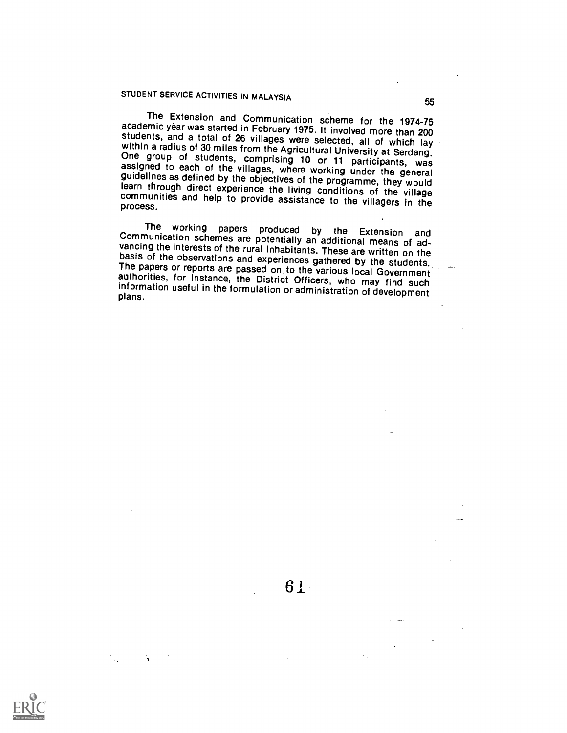The Extension and Communication scheme for the 1974-75 academic year was started in February 1975. It involved more than 200 students, and a total of 26 villages were selected, all of which lay within a radius of 30 miles assigned to each of the villages, where working under the general<br>guidelines as defined by the objectives of the programme, they would<br>learn through direct experience the living conditions of the village<br>communities and he

The working papers produced by the Extension and<br>Communication schemes are potentially an additional means of ad-<br>vancing the interests of the rural inhabitants. These are written on the<br>basis of the observations and exper

61

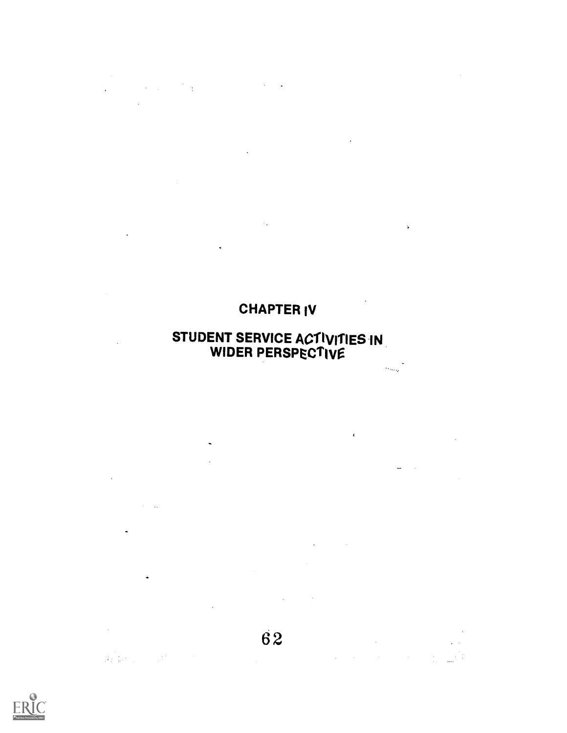# CHAPTER IV

 $\mathcal{L}^{\text{max}}$ 

 $\mathcal{L}_{\text{max}}$  ,  $\mathcal{L}_{\text{max}}$ 

 $\ddot{\phantom{a}}$ 

 $\ddot{\phantom{0}}$ J.

 $\mathcal{L}^{\text{max}}_{\text{max}}$ 

 $\hat{\mathcal{A}}$ 

 $\mathcal{L}^{\text{max}}_{\text{max}}$  , where  $\mathcal{L}^{\text{max}}_{\text{max}}$ 

 $\mathcal{L}_{\text{max}}$  .

 $\frac{1}{2} \left( \frac{1}{2} \right)$  ,  $\frac{1}{2} \left( \frac{1}{2} \right)$ 

 $\mathbf{C}^{\text{max}}_{\text{max}}$ 

 $\mathcal{L}^{\text{max}}_{\text{max}}$  and  $\mathcal{L}^{\text{max}}_{\text{max}}$ 

 $\label{eq:2.1} \mathcal{L}(\mathbf{y},\mathbf{y})=\mathcal{L}(\mathbf{y},\mathbf{y})\mathcal{L}(\mathbf{y},\mathbf{y})=\mathcal{L}(\mathbf{y},\mathbf{y})\mathcal{L}(\mathbf{y},\mathbf{y})=\mathcal{L}(\mathbf{y},\mathbf{y})\mathcal{L}(\mathbf{y},\mathbf{y}).$ 

 $\mathcal{L}^{\text{max}}_{\text{max}}$ 

 $\sim$   $\sim$ 

 $\beta = \gamma_{\rm max}$ 

 $\frac{1}{2}$  ,  $\frac{1}{2}$  ,  $\frac{1}{2}$ 

 $\label{eq:3.1} \frac{1}{\left( H\right)^{\frac{1}{2}}}\left(\frac{1}{\left(1-\frac{1}{\left(1-\frac{1}{\left(1-\frac{1}{\left(1-\frac{1}{\left(1-\frac{1}{\left(1-\frac{1}{\left(1-\frac{1}{\left(1-\frac{1}{\left(1-\frac{1}{\left(1-\frac{1}{\left(1-\frac{1}{\left(1-\frac{1}{\left(1-\frac{1}{\left(1-\frac{1}{\left(1-\frac{1}{\left(1-\frac{1}{\left(1-\frac{1}{\left(1-\frac{1}{\left(1-\frac{1}{\left(1-\frac{1}{\left(1-\$ 

# STUDENT SERVICE ACTIVITIES IN WIDER PERSPECTIVe

 $\mathcal{L}^{\text{max}}_{\text{max}}$  and  $\mathcal{L}^{\text{max}}_{\text{max}}$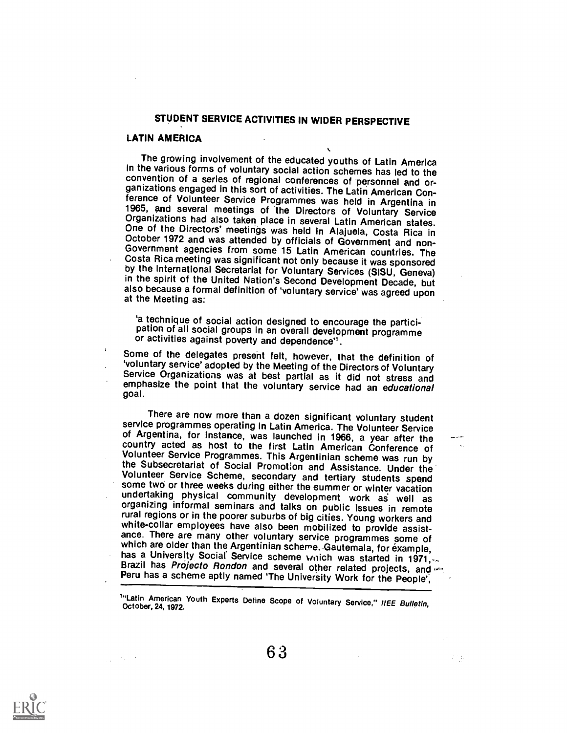# STUDENT SERVICE ACTIVITIES IN WIDER PERSPECTIVE

### LATIN AMERICA

The growing involvement of the educated youths of Latin America convention of a series of regional conferences of personnel and or-<br>ganizations engaged in this sort of activities. The Latin American Con-<br>ference of Volunteer Service Programmes was held in Argentina in<br>1965, and several

'a technique of social action designed to encourage the partici- pation of all social groups in an overall development programme or activities against poverty and dependence'.

Some of the delegates present felt, however, that the definition of 'voluntary service' adopted by the Meeting of the Directors of Voluntary Service Organizations was at best partial as it did not stress and emphasize the point that the voluntary service had an educational goal.

There are now more than a dozen significant voluntary student<br>service programmes operating in Latin America. The Volunteer Service<br>of Argentina, for instance, was launched in 1966, a year after the<br>country acted as host to white-collar employees have also been mobilized to provide assist-<br>ance. There are many other voluntary service programmes some of<br>which are older than the Argentinian scheme. Gautemala, for example,<br>has a University Socia

 $\sigma_{\rm eff} = 4\pm 0.08$ 

 $\mathbb{R}^{n \times 2}$  .

<sup>&</sup>lt;sup>1</sup>"Latin American Youth Experts Define Scope of Voluntary Service," IIEE Bulletin,<br>October, 24, 1972.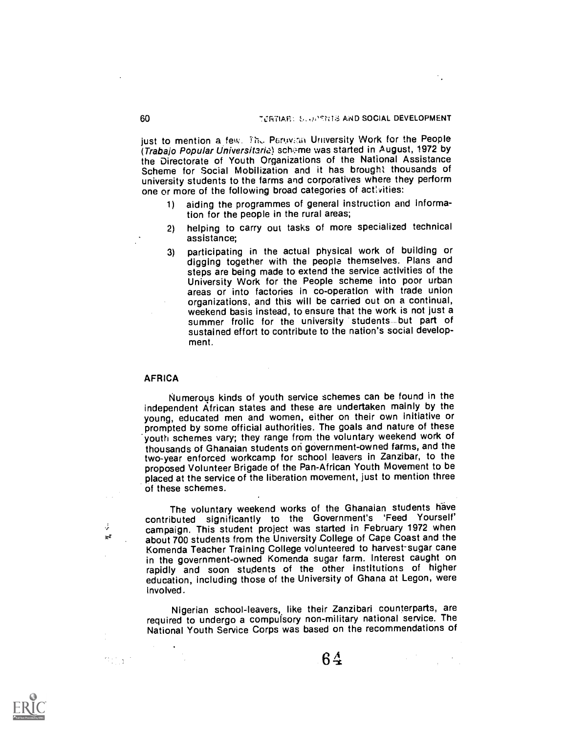just to mention a few. Thu Peruvian University Work for the People (Trabajo Popular Universitaria) scheme was started in August, 1972 by the Directorate of Youth Organizations of the National Assistance Scheme for Social Mobilization and it has brought thousands of university students to the farms and corporatives where they perform one or more of the following broad categories of activities:

- 1) aiding the programmes of general instruction and information for the people in the rural areas;
- 2) helping to carry out tasks of more specialized technical assistance;
- 3) participating in the actual physical work of building or digging together with the people themselves. Plans and steps are being made to extend the service activities of the University Work for the People scheme into poor urban areas or into factories in co-operation with trade union organizations, and this will be carried out on a continual, weekend basis instead, to ensure that the work is not just a summer frolic for the university students but part of sustained effort to contribute to the nation's social development.

### **AFRICA**

Å,  $\mathbf{w}$ 

Numerous kinds of youth service schemes can be found in the independent African states and these are undertaken mainly by the young, educated men and women, either on their own initiative or prompted by some official authorities. The goals and nature of these youth schemes vary; they range from the voluntary weekend work of thousands of Ghanaian students ori government-owned farms, and the two-year enforced workcamp for school leavers in Zanzibar, to the proposed Volunteer Brigade of the Pan-African Youth Movement to be placed at the service of the liberation movement, just to mention three of these schemes.

The voluntary weekend works of the Ghanaian students have contributed significantly to the Government's 'Feed Yourself' campaign. This student project was started in February 1972 when about 700 students from the University College of Cape Coast and the Komenda Teacher Training College volunteered to harvest-sugar cane in the government-owned Komenda sugar farm. Interest caught on rapidly and soon students of the other institutions of higher education, including those of the University of Ghana at Legon, were involved.

Nigerian school-leavers, like their Zanzibari counterparts, are required to undergo a compulsory non-military national service. The National Youth Service Corps was based on the recommendations of



 $64$  values of  $4$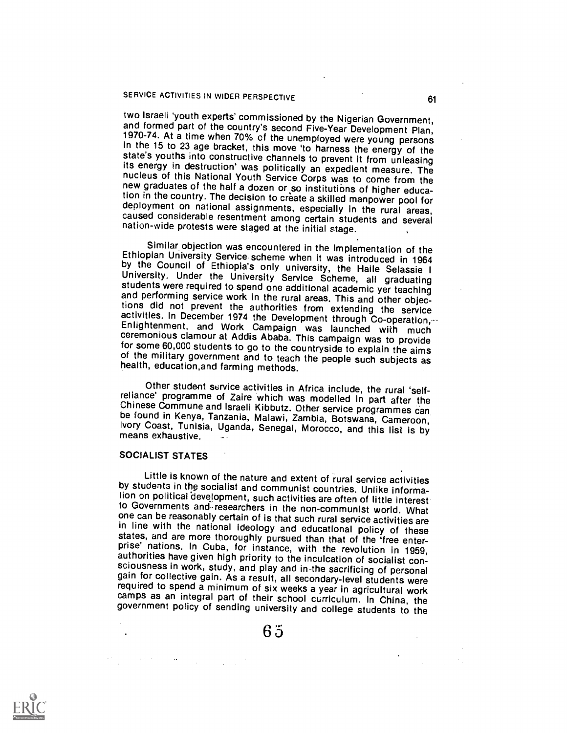# SERVICE ACTIVITIES IN WIDER PERSPECTIVE **1998 120 ACTIVITIES**

two Israeli 'youth experts' commissioned by the Nigerian Government,<br>and formed part of the country's second Five-Year Development Plan,<br>1970-74. At a time when 70% of the unemployed were young persons<br>in the 15 to 23 age new graduates of the half a dozen or so institutions of higher education in the country. The decision to create a skilled manpower pool for deployment on national assignments, especially in the rural areas, caused consider

Similar objection was encountered in the implementation of the<br>Ethiopian University Service scheme when it was introduced in 1964<br>by the Council of Ethiopia's only university, the Haile Selassie I<br>University. Under the Uni

Other student service activities in Africa include, the rural 'self-<br>reliance' programme of Zaire which was modelled in part after the<br>Chinese Commune and Israeli Kibbutz. Other service programmes can<br>be found in Kenya, Ta

#### SOCIALIST STATES

Little is known of the nature and extent of rural service activities<br>by students in the socialist and communist countries. Unlike informa-<br>tion on political development, such activities are often of little interest to Governments and researchers in the non-communist world. What one can be reasonably certain of is that such rural service activities are in line with the national ideology and educational policy of these<br>states, and are more thoroughly pursued than that of the 'free enter-<br>prise' nations. In Cuba, for instance, with the revolution in 1959,<br>authorities have

6 5

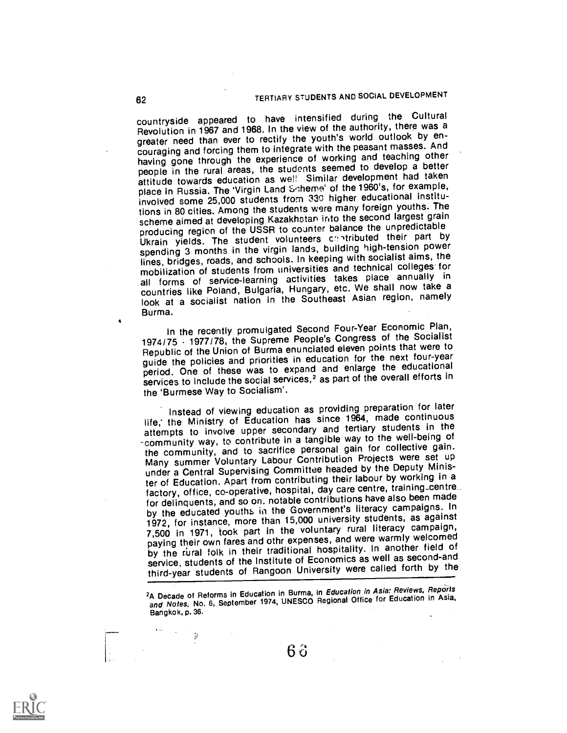countryside appeared to have intensified during the Cultural Revolution in 1967 and 1968. In the view of the authority, there was a greater need than ever to rectify the youth's world outlook by encouraging and forcing them to integrate with the peasant masses. And having gone through the experience of working and teaching other people in the rural areas, the students seemed to develop a better attitude towards education as wel! Similar development had taken place in Russia. The 'Virgin Land Scheme' of the 1960's, for example, involved some 25,000 students from 330 higher educational institutions in 80 cities. Among the students were many foreign youths. The scheme aimed at developing Kazakhstan into the second largest grain producing region of the USSR to counter balance the unpredictable Ukrain yields. The student volunteers contributed their part by spending 3 months in the virgin lands, building high-tension power lines, bridges, roads, and schools. In keeping with socialist aims, the mobilization of students from universities and technical colleges for all forms of service-learning activities takes place annually in an Torms of Service realings, Hungary, etc. We shall now take a look at a socialist nation in the Southeast Asian region, namely Burma.

In the recently promulgated Second Four-Year Economic Plan, 1974/75 - 1977/78, the Supreme People's Congress of the Socialist Republic of the Union of Burma enunciated eleven points that were to guide the policies and priorities in education for the next four-year period. One of these was to expand and enlarge the educational services to include the social services,<sup>2</sup> as part of the overall efforts in the 'Burmese Way to Socialism'.

Instead of viewing education as providing preparation for later life, the Ministry of Education has since 1964, made continuous attempts to involve upper secondary and tertiary students in the -community way, to contribute in a tangible way to the well-being of the community, and to sacrifice personal gain for collective gain. Many summer Voluntary Labour Contribution Projects were set up under a Central Supervising Committee headed by the Deputy Minister of Education. Apart from contributing their labour by working in a factory, office, co-operative, hospital, day care centre, training\_centre for delinquents, and so on. notable contributions have also been made by the educated youths in the Government's literacy campaigns. In 1972, for instance, more than 15,000 university students, as against 7,500 in 1971, took part in the voluntary rural literacy campaign, paying their own fares and othr expenses, and were warmly welcomed by the rural folk in their traditional hospitality. In another field of service, students of the Institute of Economics as well as second-and third-year students of Rangoon University were called forth by the

<sup>2</sup>A Decade of Reforms in Education in Burma, in Education in Asia: Reviews, Reports and Notes, No. 6, September 1974, UNESCO Regional Office for Education in Asia, Bangkok, p. 36.

6 3

 $\overline{g}$ 

 $\ddot{\phantom{0}}$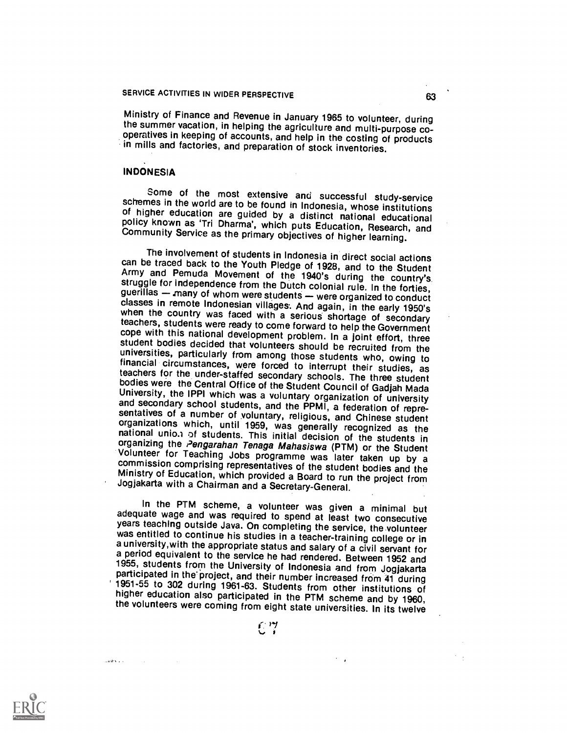Ministry of Finance and Revenue in January 1965 to volunteer, during operatives in keeping of accounts, and help in the costing of products in mills and factories, and preparation of stock inventories.

### INDONESIA

Some of the most extensive and successful study-service<br>schemes in the world are to be found in Indonesia, whose institutions<br>of higher education are guided by a distinct national educational<br>policy known as 'Tri Dharma',

The involvement of students in Indonesia in direct social actions<br>
can be traced back to the Youth Pledge of 1928, and to the Student<br>
Army and Pemuda Movement of the 1940's during the country's<br>
struggle for independence

In the PTM scheme, a volunteer was given a minimal but adequate wage and was required to spend at least two consecutive years teaching outside Java. On completing the service, the volunteer was entitled to continue his studies in a teacher-training college or in<br>a university, with the appropriate status and salary of a civil servant for<br>a period equivalent to the service he had rendered. Between 1952 and<br>1955 1951-55 to 302 during 1961-63. Students from other institutions of<br>higher education also participated in the PTM scheme and by 1960,<br>the volunteers were coming from eight state universities. In its twelve





lazionale con-

 $\sim 100$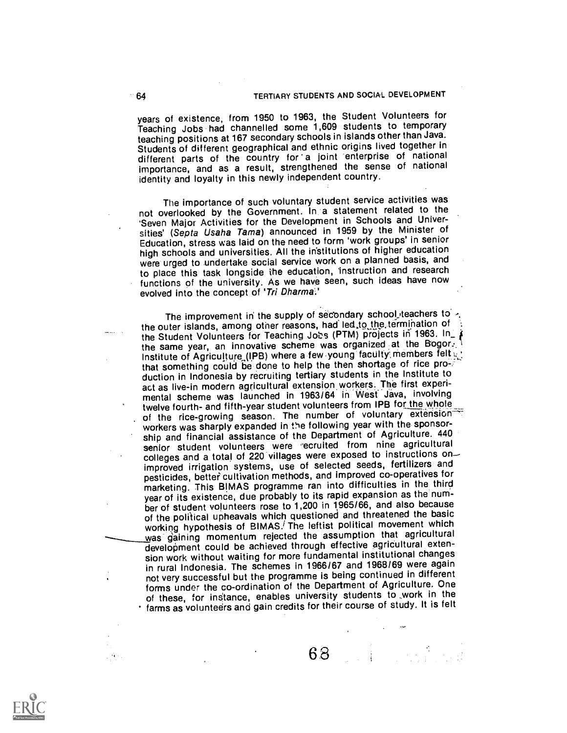years of existence, from 1950 to 1963, the Student Volunteers for Teaching Jobs had channelled some 1,609 students to temporary teaching positions at 167 secondary schools in islands other than Java. Students of different geographical and ethnic origins lived together in different parts of the country for a joint enterprise of national importance, and as a result, strengthened the sense of national identity and loyalty in this newly independent country.

The importance of such voluntary student service activities was not overlooked by the Government. In a statement related to the 'Seven Major Activities for the Development in Schools and Universities' (Septa Usaha Tama) announced in 1959 by the Minister of Education, stress was laid on the need to form 'work groups' in senior high schools and universities. All the institutions of higher education were urged to undertake social service work on a planned basis, and to place this task longside the education, instruction and research functions of the university. As we have seen, such ideas have now evolved into the concept of 'Tri Dharma.'

The improvement in the supply of secondary school teachers to -, the outer islands, among other reasons, had led, to the termination of the Student Volunteers for Teaching Jobs (PTM) projects in 1963. In\_ the same year, an innovative scheme was organized at the Bogor: Institute of Agriculture (IPB) where a few young faculty members felt  $\psi$ that something could be done to help the then shortage of rice pro-: duction in Indonesia by recruiting tertiary students in the Institute to act as live-in modern agricultural extension workers.The first experimental scheme was launched in 1963/64 in West Java, involving twelve fourth- and fifth-year student volunteers from IPB for the whole of the rice-growing season. The number of voluntary extension workers was sharply expanded in the following year with the sponsorship and financial assistance of the Department of Agriculture. 440 senior student volunteers were 'ecruited from nine agricultural colleges and a total of 220 villages were exposed to instructions on improved irrigation systems, use of selected seeds, fertilizers and pesticides, better cultivation methods, and improved co-operatives for marketing. This BIMAS programme ran into difficulties in the third year of its existence, due probably to its rapid expansion as the number of student volunteers rose to 1,200 in 1965/66, and also because of the political upheavals which questioned and threatened the basic working hypothesis of BIMAS.<sup>/</sup> The leftist political movement which was gaining momentum rejected the assumption that agricultural development could be achieved through effective agricultural extension work without waiting for more fundamental institutional changes in rural Indonesia. The schemes in 1966/67 and 1968/69 were again not very successful but the programme is being continued in different forms under the co-ordination of the Department of Agriculture. One of these, for instance, enables university students to work in the farms as volunteers and gain credits for their course of study. It is felt



68 J.J. Lender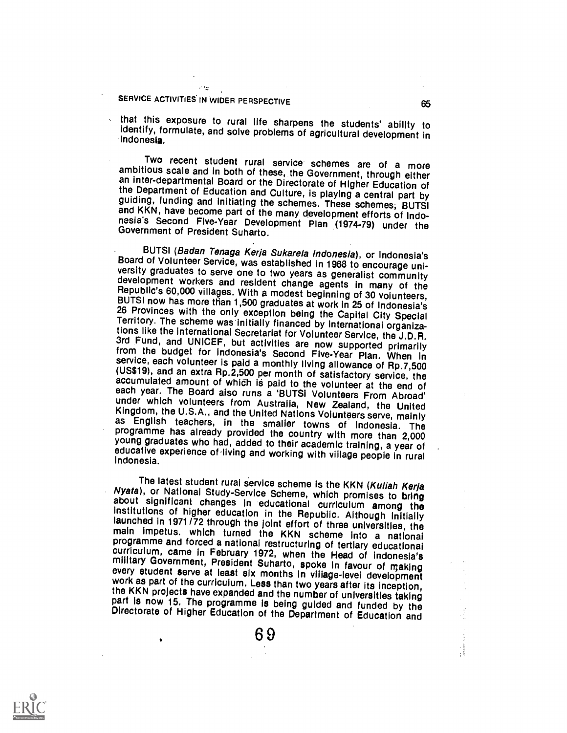### $\omega$   $\Delta\omega$ SERVICE ACTIVITIES IN WIDER PERSPECTIVE **1998 120 ACTIVITIES** 10

that this exposure to rural life sharpens the students' ability to identify, formulate, and solve problems of agricultural development in Indonesia.

Two recent student rural service schemes are of a more<br>ambitious scale and in both of these, the Government, through either<br>an inter-departmental Board or the Directorate of Higher Education of<br>the Department of Education

BUTSI (Badan Tenaga Kerja Sukarela Indonesia), or Indonesia's<br>Board of Volunteer Service, was established in 1968 to encourage uni-<br>versity graduates to serve one to two years as generalist community<br>development workers an each year. The Board also runs a 'BUTSI Volunteers From Abroad'<br>under which volunteers from Australia, New Zealand, the United<br>Kingdom, the U.S.A., and the United Nations Volunteers serve, mainly<br>as English teachers, in th

The latest student rural service scheme is the KKN (Kullah Kerja<br>Nyata), or National Study-Service Scheme, which promises to bring<br>about significant changes in educational curriculum among the<br>institutions of higher educat part is now 15. The programme is being guided and funded by the Directorate of Higher Education of the Department of Education and

6 9

 $\mathbb{R}$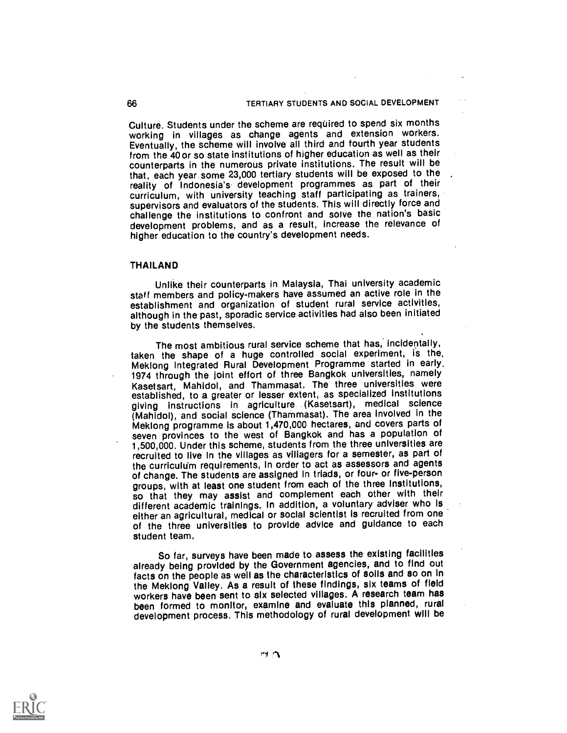Culture. Students under the scheme are required to spend six months working in villages as change agents and extension workers. Eventually, the scheme will involve all third and fourth year students from the 40 or so state institutions of higher education as well as their counterparts in the numerous private institutions. The result will be that, each year some 23,000 tertiary students will be exposed to the reality of Indonesia's development programmes as part of their curriculum, with university teaching staff participating as trainers, supervisors and evaluators of the students. This will directly force and challenge the institutions to confront and solve the nation's basic development problems, and as a result, increase the relevance of higher education to the country's development needs.

### THAILAND

Unlike their counterparts in Malaysia, Thai university academic staff members and policy-makers have assumed an active role in the establishment and organization of student rural service activities, although in the past, sporadic service activities had also been initiated by the students themselves.

The most ambitious rural service scheme that has, incidentally, taken the shape of a huge controlled social experiment, is the. Mekiong integrated Rural Development Programme started in early. 1974 through the joint effort of three Bangkok universities, namely Kasetsart, Mahidol, and Thammasat. The three universities were established, to a greater or lesser extent, as specialized institutions giving instructions in agriculture (Kasetsart), medical science (Mahidol), and social science (Thammasat). The area involved in the Meklong programme is about 1,470,000 hectares, and covers parts of seven provinces to the west of Bangkok and has a population of 1,500,000. Under this scheme, students from the three universities are recruited to Ilve In the villages as villagers for a semester, as part of the curriculum requirements, In order to act as assessors and agents of change. The students are assigned In triads, or four- or five-person groups, with at least one student from each of the three institutions, so that they may assist and complement each other with their different academic trainIngs. In addition, a voluntary adviser who Is either an agricultural, medical or social scientist is recruited from one of the three universities to provide advice and guidance to each student team.

So far, surveys have been made to assess the existing facilities already being provided by the Government agencies, and to find out facts on the people as well as the characteristics of soils and so on In the Mekiong Valley. As a result of these findings, slx teams of field workers have been sent to six selected villages. A research team has been formed to monitor, examine and evaluate this planned, rural development process. This methodology of rural development will be

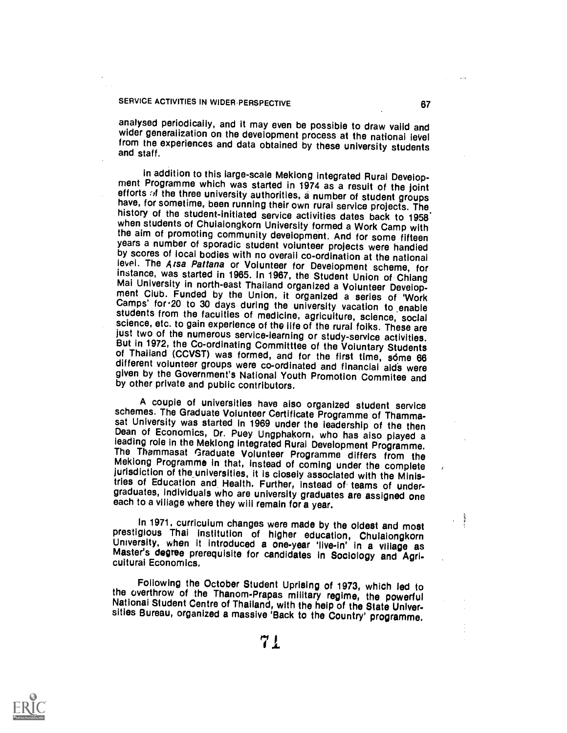## SERVICE ACTIVITIES IN WIDER PERSPECTIVE **1998** 67

analysed periodically, and it may even be possible to draw valid and wider generalization on the development process at the national level from the experiences and data obtained by these university students and staff.

in addition to this large-scale Meklong integrated Rural Development Programme which was started in 1974 as a result of the joint<br>efforts of the three university authorities, a number of student groups<br>have, for sometime, different volunteer groups were co-ordinated and financial aida were given by the Government's National Youth Promotion Commitee and by other private and public contributors.

A couple of universities have also organized student service sat University was started in 1969 under the leadership of the then<br>Dean of Economics, Dr. Puey Ungphakorn, who has also played a<br>leading role in the Meklong integrated Rural Development Programme. The Thammasat Graduate Volunteer Programme differs from the Meklong Programme in that, instead of coming under the complete jurisdiction of the universities, it is closely associated with the Ministries of Education and Health. Further, instead of teams of undergraduates, individuals who are university graduates are assigned one each to a village where they will remain for a year.

In 1971, curriculum changes were made by the oldest and most<br>prestigious Thai institution of higher education, Chulaiongkorn<br>University, when it introduced a one-year 'live-in' in a village as<br>Master's degree prerequisite

Following the October Student Uprising of 1973, which led to<br>the overthrow of the Thanom-Prapas military regime, the powerful<br>National Student Centre of Thailand, with the help of the State Univer-<br>sities Bureau, organized

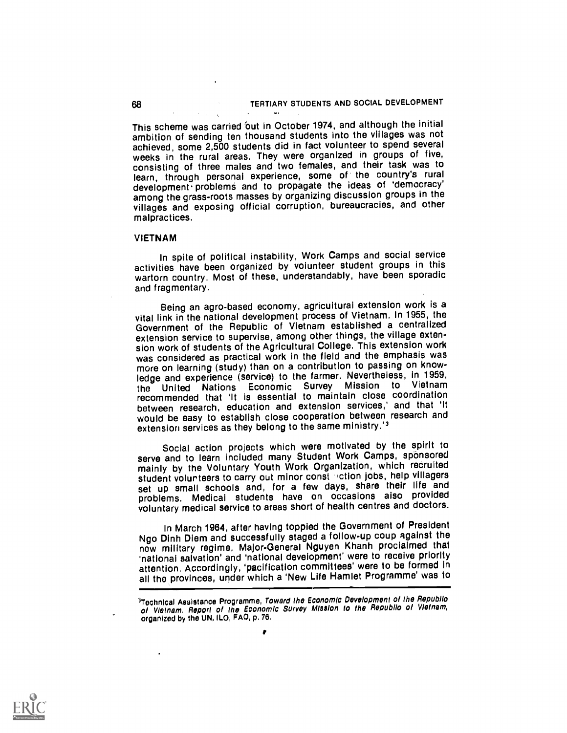This scheme was carried 'out in October 1974, and although the initial ambition of sending ten thousand students into the villages was not achieved, some 2,500 students did in fact volunteer to spend several weeks in the rural areas. They were organized in groups of five, consisting of three males and two females, and their task was to learn, through personal experience, some of the country's rural development. problem§ and to propagate the ideas of `democracy' among the grass-roots masses by organizing discussion groups in the villages and exposing official corruption, bureaucracies, and other malpractices.

#### VIETNAM

In spite of political instability, Work Camps and social service activities have been organized by volunteer student groups in this wartorn country. Most of these, understandably, have been sporadic and fragmentary.

Being an agro-based economy, agricultural extension work is a vital link in the national development process of Vietnam. In 1955, the Government of the Republic of Vietnam established a centralized extension service to supervise, among other things, the village extension work of students of the Agricultural College. This extension work was considered as practical work in the field and the emphasis was more on learning (study) than on a contribution to passing on knowledge and experience (service) to the farmer. Nevertheless, In 1959, the United Nations Economic Survey Mission to Vietnam recommended that 'It is essential to maintain close coordination between research, education and extension services,' and that 'It would be easy to establish close cooperation between research and extension services as they belong to the same ministry.'<sup>3</sup>

Social action projects which were motivated by the spirit to serve and to learn included many Student Work Camps, sponsored mainly by the Voluntary Youth Work Organization, which recruited student volur teers to carry out minor const liction jobs, help villagers set up small schools and, for a few days, share their life and problems, Medical students have on occasions also provided voluntary medical service to areas short of health centres and doctors.

In March 1964, after having toppled the Government of President Ngo Dinh Diem and successfully staged a follow-up coup against the new military regime, Major-General Nguyen Khanh proclaimed that 'national salvation' and 'national development' were to receive priority attention, Accordingly, 'pacification committees' were to be formed in all the provinces, under which a 'New Life Hamlet Programme' was to



<sup>3</sup>Tochnical Asaistance Programme, Toward the Economic Development of the Republlo of Vietnam. Report of the Economic Survey Mission to the Republio of Vietnam, organized by the UN, ILO, FAO, p. 76.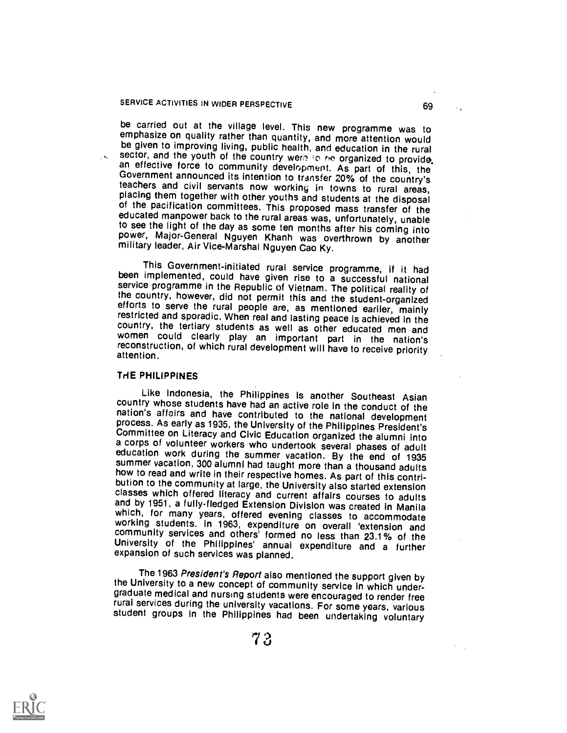be carried out at the village level. This new programme was to emphasize on quality rather than quantity, and more attention would be given to improving living, public health, and education in the rural sector, and the you to see the light of the day as some ten months after his coming into power, Major-General Nguyen Khanh was overthrown by another military leader, Air Vice-Marshal Nguyen Cao Ky.

This Government-initiated rural service programme, if it had been implemented, could have given rise to a successful national service programme in the Republic of Vietnam. The political reality of the country, however, did not permit this and the student-organized efforts to serve the rural people are, as mentioned earlier, mainly restricted and sporadic. When real and lasting peace is achieved in the country, the tertiary students as well as other educated men and women could clearly play an important part in the nation's reconstruction, of which rural development will have to receive priority attention.

#### THE PHILIPPINES

Like Indonesia, the Philippines is another Southeast Asian nation's affairs and have contributed to the national development<br>process. As early as 1935, the University of the Philippines President's<br>Committee on Literacy and Civic Education organized the alumni into<br>a corps of volu summer vacation, 300 alumni had taught more than a thousand adults<br>how to read and write in their respective homes. As part of this contribution to the community at large, the University also started extension classes which offered literacy and current affairs courses to adults and by 1951, a fully-fledged Extension Division was created in Manila which, for community services and others' formed no less than 23.1% of the University of the Philippines' annual expenditure and a further expansion of such services was planned.

The 1963 President's Report also mentioned the support given by<br>the University to a new concept of community service in which under-<br>graduate medical and nursing students were encouraged to render free<br>rural services durin

 $7.3$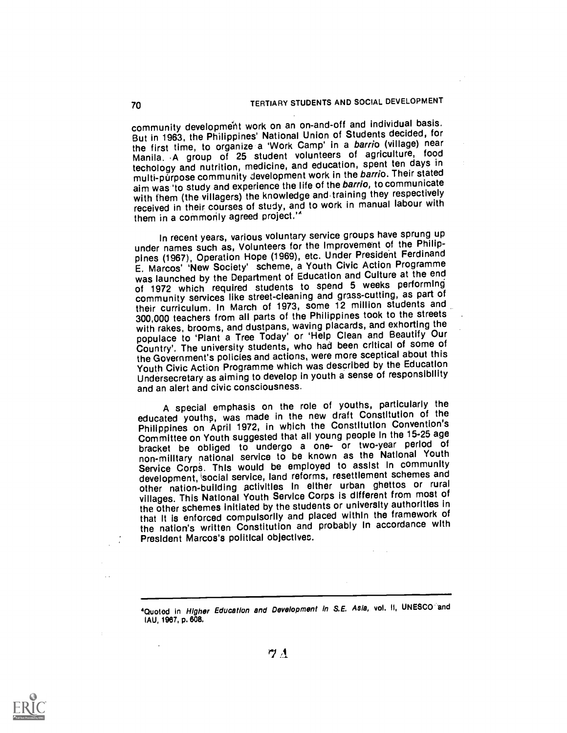community development work on an on-and-off and individual basis. But in 1963, the Philippines' National Union of Students decided, for the first time, to organize a 'Work Camp' in a barrio (village) near Manila. A group of 25 student volunteers of agriculture, food techology and nutrition, medicine, and education, spent ten days in multi-purpose community development work in the barrio. Their stated aim was 'to study and experience the life of the barrio, to communicate with them (the villagers) the knowledge and training they respectively received in their courses of study, and to work in manual labour with them in a commorily agreed project.'"

In recent years, various voluntary service groups have sprung up under names such as, Volunteers for the Improvement of the Philippines (1967), Operation Hope (1969), etc. Under President Ferdinand E. Marcos' 'New Society' scheme, a Youth Civic Action Programme was launched by the Department of Education and Culture at the end of 1972 which required students to spend 5 weeks performing community services like street-cleaning and grass-cutting, as part of their curriculum. In March of 1973, some 12 million students and 300,000 teachers from all parts of the Philippines took to the streets with rakes, brooms, and dustpans, waving placards, and exhorting the populace to 'Plant a Tree Today' or 'Help Clean and Beautify Our Country'. The university students, who had been critical of some of the Government's policies and actions, were more sceptical about this Youth Civic Action Programme which was described by the Education Undersecretary as aiming to develop in youth a sense of responsibility and an alert and civic consciousness.

A special emphasis on the role of youths, particularly the educated youths, was made in the new draft Constitution of the Philippines on April 1972, in which the Constitution Convention's Committee on Youth suggested that all young people In the 15-25 age bracket be obliged to undergo a one- or two-year period of non-milltary national service to be known as the National Youth Service Corps. This would be employed to assist In community development, social service, land reforms, resettlement schemes and other nation-building activities In either urban ghettos or rural villages. This National Youth Service Corps is different from most of the other schemes initiated by the students or university authorities in that It is enforced compulsorily and placed within the framework of the nation's written Constitution and probably In accordance with President Marcos's political objectives.



<sup>&</sup>lt;sup>4</sup>Quoted in Higher Education and Development in S.E. Asia, vol. II, UNESCO and MU, 1967, p. 808.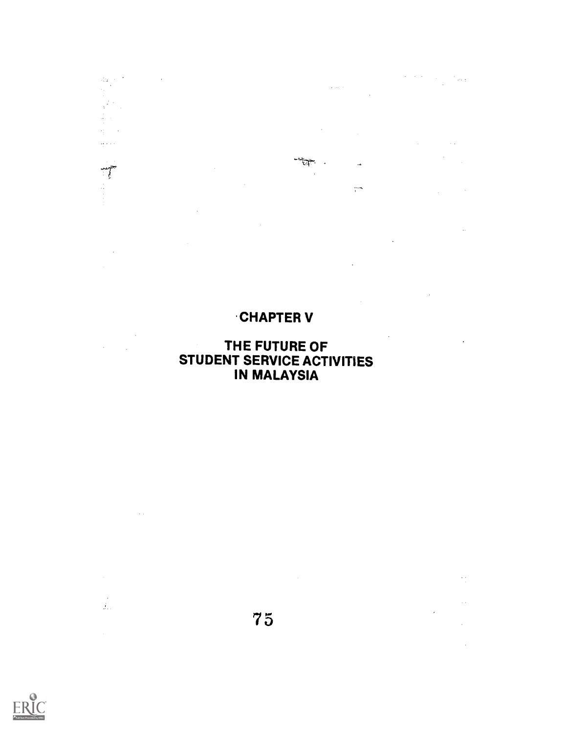# CHAPTER V

 $\bar{z}$ 

 $\hat{\mathcal{A}}$ 

 $\label{eq:2.1} \mathcal{F} = \mathcal{F} \circ \mathcal{F} = \mathcal{F} \circ \mathcal{F} = \mathcal{F} \circ \mathcal{F}$  and  $\mathcal{F}$ 

 $\mathcal{A}^{\mathcal{A}}_{\mathcal{A}}$  and  $\mathcal{A}^{\mathcal{A}}_{\mathcal{A}}$  and  $\mathcal{A}^{\mathcal{A}}_{\mathcal{A}}$ 

 $\sim$   $\sim$ 

 $\alpha$ 

 $\sim$   $\sim$ 

 $\bar{\psi}$ 

 $\frac{1}{2}$ 

 $\sim$  .

 $\bar{u}$ 

 $\alpha$ 

 $\hat{\boldsymbol{\epsilon}}$ 

 $\langle\phi\rangle_{\rm{eff}}$  (  $\gamma$ 

 $\hat{\theta}$ 

 $\frac{1}{4}$ 

J.

 $\mathcal{A}^{\mathcal{A}}$ 

 $\frac{1}{\sqrt{2}}$ 

# THE FUTURE OF STUDENT SERVICE ACTIVITIES IN MALAYSIA



 $\frac{d\mathbf{h}}{dt} \frac{\partial}{\partial \mathbf{r}} \mathbf{r}^{\prime}$ 

 $\chi^2$  $\frac{1}{\sqrt{2}}\left(\frac{1}{\sqrt{2}}\right)$  $\gamma_{\rm{L}}^{\rm{max}}$ 

بالراعي

 $\sim$ 

 $\hat{\boldsymbol{\beta}}$  $\sim 1$ 

 $\sim$   $\sim$ 

 $\frac{1}{2\pi}$ 

 $\mathcal{L}^{\text{max}}_{\text{max}}$ 

7 5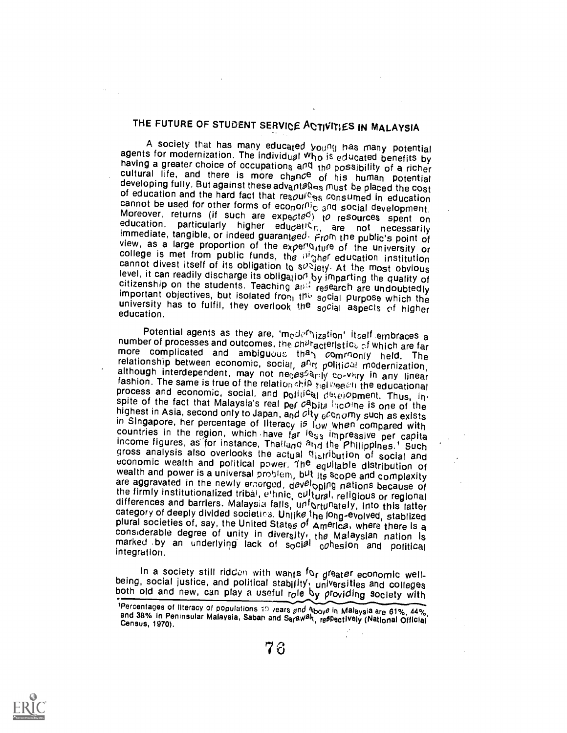# THE FUTURE OF STUDENT SERVICE ACTIVITIES IN MALAYSIA

A society that has many educated youfly has many potential<br>agents for modernization. The individual who is educated benefits by<br>having a greater choice of occupations and the possibility of a richer<br>cultural life, and the

Potential agents as they are, 'modernization' itself embraces a<br>number of processes and outcomes, the ch<sup>2t</sup> acteristics of which are far<br>more complicated and ambiguous than commonly held. The<br>relationship between economi gross analysis also overlooks the actual  $\alpha$  is ribution of social and economic wealth and political power. The equiltable distribution of wealth and power is a universal problem, but its scope and complexity are aggrava

In a society still ridden with wants for greater economic well-<br>being, social justice, and political stability, universities and colleges<br>both old and new, can play a useful role by providing society with<br><sup>1</sup>Percentages o



and 38% In Peninsular Malaysia, Saban and Sarawak, reflectively (National Official Census, 1970).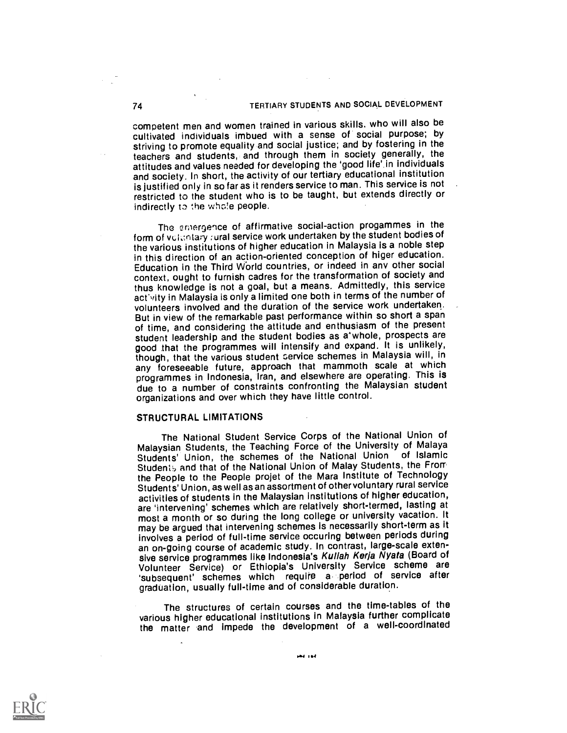competent men and women trained in various skills. who will also be cultivated individuals imbued with a sense of social purpose; by striving to promote equality and social justice; and by fostering in the teachers and students, and through them in society generally, the attitudes and values needed for developing the 'good life' in individuals and society. In short, the activity of our tertiary educational institution is justified only in so far as it renders service to man. This service is not restricted to the student who is to be taught, but extends directly or indirectly to the whole people.

The cmergence of affirmative social-action progammes in the form of voluntary rural service work undertaken by the student bodies of the various institutions of higher education in Malaysia is a noble step in this direction of an action-oriented conception of higer education. Education in the Third World countries, or indeed in any other social context, ought to furnish cadres for the transformation of society and thus knowledge is not a goal, but a means. Admittedly, this service act'vity in Malaysia is only a limited one both in terms of the number of volunteers involved and the duration of the service work undertaken. But in view of the remarkable past performance within so short a span of time, and considering the attitude and enthusiasm of the present student leadership and the student bodies as a'whole, prospects are good that the programmes will intensify and expand. It is unlikely, though, that the various student service schemes in Malaysia will, in any foreseeable future, approach that mammoth scale at which programmes in Indonesia, Iran, and elsewhere are operating. This is due to a number of constraints confronting the Malaysian student organizations and over which they have little control.

#### STRUCTURAL LIMITATIONS

The National Student Service Corps of the National Union of Malaysian Students, the Teaching Force of the University of Malaya Students' Union, the schemes of the National Union of Islamic Students and that of the National Union of Malay Students, the From the People to the People projet of the Mara Institute of Technology Students' Union, as well as an assortment of other voluntary rural service activities of students in the Malaysian institutions of higher education, are 'intervening' schemes which are relatively short-termed, lasting at most a month or so during the long college or university vacation. It may be argued that intervening schemes is necessarily short-term as it involves a period of full-time service occuring between periods during an on-going course of academic study. In contrast, large-scale extensive service programmes like Indonesia's Kullah Kerja Nyata (Board of Volunteer Service) or Ethiopia's University Service scheme are 'subsequent' schemes which require a. period of service after graduation, usually full-time and of considerable duration.

The structures of certain courses and the time-tables of the various higher educational institutions in Malaysia further complicate the matter end impede the development of <sup>a</sup> well-coordlnated



1.4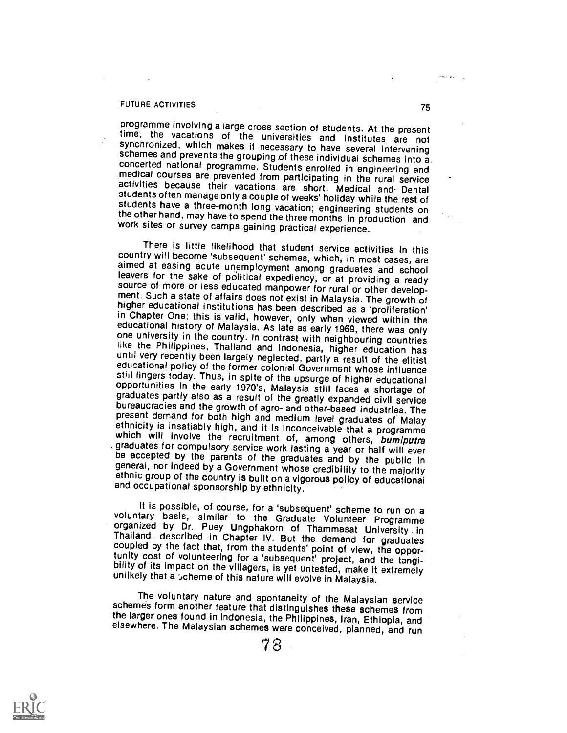#### FUTURE ACTIVITIES 75

programme involving a large cross section of students. At the present time, the vacations of the universities and institutes are not synchronized, which makes it necessary to have several intervening concerted national programme. Students enrolled in engineering and<br>medical courses are prevented from participating in the rural service<br>activities because their vacations are short. Medical and Dental<br>students often manag

There is little likelihood that student service activities in this<br>country will become 'subsequent' schemes, which, in most cases, are<br>aimed at easing acute unemployment among graduates and school<br>leavers for the sake of p

It is possible, of course, for a 'subsequent' scheme to run on a<br>voluntary basis, similar to the Graduate Volunteer Programme<br>organized by Dr. Puey Ungphakorn of Thammasat University in<br>Thailand, described in Chapter IV. B

The voluntary nature and spontaneity of the Malaysian service<br>schemes form another feature that distinguishes these schemes from the larger ones found in Indonesia, the Philippines, Iran, Ethiopia, and elsewhere. The Malaysian schemes were conceived, planned, and run

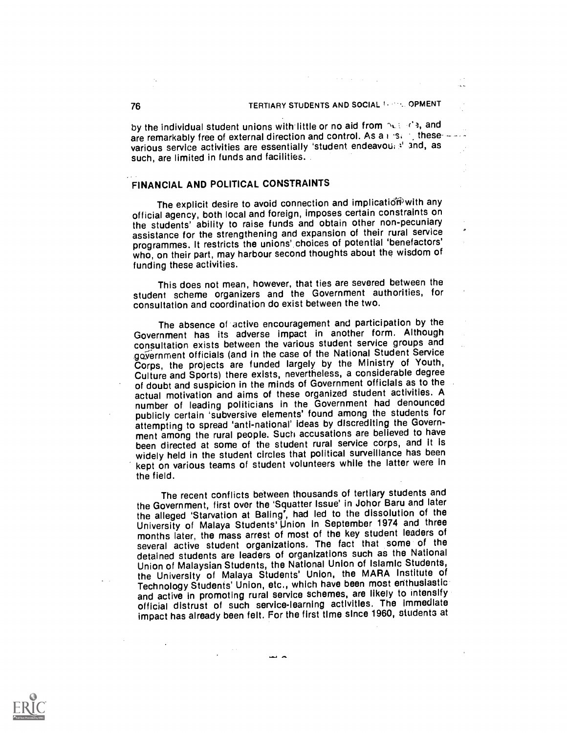i.

by the individual student unions with little or no aid from  $\Delta U \leq 1$ , and are remarkably free of external direction and control. As a  $i$  is  $i$  thesevarious service activities are essentially 'student endeavou; si and, as such, are limited in funds and facilities.

## FINANCIAL AND POLITICAL CONSTRAINTS

The explicit desire to avoid connection and implication with any official agency, both local and foreign, imposes certain constraints on the students' ability to raise funds and obtain other non-pecuniary assistance for the strengthening and expansion of their rural service programmes. It restricts the unions' choices of potential 'benefactors' who, on their part, may harbour second thoughts about the wisdom of funding these activities.

This does not mean, however, that ties are severed between the student scheme organizers and the Government authorities, for consultation and coordination do exist between the two.

The absence of active encouragement and participation by the Government has its adverse impact in another form. Although consultation exists between the various student service groups and government officials (and in the case of the National Student Service Corps, the projects are funded largely by the Ministry of Youth, Culture and Sports) there exists, nevertheless, a considerable degree of doubt and suspicion in the minds of Government officials as to the actual motivation and aims of these organized student activities. A number of leading politicians in the Government had denounced publicly certain 'subversive elements' found among the students for attempting to spread 'anti-national' ideas by discrediting the Government among the rural people. Such accusations are believed to have been directed at some of the student rural service corps, and it is widely held in the student circles that political surveillance has been kept on various teams of student volunteers while the latter were in the field.

The recent conflicts between thousands of tertiary students and the Government, first over the 'Squatter Issue' in Johor Baru and later the alleged 'Starvation at Baling', had led to the dissolution of the University of Malaya Students' Union in September 1974 and three months later, the mass arrest of most of the key student leaders of several active student organizations. The fact that some of the detained students are leaders of organizations such as the National Union of Malaysian Students, the National Union of Islamic Students, the University of Malaya Students' Union, the MARA Institute of Technology Students' Union, etc., which have been most enthusiastic and active in promoting rural service schemes, are likely to intensify official distrust of such service-learning activities. The immediate impact has already been felt. For the first time since 1960, students at

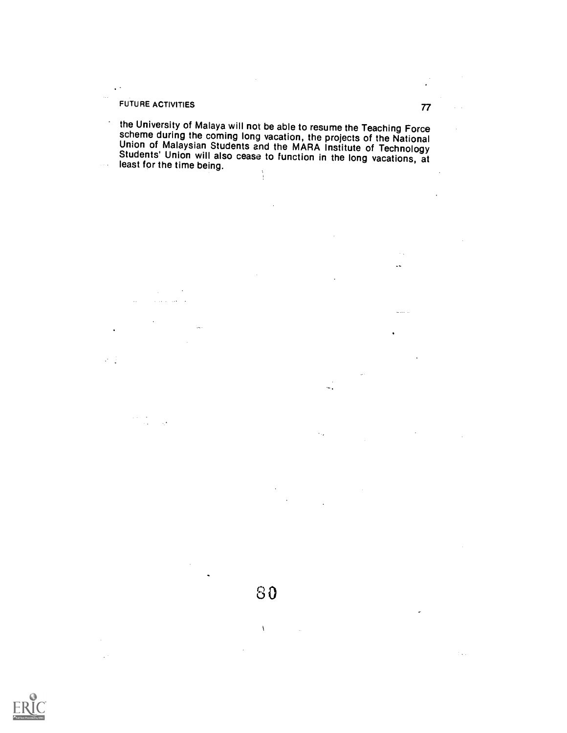# FUTURE ACTIVITIES 77

 $\lambda$ 

العبداني للمرابط

 $\mathcal{A}^{\star}$ 

J.

 $\sim$ 

 $\ddot{\phantom{a}}$ 

大臣

 $\ddot{\phantom{1}}$  $\bar{\alpha}$ 

 $\tau \ll \tau$ 

 $\ddot{\phantom{0}}$ the University of Malaya will not be able to resume the Teaching Force scheme during the coming long vacation, the projects of the National<br>Union of Malaysian Students and the MARA Institute of Technology<br>Students' Union will also cease to function in the long vacations, at<br>least for the time

 $\bar{\mathbf{I}}$  $\mathcal{L}_{\mathcal{A}}$  $\bar{z}$ J.  $\mathbb{C}$  , ,  $\mathbf{r}$ 



 $\sim$  . L.

 $\frac{1}{2}$  . . . . .

ò,

 $\mathcal{L}_{\mathrm{c}}$ 

÷.

 $\epsilon_{\rm max}$ 

 $\frac{1}{2}$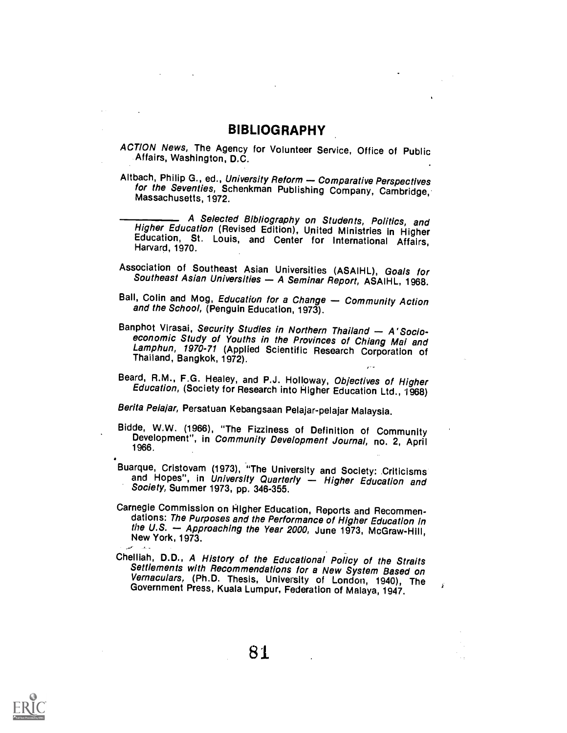## BIBLIOGRAPHY

- ACTION News, The Agency for Volunteer Service, Office of Public Affairs, Washington, D.C.
- Altbach, Philip G., ed., University Reform Comparative Perspectives for the Seventies, Schenkman Publishing Company, Cambridge, Massachusetts. 1972.

A Selected Bibliography on Students, Politics, and<br>Higher Education (Revised Edition), United Ministries in Higher<br>Education, St. Louis, and Center for International Affairs,<br>Harvard, 1970.

- Association of Southeast Asian Universities (ASAIHL), Goals for<br>Southeast Asian Universities A Seminar Report, ASAIHL, 1968.
- Ball, Colin and Mog, Education for a Change Community Action and the School, (Penguin Education, 1973).
- Banphot Virasai, Security Studies in Northern Thailand A' Socio-<br>economic Study of Youths in the Provinces of Chiang Mai and<br>Lamphun, 1970-71 (Applied Scientific Research Corporation of<br>Thailand, Bangkok, 1972). , بي المبار
- Beard, R.M., F.G. Healey, and P.J. Holloway, Objectives of Higher Education, (Society for Research into Higher Education Ltd., 1968)

Berita Pe/ajar, Persatuan Kebangsaan Pelajar-pelajar Malaysia.

- Bidde, W.W. (1966), "The Fizziness of Definition of Community Development", in Community Development Journal, no. 2, April 1966.
- Buarque, Cristovam (1973), "The University and Society: Criticisms and Hopes", in University Quarterly Higher Education and Society, Summer 1973, pp. 346-355.
- Carnegie Commission on Higher Education, Reports and Recommendations: The Purposes and the Performance of Higher Education in the U.S.  $-$  Approaching the Year 2000, June 1973, McGraw-Hill, New York, 1973.
- Chelliah, D.D., A History of the Educational Policy of the Straits<br>Settlements with Recommendations for a New System Based on<br>Vernaculars, (Ph.D. Thesis, University of London, 1940), The<br>Government Press, Kuala Lumpur, Fed

 $-$ 

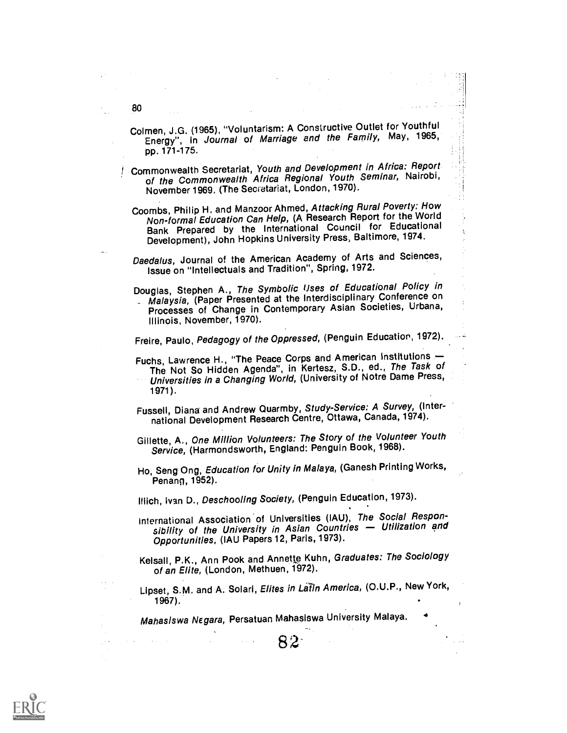Colmen, J.G. (1965), "Voluntarism: A Constructive Outlet for Youthful Energy", in Journal of Marriage and the Family, May, 1965, pp. 171-175.

Commonwealth Secretariat, Youth and Development in Africa: Report of the Commonwealth Africa Regional Youth Seminar, Nairobi, November 1969. (The Seciatariat, London, 1970).

Coombs, Philip H. and Manzoor Ahmed, Attacking Rural Poverty: How Non-formal Education Can Help, (A Research Report for the World Bank Prepared by the International Council for Educational Development), John Hopkins University Press, Baltimore, 1974.

Daedalus, Journal of the American Academy of Arts and Sciences, Issue on "Intellectuals and Tradition", Spring, 1972.

Douglas, Stephen A., The Symbolic Uses of Educational Policy in Malaysia, (Paper Presented at the Interdisciplinary Conference on

Processes of Change in Contemporary Asian Societies, Urbana, Illinois, November, 1970).

Freire, Paulo, Pedagogy of the Oppressed, (Penguin Education, 1972).

Fuchs, Lawrence H., "The Peace Corps and American Institutions -The Not So Hidden Agenda", in Kertesz, S.D., ed., The Task of Universities in a Changing World, (University of Notre Dame Press, 1971).

Fussell, Diana and Andrew Quarmby, Study-Service: A Survey, (International Development Research Centre, Ottawa, Canada, 1974).

Gillette, A., One Million Volunteers: The Story of the Volunteer Youth Service, (Harmondsworth, England: Penguin Book, 1968).

Ho, Seng Ong, Education for Unity in Malaya, (Ganesh Printing Works, Penang, 1952).

Illich, Ivan D., Deschooling Society, (Penguin Education, 1973).

International Association of Universities (IAU), The Social Responsibility of the University in Asian Countries - Utilization and Opportunities, (IAU Papers 12, Paris, 1973).

Kelsall, P.K., Ann Pook and Annette Kuhn, Graduates: The Sociology of an Elite, (London, Methuen, 1972).

Lipset, S.M. and A. Solari, Elites in Latin America, (O.U.P., New York, 1967).

82 and the set of  $\sim$ 

4

Mahasiswa Negara, Persatuan Mahasiswa University Malaya.

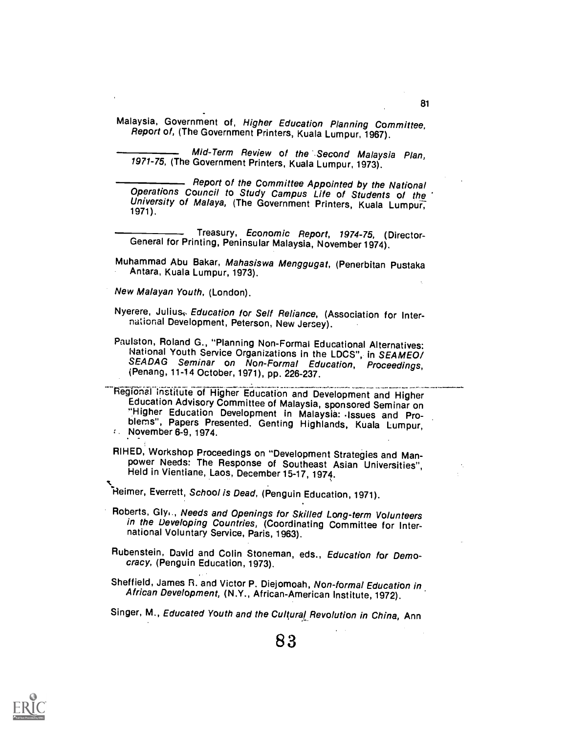Malaysia, Government of, Higher Education Planning Committee, Report of, (The Government Printers, Kuala Lumpur, 1967).

Mid-Term Review of the Second Malaysia Plan, 1971-75, (The Government Printers, Kuala Lumpur, 1973).

**COMMON COMMITTEE Appointed by the National Operations Council to Study Campus Life of Students of the University of Malaya, (The Government Printers, Kuala Lumpur, 1971).** 

Treasury, Economic Report, 1974-75, (Director- General for Printing, Peninsular Malaysia, November 1974).

- Muhammad Abu Bakar, Mahasiswa Menggugat, (Penerbitan Pustaka<br>Antara, Kuala Lumpur, 1973).
- New Malayan Youth, (London).
- Nyerere, Julius, Education for Self Reliance, (Association for Inter-<br>national Development, Peterson, New Jersey).
- Paulston, Roland G., "Planning Non-Formal Educational Alternatives:<br>Ivational Youth Service Organizations in the LDCS", in SEAMEO/ SEADAG Seminar on Non-Formal Education, Proceedings, in Analy Seminar on Non-Formal Education, Proceedings,

Regional institute of Higher Education and Development and Higher<br>Education Advisory Committee of Malaysia, sponsored Seminar on<br>"Higher Education Development in Malaysia: Issues and Problems", Papers Presented. Genting Highlands, Kuala Lumpur, I. November 6-9, 1974.

RIHED, Workshop Proceedings on "Development Strategies and Man- power Needs: The Response of Southeast Asian Universities", Held in Vientiane, Laos, December 15-17, 1974.

Heimer, Everrett, School is Dead, (Penguin Education, 1971).

- Roberts, Gly.., Needs and Openings for Skilled Long-term Volunteers in the Developing Countries, (Coordinating Committee for International Voluntary Service, Paris, 1963).
- Rubenstein, David and Colin Stoneman, eds., Education for Democracy, (Penguin Education, 1973).

Sheffield, James R. and Victor P. Diejomoah, Non-formal Education in African Development, (N.Y., African-American Institute, 1972).

Singer, M., Educated Youth and the Cultural Revolution in China, Ann

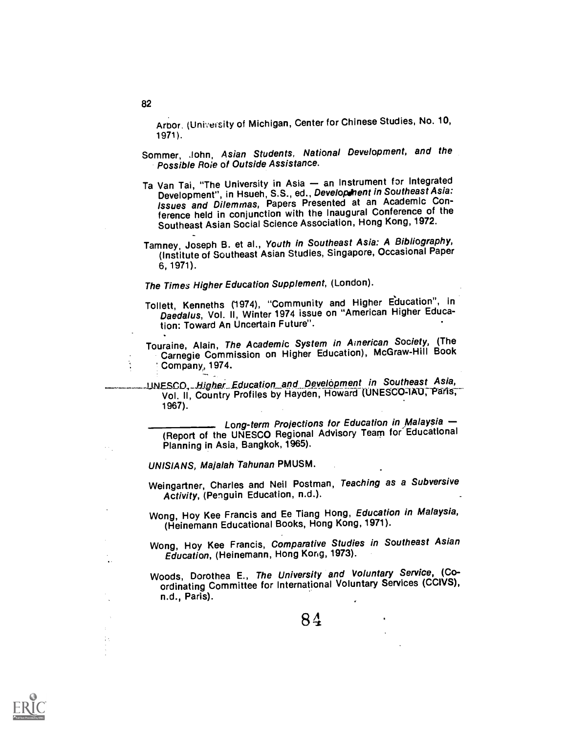Arbor. (University of Michigan, Center for Chinese Studies, No. 10,  $1971$ .

- Sommer, John, Asian Students, National Development, and the Possible Roie of Outside Assistance.
- Ta Van Tai, "The University in Asia an Instrument for Integrated Development", in Hsueh, S.S., ed., Development in Southeast Asia: Issues and Dilemmas, Papers Presented at an Academic Conference held in conjunction with the Inaugural Conference of the Southeast Asian Social Science Association, Hong Kong, 1972.
- Tamney, Joseph B. et al., Youth in Southeast Asia: A Bibliography, (Institute of Southeast Asian Studies, Singapore, Occasional Paper 6, 1971).

# The Times Higher Education Supplement, (London).

- Tollett, Kenneths (1974), "Community and Higher Education", in Daedalus, Vol. II, Winter 1974 issue on "American Higher Education: Toward An Uncertain Future".
- Touraine, Alain, The Academic System in American Society, (The Carnegie Commission on Higher Education), McGraw-Hill Book Company, 1974.

UNESCO, Higher Education and Development in Southeast Asia, Vol. II, Country Profiles by Hayden, Howard (UNESCO-IAU, Paris, 1967).

Long-term Projections tor Education in Malaysia (Report of the UNESCO Regional Advisory Team for' Educational Planning in Asia, Bangkok, 1965).

UNISIANS, Majalah Tahunan PMUSM.

- Weingartner, Charles and Neil Postman, Teaching as a Subversive Activity, (Penguin Education, n.d.).
- Wong, Hoy Kee Francis and Ee Tiang Hong, Education in Malaysia, (Heinemann Educational Books, Hong Kong, 1971).
- Wong, Hoy Kee Francis, Comparative Studies in Southeast Asian Education, (Heinemann, Hong Kong, 1973).
- Woods, Dorothea E., The University and Voluntary Service, (Coordinating Committee for International Voluntary Services (CC1VS), n.d., Paris).

84

#### 82

 $\ddot{\phantom{a}}$ 

÷